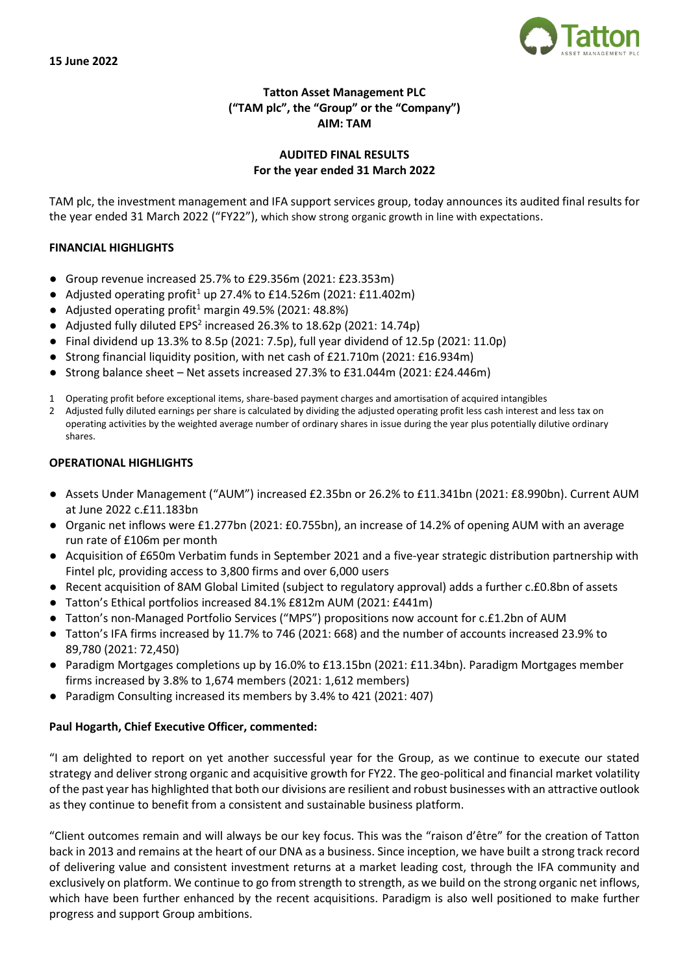

## **Tatton Asset Management PLC ("TAM plc", the "Group" or the "Company") AIM: TAM**

## **AUDITED FINAL RESULTS For the year ended 31 March 2022**

TAM plc, the investment management and IFA support services group, today announces its audited final results for the year ended 31 March 2022 ("FY22"), which show strong organic growth in line with expectations.

## **FINANCIAL HIGHLIGHTS**

- Group revenue increased 25.7% to £29.356m (2021: £23.353m)
- Adjusted operating profit<sup>1</sup> up 27.4% to £14.526m (2021: £11.402m)
- Adjusted operating profit<sup>1</sup> margin 49.5% (2021: 48.8%)
- Adjusted fully diluted EPS<sup>2</sup> increased 26.3% to 18.62p (2021: 14.74p)
- Final dividend up 13.3% to 8.5p (2021: 7.5p), full year dividend of 12.5p (2021: 11.0p)
- Strong financial liquidity position, with net cash of £21.710m (2021: £16.934m)
- Strong balance sheet Net assets increased 27.3% to £31.044m (2021: £24.446m)
- 1 Operating profit before exceptional items, share-based payment charges and amortisation of acquired intangibles
- 2 Adjusted fully diluted earnings per share is calculated by dividing the adjusted operating profit less cash interest and less tax on operating activities by the weighted average number of ordinary shares in issue during the year plus potentially dilutive ordinary shares.

## **OPERATIONAL HIGHLIGHTS**

- Assets Under Management ("AUM") increased £2.35bn or 26.2% to £11.341bn (2021: £8.990bn). Current AUM at June 2022 c.£11.183bn
- Organic net inflows were £1.277bn (2021: £0.755bn), an increase of 14.2% of opening AUM with an average run rate of £106m per month
- Acquisition of £650m Verbatim funds in September 2021 and a five-year strategic distribution partnership with Fintel plc, providing access to 3,800 firms and over 6,000 users
- Recent acquisition of 8AM Global Limited (subject to regulatory approval) adds a further c.£0.8bn of assets
- Tatton's Ethical portfolios increased 84.1% £812m AUM (2021: £441m)
- Tatton's non-Managed Portfolio Services ("MPS") propositions now account for c.£1.2bn of AUM
- Tatton's IFA firms increased by 11.7% to 746 (2021: 668) and the number of accounts increased 23.9% to 89,780 (2021: 72,450)
- Paradigm Mortgages completions up by 16.0% to £13.15bn (2021: £11.34bn). Paradigm Mortgages member firms increased by 3.8% to 1,674 members (2021: 1,612 members)
- Paradigm Consulting increased its members by 3.4% to 421 (2021: 407)

## **Paul Hogarth, Chief Executive Officer, commented:**

"I am delighted to report on yet another successful year for the Group, as we continue to execute our stated strategy and deliver strong organic and acquisitive growth for FY22. The geo-political and financial market volatility of the past year has highlighted that both our divisions are resilient and robust businesses with an attractive outlook as they continue to benefit from a consistent and sustainable business platform.

"Client outcomes remain and will always be our key focus. This was the "raison d'être" for the creation of Tatton back in 2013 and remains at the heart of our DNA as a business. Since inception, we have built a strong track record of delivering value and consistent investment returns at a market leading cost, through the IFA community and exclusively on platform. We continue to go from strength to strength, as we build on the strong organic net inflows, which have been further enhanced by the recent acquisitions. Paradigm is also well positioned to make further progress and support Group ambitions.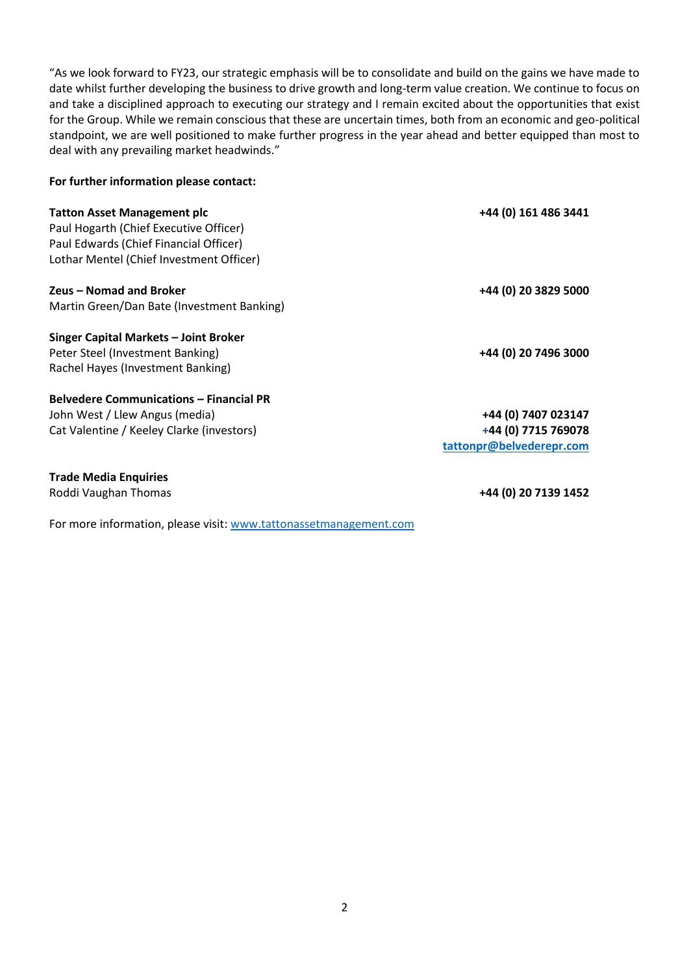"As we look forward to FY23, our strategic emphasis will be to consolidate and build on the gains we have made to date whilst further developing the business to drive growth and long-term value creation. We continue to focus on and take a disciplined approach to executing our strategy and I remain excited about the opportunities that exist for the Group. While we remain conscious that these are uncertain times, both from an economic and geo-political standpoint, we are well positioned to make further progress in the year ahead and better equipped than most to deal with any prevailing market headwinds."

#### **For further information please contact:**

| <b>Tatton Asset Management plc</b><br>Paul Hogarth (Chief Executive Officer)<br>Paul Edwards (Chief Financial Officer)<br>Lothar Mentel (Chief Investment Officer) | +44 (0) 161 486 3441                                                   |
|--------------------------------------------------------------------------------------------------------------------------------------------------------------------|------------------------------------------------------------------------|
| Zeus – Nomad and Broker<br>Martin Green/Dan Bate (Investment Banking)                                                                                              | +44 (0) 20 3829 5000                                                   |
| Singer Capital Markets – Joint Broker<br>Peter Steel (Investment Banking)<br>Rachel Hayes (Investment Banking)                                                     | +44 (0) 20 7496 3000                                                   |
| <b>Belvedere Communications - Financial PR</b><br>John West / Llew Angus (media)<br>Cat Valentine / Keeley Clarke (investors)                                      | +44 (0) 7407 023147<br>+44 (0) 7715 769078<br>tattonpr@belvederepr.com |
| <b>Trade Media Enquiries</b><br>Roddi Vaughan Thomas                                                                                                               | +44 (0) 20 7139 1452                                                   |

For more information, please visit: [www.tattonassetmanagement.com](http://www.tattonassetmanagement.com/)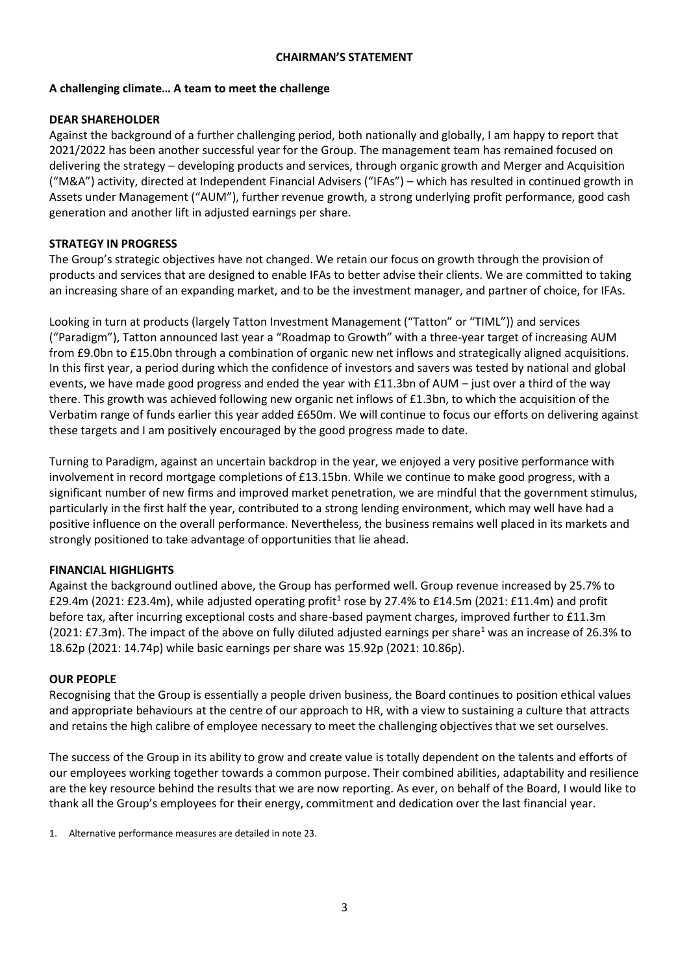## **CHAIRMAN'S STATEMENT**

## **A challenging climate… A team to meet the challenge**

## **DEAR SHAREHOLDER**

Against the background of a further challenging period, both nationally and globally, I am happy to report that 2021/2022 has been another successful year for the Group. The management team has remained focused on delivering the strategy – developing products and services, through organic growth and Merger and Acquisition ("M&A") activity, directed at Independent Financial Advisers ("IFAs") – which has resulted in continued growth in Assets under Management ("AUM"), further revenue growth, a strong underlying profit performance, good cash generation and another lift in adjusted earnings per share.

## **STRATEGY IN PROGRESS**

The Group's strategic objectives have not changed. We retain our focus on growth through the provision of products and services that are designed to enable IFAs to better advise their clients. We are committed to taking an increasing share of an expanding market, and to be the investment manager, and partner of choice, for IFAs.

Looking in turn at products (largely Tatton Investment Management ("Tatton" or "TIML")) and services ("Paradigm"), Tatton announced last year a "Roadmap to Growth" with a three-year target of increasing AUM from £9.0bn to £15.0bn through a combination of organic new net inflows and strategically aligned acquisitions. In this first year, a period during which the confidence of investors and savers was tested by national and global events, we have made good progress and ended the year with £11.3bn of AUM – just over a third of the way there. This growth was achieved following new organic net inflows of £1.3bn, to which the acquisition of the Verbatim range of funds earlier this year added £650m. We will continue to focus our efforts on delivering against these targets and I am positively encouraged by the good progress made to date.

Turning to Paradigm, against an uncertain backdrop in the year, we enjoyed a very positive performance with involvement in record mortgage completions of £13.15bn. While we continue to make good progress, with a significant number of new firms and improved market penetration, we are mindful that the government stimulus, particularly in the first half the year, contributed to a strong lending environment, which may well have had a positive influence on the overall performance. Nevertheless, the business remains well placed in its markets and strongly positioned to take advantage of opportunities that lie ahead.

## **FINANCIAL HIGHLIGHTS**

Against the background outlined above, the Group has performed well. Group revenue increased by 25.7% to £29.4m (2021: £23.4m), while adjusted operating profit<sup>1</sup> rose by 27.4% to £14.5m (2021: £11.4m) and profit before tax, after incurring exceptional costs and share-based payment charges, improved further to £11.3m (2021: £7.3m). The impact of the above on fully diluted adjusted earnings per share<sup>1</sup> was an increase of 26.3% to 18.62p (2021: 14.74p) while basic earnings per share was 15.92p (2021: 10.86p).

## **OUR PEOPLE**

Recognising that the Group is essentially a people driven business, the Board continues to position ethical values and appropriate behaviours at the centre of our approach to HR, with a view to sustaining a culture that attracts and retains the high calibre of employee necessary to meet the challenging objectives that we set ourselves.

The success of the Group in its ability to grow and create value is totally dependent on the talents and efforts of our employees working together towards a common purpose. Their combined abilities, adaptability and resilience are the key resource behind the results that we are now reporting. As ever, on behalf of the Board, I would like to thank all the Group's employees for their energy, commitment and dedication over the last financial year.

1. Alternative performance measures are detailed in note 23.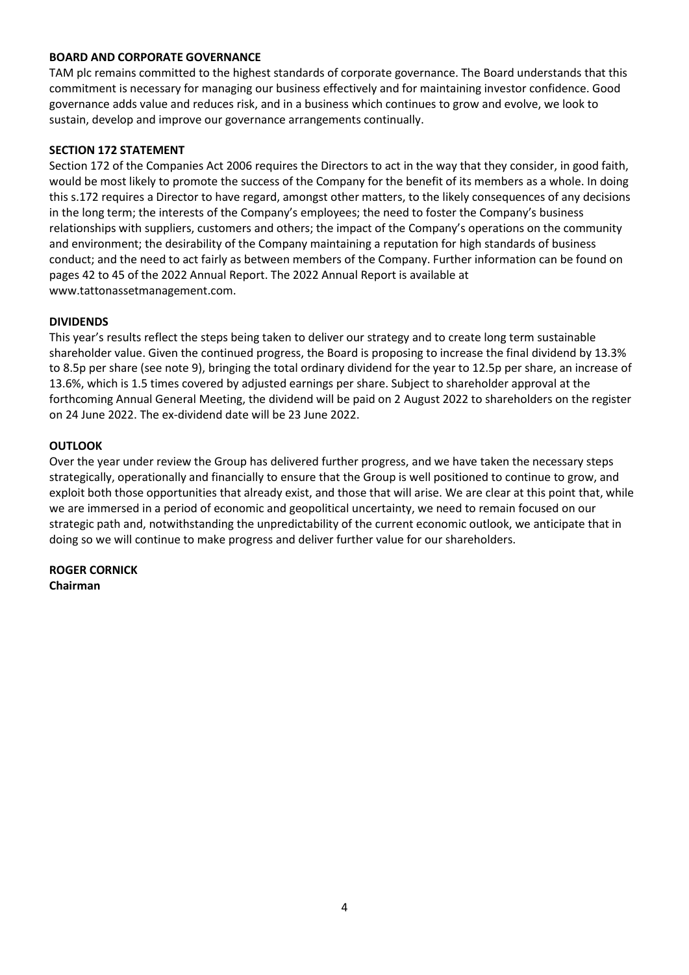## **BOARD AND CORPORATE GOVERNANCE**

TAM plc remains committed to the highest standards of corporate governance. The Board understands that this commitment is necessary for managing our business effectively and for maintaining investor confidence. Good governance adds value and reduces risk, and in a business which continues to grow and evolve, we look to sustain, develop and improve our governance arrangements continually.

## **SECTION 172 STATEMENT**

Section 172 of the Companies Act 2006 requires the Directors to act in the way that they consider, in good faith, would be most likely to promote the success of the Company for the benefit of its members as a whole. In doing this s.172 requires a Director to have regard, amongst other matters, to the likely consequences of any decisions in the long term; the interests of the Company's employees; the need to foster the Company's business relationships with suppliers, customers and others; the impact of the Company's operations on the community and environment; the desirability of the Company maintaining a reputation for high standards of business conduct; and the need to act fairly as between members of the Company. Further information can be found on pages 42 to 45 of the 2022 Annual Report. The 2022 Annual Report is available at www.tattonassetmanagement.com.

## **DIVIDENDS**

This year's results reflect the steps being taken to deliver our strategy and to create long term sustainable shareholder value. Given the continued progress, the Board is proposing to increase the final dividend by 13.3% to 8.5p per share (see note 9), bringing the total ordinary dividend for the year to 12.5p per share, an increase of 13.6%, which is 1.5 times covered by adjusted earnings per share. Subject to shareholder approval at the forthcoming Annual General Meeting, the dividend will be paid on 2 August 2022 to shareholders on the register on 24 June 2022. The ex-dividend date will be 23 June 2022.

## **OUTLOOK**

Over the year under review the Group has delivered further progress, and we have taken the necessary steps strategically, operationally and financially to ensure that the Group is well positioned to continue to grow, and exploit both those opportunities that already exist, and those that will arise. We are clear at this point that, while we are immersed in a period of economic and geopolitical uncertainty, we need to remain focused on our strategic path and, notwithstanding the unpredictability of the current economic outlook, we anticipate that in doing so we will continue to make progress and deliver further value for our shareholders.

**ROGER CORNICK Chairman**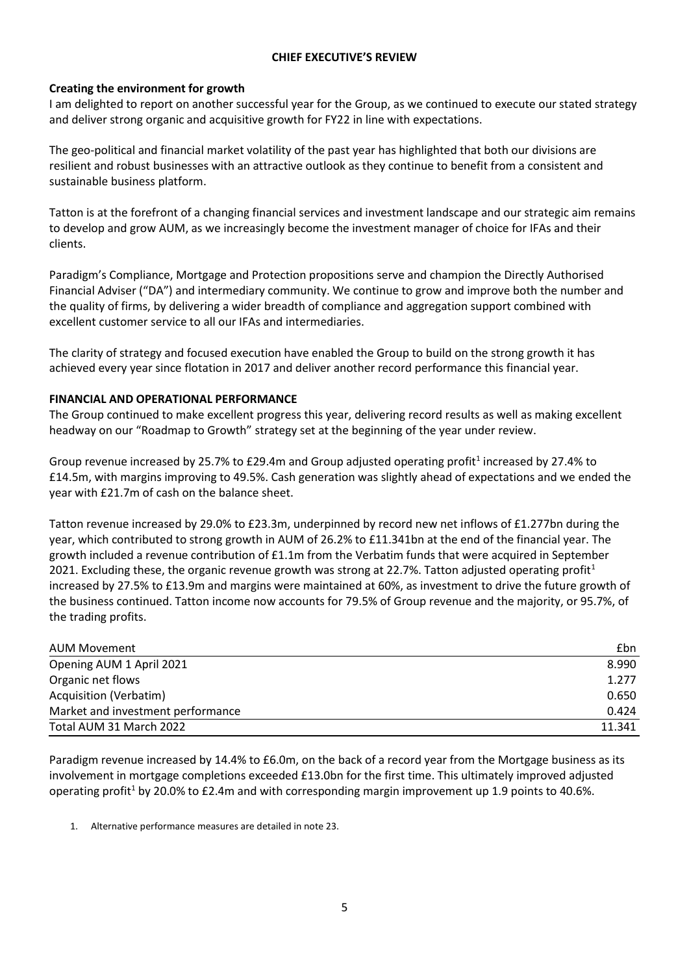## **CHIEF EXECUTIVE'S REVIEW**

## **Creating the environment for growth**

I am delighted to report on another successful year for the Group, as we continued to execute our stated strategy and deliver strong organic and acquisitive growth for FY22 in line with expectations.

The geo-political and financial market volatility of the past year has highlighted that both our divisions are resilient and robust businesses with an attractive outlook as they continue to benefit from a consistent and sustainable business platform.

Tatton is at the forefront of a changing financial services and investment landscape and our strategic aim remains to develop and grow AUM, as we increasingly become the investment manager of choice for IFAs and their clients.

Paradigm's Compliance, Mortgage and Protection propositions serve and champion the Directly Authorised Financial Adviser ("DA") and intermediary community. We continue to grow and improve both the number and the quality of firms, by delivering a wider breadth of compliance and aggregation support combined with excellent customer service to all our IFAs and intermediaries.

The clarity of strategy and focused execution have enabled the Group to build on the strong growth it has achieved every year since flotation in 2017 and deliver another record performance this financial year.

## **FINANCIAL AND OPERATIONAL PERFORMANCE**

The Group continued to make excellent progress this year, delivering record results as well as making excellent headway on our "Roadmap to Growth" strategy set at the beginning of the year under review.

Group revenue increased by 25.7% to £29.4m and Group adjusted operating profit<sup>1</sup> increased by 27.4% to £14.5m, with margins improving to 49.5%. Cash generation was slightly ahead of expectations and we ended the year with £21.7m of cash on the balance sheet.

Tatton revenue increased by 29.0% to £23.3m, underpinned by record new net inflows of £1.277bn during the year, which contributed to strong growth in AUM of 26.2% to £11.341bn at the end of the financial year. The growth included a revenue contribution of £1.1m from the Verbatim funds that were acquired in September 2021. Excluding these, the organic revenue growth was strong at 22.7%. Tatton adjusted operating profit<sup>1</sup> increased by 27.5% to £13.9m and margins were maintained at 60%, as investment to drive the future growth of the business continued. Tatton income now accounts for 79.5% of Group revenue and the majority, or 95.7%, of the trading profits.

| <b>AUM Movement</b>               | <b>£bn</b> |
|-----------------------------------|------------|
| Opening AUM 1 April 2021          | 8.990      |
| Organic net flows                 | 1.277      |
| Acquisition (Verbatim)            | 0.650      |
| Market and investment performance | 0.424      |
| Total AUM 31 March 2022           | 11.341     |

Paradigm revenue increased by 14.4% to £6.0m, on the back of a record year from the Mortgage business as its involvement in mortgage completions exceeded £13.0bn for the first time. This ultimately improved adjusted operating profit<sup>1</sup> by 20.0% to £2.4m and with corresponding margin improvement up 1.9 points to 40.6%.

1. Alternative performance measures are detailed in note 23.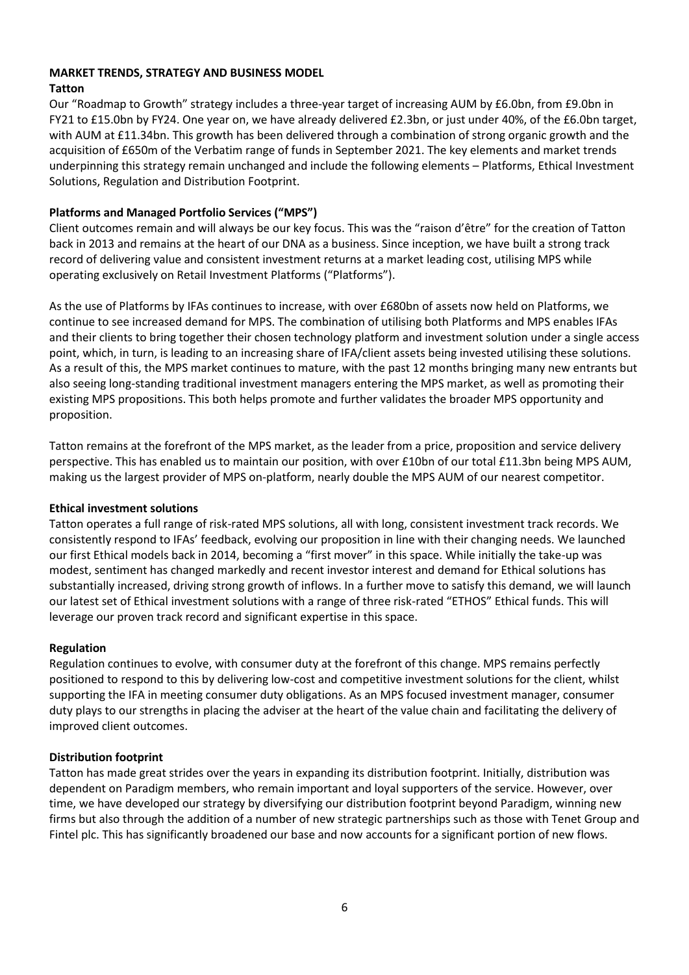# **MARKET TRENDS, STRATEGY AND BUSINESS MODEL**

## **Tatton**

Our "Roadmap to Growth" strategy includes a three-year target of increasing AUM by £6.0bn, from £9.0bn in FY21 to £15.0bn by FY24. One year on, we have already delivered £2.3bn, or just under 40%, of the £6.0bn target, with AUM at £11.34bn. This growth has been delivered through a combination of strong organic growth and the acquisition of £650m of the Verbatim range of funds in September 2021. The key elements and market trends underpinning this strategy remain unchanged and include the following elements – Platforms, Ethical Investment Solutions, Regulation and Distribution Footprint.

## **Platforms and Managed Portfolio Services ("MPS")**

Client outcomes remain and will always be our key focus. This was the "raison d'être" for the creation of Tatton back in 2013 and remains at the heart of our DNA as a business. Since inception, we have built a strong track record of delivering value and consistent investment returns at a market leading cost, utilising MPS while operating exclusively on Retail Investment Platforms ("Platforms").

As the use of Platforms by IFAs continues to increase, with over £680bn of assets now held on Platforms, we continue to see increased demand for MPS. The combination of utilising both Platforms and MPS enables IFAs and their clients to bring together their chosen technology platform and investment solution under a single access point, which, in turn, is leading to an increasing share of IFA/client assets being invested utilising these solutions. As a result of this, the MPS market continues to mature, with the past 12 months bringing many new entrants but also seeing long-standing traditional investment managers entering the MPS market, as well as promoting their existing MPS propositions. This both helps promote and further validates the broader MPS opportunity and proposition.

Tatton remains at the forefront of the MPS market, as the leader from a price, proposition and service delivery perspective. This has enabled us to maintain our position, with over £10bn of our total £11.3bn being MPS AUM, making us the largest provider of MPS on-platform, nearly double the MPS AUM of our nearest competitor.

## **Ethical investment solutions**

Tatton operates a full range of risk-rated MPS solutions, all with long, consistent investment track records. We consistently respond to IFAs' feedback, evolving our proposition in line with their changing needs. We launched our first Ethical models back in 2014, becoming a "first mover" in this space. While initially the take-up was modest, sentiment has changed markedly and recent investor interest and demand for Ethical solutions has substantially increased, driving strong growth of inflows. In a further move to satisfy this demand, we will launch our latest set of Ethical investment solutions with a range of three risk-rated "ETHOS" Ethical funds. This will leverage our proven track record and significant expertise in this space.

## **Regulation**

Regulation continues to evolve, with consumer duty at the forefront of this change. MPS remains perfectly positioned to respond to this by delivering low-cost and competitive investment solutions for the client, whilst supporting the IFA in meeting consumer duty obligations. As an MPS focused investment manager, consumer duty plays to our strengths in placing the adviser at the heart of the value chain and facilitating the delivery of improved client outcomes.

## **Distribution footprint**

Tatton has made great strides over the years in expanding its distribution footprint. Initially, distribution was dependent on Paradigm members, who remain important and loyal supporters of the service. However, over time, we have developed our strategy by diversifying our distribution footprint beyond Paradigm, winning new firms but also through the addition of a number of new strategic partnerships such as those with Tenet Group and Fintel plc. This has significantly broadened our base and now accounts for a significant portion of new flows.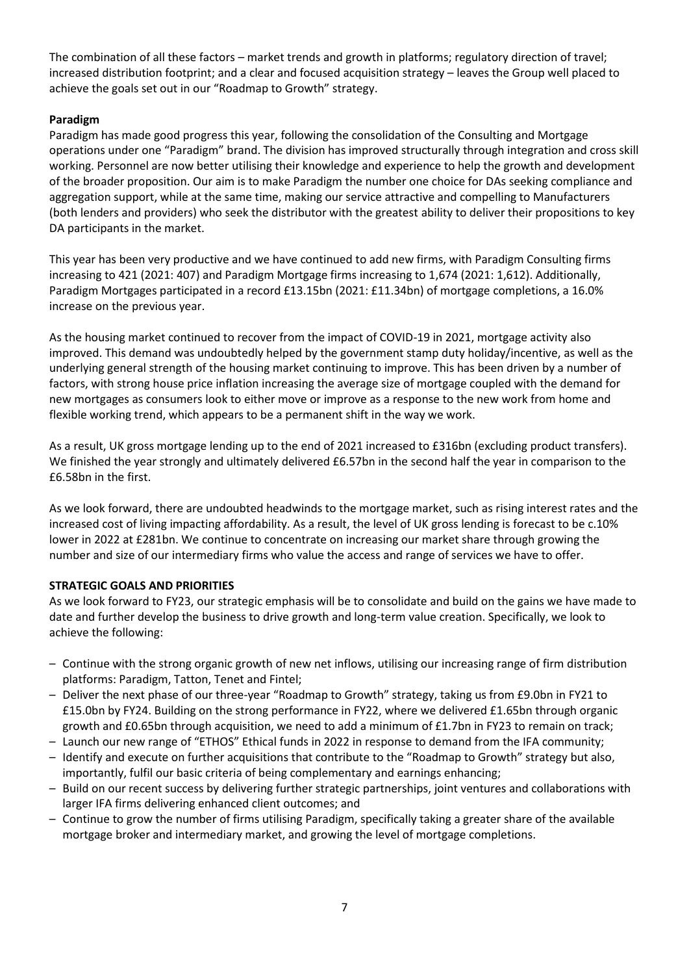The combination of all these factors – market trends and growth in platforms; regulatory direction of travel; increased distribution footprint; and a clear and focused acquisition strategy – leaves the Group well placed to achieve the goals set out in our "Roadmap to Growth" strategy.

## **Paradigm**

Paradigm has made good progress this year, following the consolidation of the Consulting and Mortgage operations under one "Paradigm" brand. The division has improved structurally through integration and cross skill working. Personnel are now better utilising their knowledge and experience to help the growth and development of the broader proposition. Our aim is to make Paradigm the number one choice for DAs seeking compliance and aggregation support, while at the same time, making our service attractive and compelling to Manufacturers (both lenders and providers) who seek the distributor with the greatest ability to deliver their propositions to key DA participants in the market.

This year has been very productive and we have continued to add new firms, with Paradigm Consulting firms increasing to 421 (2021: 407) and Paradigm Mortgage firms increasing to 1,674 (2021: 1,612). Additionally, Paradigm Mortgages participated in a record £13.15bn (2021: £11.34bn) of mortgage completions, a 16.0% increase on the previous year.

As the housing market continued to recover from the impact of COVID-19 in 2021, mortgage activity also improved. This demand was undoubtedly helped by the government stamp duty holiday/incentive, as well as the underlying general strength of the housing market continuing to improve. This has been driven by a number of factors, with strong house price inflation increasing the average size of mortgage coupled with the demand for new mortgages as consumers look to either move or improve as a response to the new work from home and flexible working trend, which appears to be a permanent shift in the way we work.

As a result, UK gross mortgage lending up to the end of 2021 increased to £316bn (excluding product transfers). We finished the year strongly and ultimately delivered £6.57bn in the second half the year in comparison to the £6.58bn in the first.

As we look forward, there are undoubted headwinds to the mortgage market, such as rising interest rates and the increased cost of living impacting affordability. As a result, the level of UK gross lending is forecast to be c.10% lower in 2022 at £281bn. We continue to concentrate on increasing our market share through growing the number and size of our intermediary firms who value the access and range of services we have to offer.

## **STRATEGIC GOALS AND PRIORITIES**

As we look forward to FY23, our strategic emphasis will be to consolidate and build on the gains we have made to date and further develop the business to drive growth and long-term value creation. Specifically, we look to achieve the following:

- Continue with the strong organic growth of new net inflows, utilising our increasing range of firm distribution platforms: Paradigm, Tatton, Tenet and Fintel;
- Deliver the next phase of our three-year "Roadmap to Growth" strategy, taking us from £9.0bn in FY21 to £15.0bn by FY24. Building on the strong performance in FY22, where we delivered £1.65bn through organic growth and £0.65bn through acquisition, we need to add a minimum of £1.7bn in FY23 to remain on track;
- Launch our new range of "ETHOS" Ethical funds in 2022 in response to demand from the IFA community;
- Identify and execute on further acquisitions that contribute to the "Roadmap to Growth" strategy but also, importantly, fulfil our basic criteria of being complementary and earnings enhancing;
- Build on our recent success by delivering further strategic partnerships, joint ventures and collaborations with larger IFA firms delivering enhanced client outcomes; and
- Continue to grow the number of firms utilising Paradigm, specifically taking a greater share of the available mortgage broker and intermediary market, and growing the level of mortgage completions.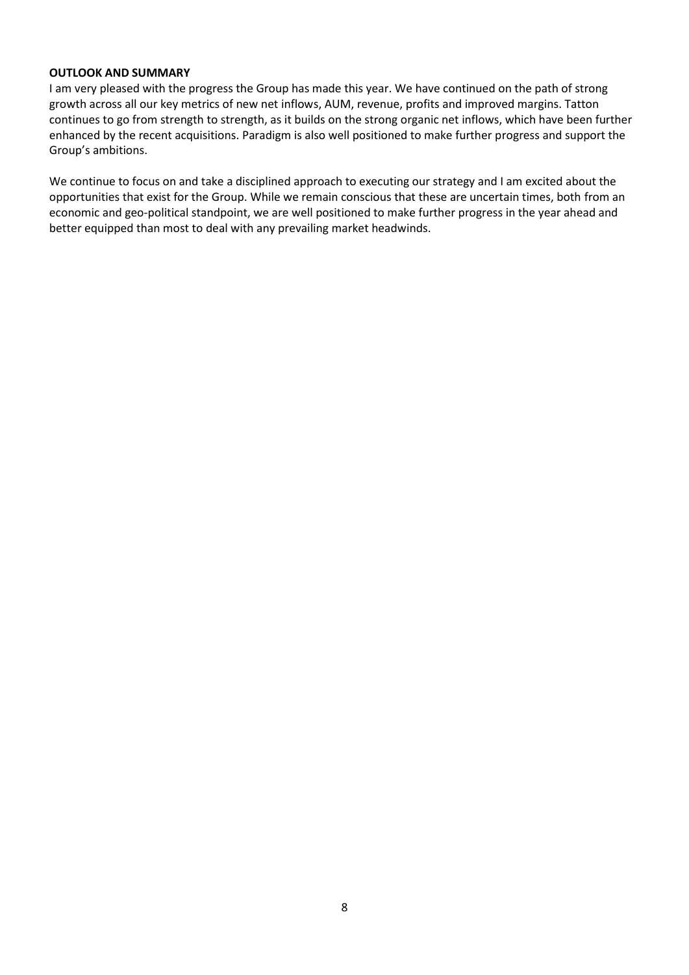#### **OUTLOOK AND SUMMARY**

I am very pleased with the progress the Group has made this year. We have continued on the path of strong growth across all our key metrics of new net inflows, AUM, revenue, profits and improved margins. Tatton continues to go from strength to strength, as it builds on the strong organic net inflows, which have been further enhanced by the recent acquisitions. Paradigm is also well positioned to make further progress and support the Group's ambitions.

We continue to focus on and take a disciplined approach to executing our strategy and I am excited about the opportunities that exist for the Group. While we remain conscious that these are uncertain times, both from an economic and geo-political standpoint, we are well positioned to make further progress in the year ahead and better equipped than most to deal with any prevailing market headwinds.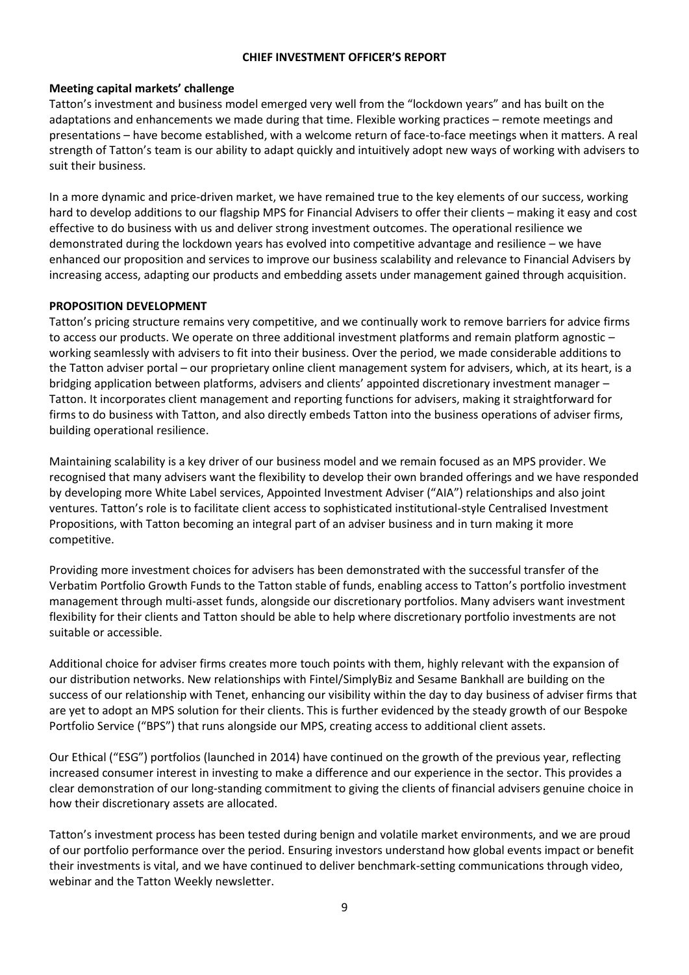## **CHIEF INVESTMENT OFFICER'S REPORT**

## **Meeting capital markets' challenge**

Tatton's investment and business model emerged very well from the "lockdown years" and has built on the adaptations and enhancements we made during that time. Flexible working practices – remote meetings and presentations – have become established, with a welcome return of face-to-face meetings when it matters. A real strength of Tatton's team is our ability to adapt quickly and intuitively adopt new ways of working with advisers to suit their business.

In a more dynamic and price-driven market, we have remained true to the key elements of our success, working hard to develop additions to our flagship MPS for Financial Advisers to offer their clients – making it easy and cost effective to do business with us and deliver strong investment outcomes. The operational resilience we demonstrated during the lockdown years has evolved into competitive advantage and resilience – we have enhanced our proposition and services to improve our business scalability and relevance to Financial Advisers by increasing access, adapting our products and embedding assets under management gained through acquisition.

## **PROPOSITION DEVELOPMENT**

Tatton's pricing structure remains very competitive, and we continually work to remove barriers for advice firms to access our products. We operate on three additional investment platforms and remain platform agnostic – working seamlessly with advisers to fit into their business. Over the period, we made considerable additions to the Tatton adviser portal – our proprietary online client management system for advisers, which, at its heart, is a bridging application between platforms, advisers and clients' appointed discretionary investment manager – Tatton. It incorporates client management and reporting functions for advisers, making it straightforward for firms to do business with Tatton, and also directly embeds Tatton into the business operations of adviser firms, building operational resilience.

Maintaining scalability is a key driver of our business model and we remain focused as an MPS provider. We recognised that many advisers want the flexibility to develop their own branded offerings and we have responded by developing more White Label services, Appointed Investment Adviser ("AIA") relationships and also joint ventures. Tatton's role is to facilitate client access to sophisticated institutional-style Centralised Investment Propositions, with Tatton becoming an integral part of an adviser business and in turn making it more competitive.

Providing more investment choices for advisers has been demonstrated with the successful transfer of the Verbatim Portfolio Growth Funds to the Tatton stable of funds, enabling access to Tatton's portfolio investment management through multi-asset funds, alongside our discretionary portfolios. Many advisers want investment flexibility for their clients and Tatton should be able to help where discretionary portfolio investments are not suitable or accessible.

Additional choice for adviser firms creates more touch points with them, highly relevant with the expansion of our distribution networks. New relationships with Fintel/SimplyBiz and Sesame Bankhall are building on the success of our relationship with Tenet, enhancing our visibility within the day to day business of adviser firms that are yet to adopt an MPS solution for their clients. This is further evidenced by the steady growth of our Bespoke Portfolio Service ("BPS") that runs alongside our MPS, creating access to additional client assets.

Our Ethical ("ESG") portfolios (launched in 2014) have continued on the growth of the previous year, reflecting increased consumer interest in investing to make a difference and our experience in the sector. This provides a clear demonstration of our long-standing commitment to giving the clients of financial advisers genuine choice in how their discretionary assets are allocated.

Tatton's investment process has been tested during benign and volatile market environments, and we are proud of our portfolio performance over the period. Ensuring investors understand how global events impact or benefit their investments is vital, and we have continued to deliver benchmark-setting communications through video, webinar and the Tatton Weekly newsletter.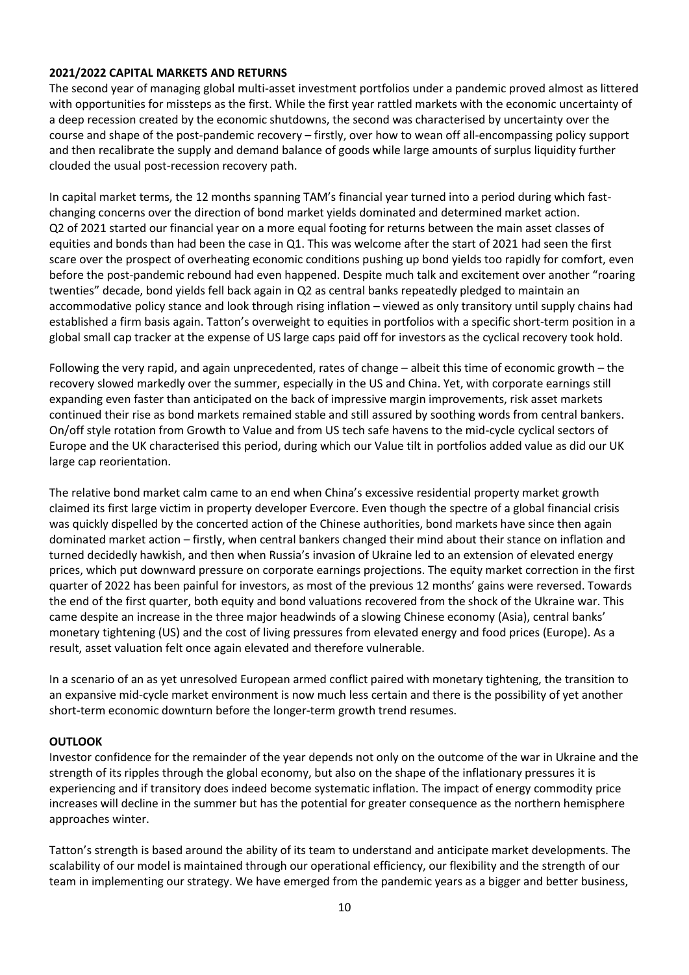## **2021/2022 CAPITAL MARKETS AND RETURNS**

The second year of managing global multi-asset investment portfolios under a pandemic proved almost as littered with opportunities for missteps as the first. While the first year rattled markets with the economic uncertainty of a deep recession created by the economic shutdowns, the second was characterised by uncertainty over the course and shape of the post-pandemic recovery – firstly, over how to wean off all-encompassing policy support and then recalibrate the supply and demand balance of goods while large amounts of surplus liquidity further clouded the usual post-recession recovery path.

In capital market terms, the 12 months spanning TAM's financial year turned into a period during which fastchanging concerns over the direction of bond market yields dominated and determined market action. Q2 of 2021 started our financial year on a more equal footing for returns between the main asset classes of equities and bonds than had been the case in Q1. This was welcome after the start of 2021 had seen the first scare over the prospect of overheating economic conditions pushing up bond yields too rapidly for comfort, even before the post-pandemic rebound had even happened. Despite much talk and excitement over another "roaring twenties" decade, bond yields fell back again in Q2 as central banks repeatedly pledged to maintain an accommodative policy stance and look through rising inflation – viewed as only transitory until supply chains had established a firm basis again. Tatton's overweight to equities in portfolios with a specific short-term position in a global small cap tracker at the expense of US large caps paid off for investors as the cyclical recovery took hold.

Following the very rapid, and again unprecedented, rates of change – albeit this time of economic growth – the recovery slowed markedly over the summer, especially in the US and China. Yet, with corporate earnings still expanding even faster than anticipated on the back of impressive margin improvements, risk asset markets continued their rise as bond markets remained stable and still assured by soothing words from central bankers. On/off style rotation from Growth to Value and from US tech safe havens to the mid-cycle cyclical sectors of Europe and the UK characterised this period, during which our Value tilt in portfolios added value as did our UK large cap reorientation.

The relative bond market calm came to an end when China's excessive residential property market growth claimed its first large victim in property developer Evercore. Even though the spectre of a global financial crisis was quickly dispelled by the concerted action of the Chinese authorities, bond markets have since then again dominated market action – firstly, when central bankers changed their mind about their stance on inflation and turned decidedly hawkish, and then when Russia's invasion of Ukraine led to an extension of elevated energy prices, which put downward pressure on corporate earnings projections. The equity market correction in the first quarter of 2022 has been painful for investors, as most of the previous 12 months' gains were reversed. Towards the end of the first quarter, both equity and bond valuations recovered from the shock of the Ukraine war. This came despite an increase in the three major headwinds of a slowing Chinese economy (Asia), central banks' monetary tightening (US) and the cost of living pressures from elevated energy and food prices (Europe). As a result, asset valuation felt once again elevated and therefore vulnerable.

In a scenario of an as yet unresolved European armed conflict paired with monetary tightening, the transition to an expansive mid-cycle market environment is now much less certain and there is the possibility of yet another short-term economic downturn before the longer-term growth trend resumes.

## **OUTLOOK**

Investor confidence for the remainder of the year depends not only on the outcome of the war in Ukraine and the strength of its ripples through the global economy, but also on the shape of the inflationary pressures it is experiencing and if transitory does indeed become systematic inflation. The impact of energy commodity price increases will decline in the summer but has the potential for greater consequence as the northern hemisphere approaches winter.

Tatton's strength is based around the ability of its team to understand and anticipate market developments. The scalability of our model is maintained through our operational efficiency, our flexibility and the strength of our team in implementing our strategy. We have emerged from the pandemic years as a bigger and better business,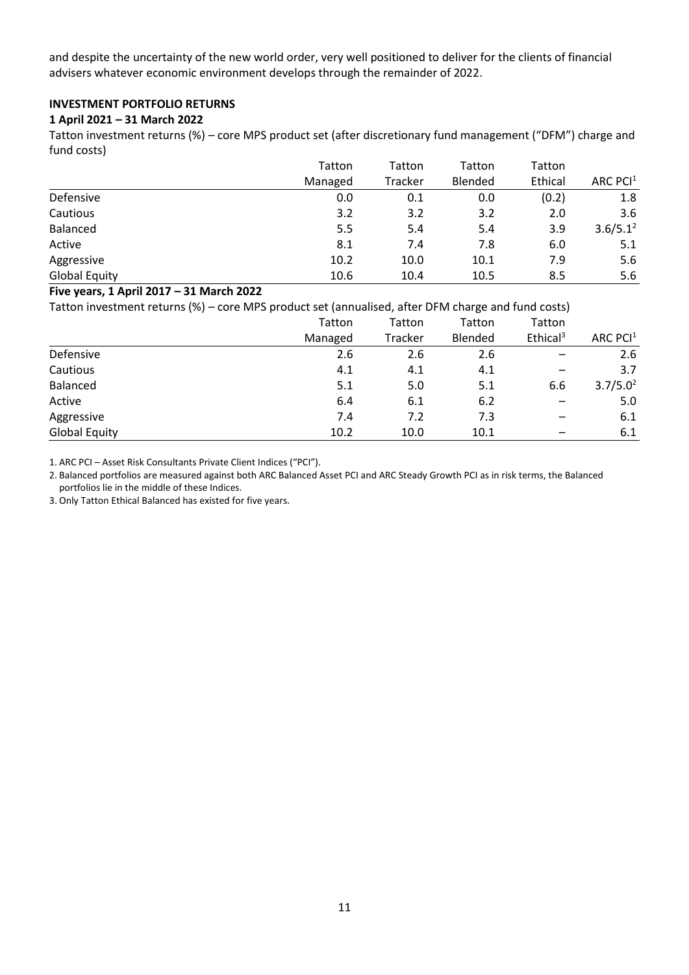and despite the uncertainty of the new world order, very well positioned to deliver for the clients of financial advisers whatever economic environment develops through the remainder of 2022.

## **INVESTMENT PORTFOLIO RETURNS**

## **1 April 2021 – 31 March 2022**

Tatton investment returns (%) – core MPS product set (after discretionary fund management ("DFM") charge and fund costs)

|                      | Tatton  | Tatton  | Tatton  | Tatton  |             |
|----------------------|---------|---------|---------|---------|-------------|
|                      | Managed | Tracker | Blended | Ethical | ARC $PCI1$  |
| Defensive            | 0.0     | 0.1     | 0.0     | (0.2)   | 1.8         |
| Cautious             | 3.2     | 3.2     | 3.2     | 2.0     | 3.6         |
| Balanced             | 5.5     | 5.4     | 5.4     | 3.9     | $3.6/5.1^2$ |
| Active               | 8.1     | 7.4     | 7.8     | 6.0     | 5.1         |
| Aggressive           | 10.2    | 10.0    | 10.1    | 7.9     | 5.6         |
| <b>Global Equity</b> | 10.6    | 10.4    | 10.5    | 8.5     | 5.6         |

## **Five years, 1 April 2017 – 31 March 2022**

Tatton investment returns (%) – core MPS product set (annualised, after DFM charge and fund costs)

|                      | Tatton  | Tatton         | Tatton  | Tatton               |                      |
|----------------------|---------|----------------|---------|----------------------|----------------------|
|                      | Managed | <b>Tracker</b> | Blended | Ethical <sup>3</sup> | ARC PCI $1$          |
| Defensive            | 2.6     | 2.6            | 2.6     |                      | 2.6                  |
| Cautious             | 4.1     | 4.1            | 4.1     |                      | 3.7                  |
| Balanced             | 5.1     | 5.0            | 5.1     | 6.6                  | 3.7/5.0 <sup>2</sup> |
| Active               | 6.4     | 6.1            | 6.2     |                      | 5.0                  |
| Aggressive           | 7.4     | 7.2            | 7.3     |                      | 6.1                  |
| <b>Global Equity</b> | 10.2    | 10.0           | 10.1    |                      | 6.1                  |

1. ARC PCI – Asset Risk Consultants Private Client Indices ("PCI").

2. Balanced portfolios are measured against both ARC Balanced Asset PCI and ARC Steady Growth PCI as in risk terms, the Balanced portfolios lie in the middle of these Indices.

3. Only Tatton Ethical Balanced has existed for five years.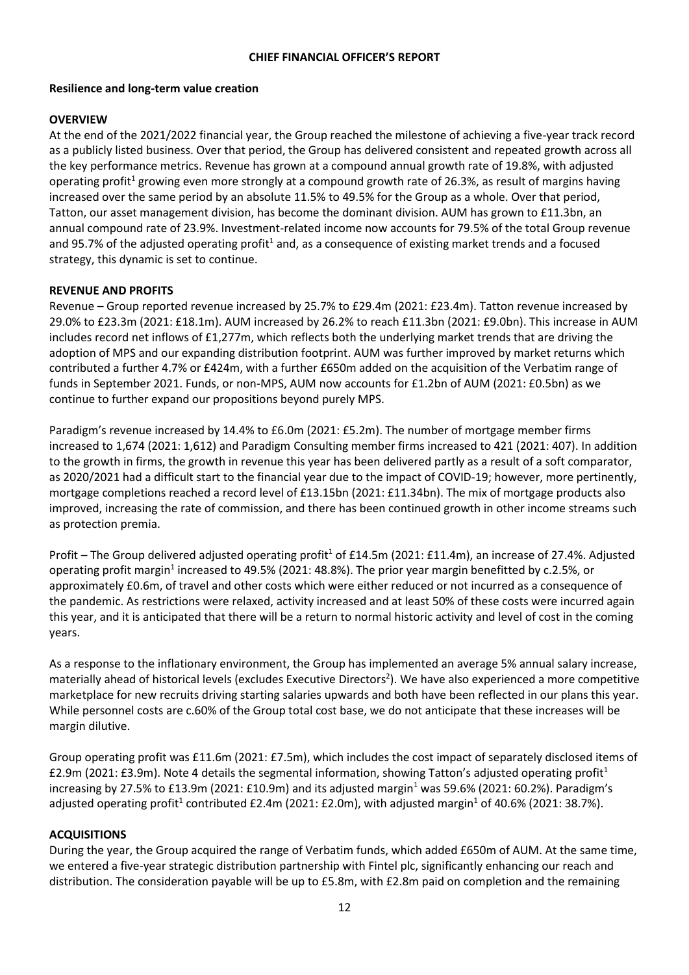## **CHIEF FINANCIAL OFFICER'S REPORT**

## **Resilience and long-term value creation**

## **OVERVIEW**

At the end of the 2021/2022 financial year, the Group reached the milestone of achieving a five-year track record as a publicly listed business. Over that period, the Group has delivered consistent and repeated growth across all the key performance metrics. Revenue has grown at a compound annual growth rate of 19.8%, with adjusted operating profit<sup>1</sup> growing even more strongly at a compound growth rate of 26.3%, as result of margins having increased over the same period by an absolute 11.5% to 49.5% for the Group as a whole. Over that period, Tatton, our asset management division, has become the dominant division. AUM has grown to £11.3bn, an annual compound rate of 23.9%. Investment-related income now accounts for 79.5% of the total Group revenue and 95.7% of the adjusted operating profit<sup>1</sup> and, as a consequence of existing market trends and a focused strategy, this dynamic is set to continue.

## **REVENUE AND PROFITS**

Revenue – Group reported revenue increased by 25.7% to £29.4m (2021: £23.4m). Tatton revenue increased by 29.0% to £23.3m (2021: £18.1m). AUM increased by 26.2% to reach £11.3bn (2021: £9.0bn). This increase in AUM includes record net inflows of £1,277m, which reflects both the underlying market trends that are driving the adoption of MPS and our expanding distribution footprint. AUM was further improved by market returns which contributed a further 4.7% or £424m, with a further £650m added on the acquisition of the Verbatim range of funds in September 2021. Funds, or non-MPS, AUM now accounts for £1.2bn of AUM (2021: £0.5bn) as we continue to further expand our propositions beyond purely MPS.

Paradigm's revenue increased by 14.4% to £6.0m (2021: £5.2m). The number of mortgage member firms increased to 1,674 (2021: 1,612) and Paradigm Consulting member firms increased to 421 (2021: 407). In addition to the growth in firms, the growth in revenue this year has been delivered partly as a result of a soft comparator, as 2020/2021 had a difficult start to the financial year due to the impact of COVID-19; however, more pertinently, mortgage completions reached a record level of £13.15bn (2021: £11.34bn). The mix of mortgage products also improved, increasing the rate of commission, and there has been continued growth in other income streams such as protection premia.

Profit – The Group delivered adjusted operating profit<sup>1</sup> of £14.5m (2021: £11.4m), an increase of 27.4%. Adjusted operating profit margin<sup>1</sup> increased to 49.5% (2021: 48.8%). The prior year margin benefitted by c.2.5%, or approximately £0.6m, of travel and other costs which were either reduced or not incurred as a consequence of the pandemic. As restrictions were relaxed, activity increased and at least 50% of these costs were incurred again this year, and it is anticipated that there will be a return to normal historic activity and level of cost in the coming years.

As a response to the inflationary environment, the Group has implemented an average 5% annual salary increase, materially ahead of historical levels (excludes Executive Directors<sup>2</sup>). We have also experienced a more competitive marketplace for new recruits driving starting salaries upwards and both have been reflected in our plans this year. While personnel costs are c.60% of the Group total cost base, we do not anticipate that these increases will be margin dilutive.

Group operating profit was £11.6m (2021: £7.5m), which includes the cost impact of separately disclosed items of £2.9m (2021: £3.9m). Note 4 details the segmental information, showing Tatton's adjusted operating profit<sup>1</sup> increasing by 27.5% to £13.9m (2021: £10.9m) and its adjusted margin<sup>1</sup> was 59.6% (2021: 60.2%). Paradigm's adjusted operating profit<sup>1</sup> contributed £2.4m (2021: £2.0m), with adjusted margin<sup>1</sup> of 40.6% (2021: 38.7%).

## **ACQUISITIONS**

During the year, the Group acquired the range of Verbatim funds, which added £650m of AUM. At the same time, we entered a five-year strategic distribution partnership with Fintel plc, significantly enhancing our reach and distribution. The consideration payable will be up to £5.8m, with £2.8m paid on completion and the remaining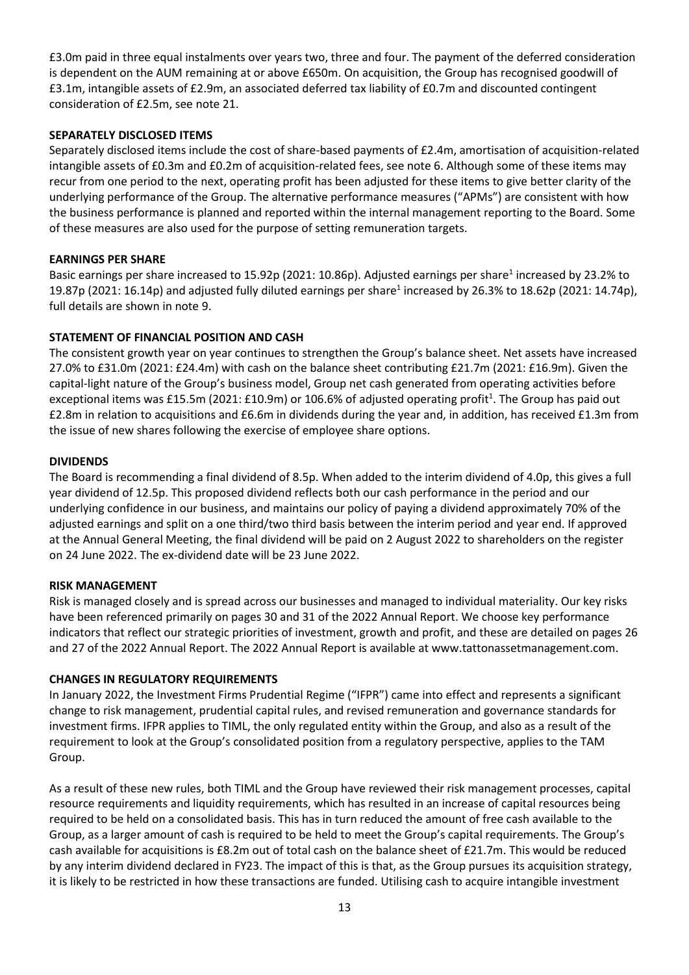£3.0m paid in three equal instalments over years two, three and four. The payment of the deferred consideration is dependent on the AUM remaining at or above £650m. On acquisition, the Group has recognised goodwill of £3.1m, intangible assets of £2.9m, an associated deferred tax liability of £0.7m and discounted contingent consideration of £2.5m, see note 21.

## **SEPARATELY DISCLOSED ITEMS**

Separately disclosed items include the cost of share-based payments of £2.4m, amortisation of acquisition-related intangible assets of £0.3m and £0.2m of acquisition-related fees, see note 6. Although some of these items may recur from one period to the next, operating profit has been adjusted for these items to give better clarity of the underlying performance of the Group. The alternative performance measures ("APMs") are consistent with how the business performance is planned and reported within the internal management reporting to the Board. Some of these measures are also used for the purpose of setting remuneration targets.

## **EARNINGS PER SHARE**

Basic earnings per share increased to 15.92p (2021: 10.86p). Adjusted earnings per share<sup>1</sup> increased by 23.2% to 19.87p (2021: 16.14p) and adjusted fully diluted earnings per share<sup>1</sup> increased by 26.3% to 18.62p (2021: 14.74p), full details are shown in note 9.

## **STATEMENT OF FINANCIAL POSITION AND CASH**

The consistent growth year on year continues to strengthen the Group's balance sheet. Net assets have increased 27.0% to £31.0m (2021: £24.4m) with cash on the balance sheet contributing £21.7m (2021: £16.9m). Given the capital-light nature of the Group's business model, Group net cash generated from operating activities before exceptional items was £15.5m (2021: £10.9m) or 106.6% of adjusted operating profit<sup>1</sup>. The Group has paid out £2.8m in relation to acquisitions and £6.6m in dividends during the year and, in addition, has received £1.3m from the issue of new shares following the exercise of employee share options.

## **DIVIDENDS**

The Board is recommending a final dividend of 8.5p. When added to the interim dividend of 4.0p, this gives a full year dividend of 12.5p. This proposed dividend reflects both our cash performance in the period and our underlying confidence in our business, and maintains our policy of paying a dividend approximately 70% of the adjusted earnings and split on a one third/two third basis between the interim period and year end. If approved at the Annual General Meeting, the final dividend will be paid on 2 August 2022 to shareholders on the register on 24 June 2022. The ex-dividend date will be 23 June 2022.

## **RISK MANAGEMENT**

Risk is managed closely and is spread across our businesses and managed to individual materiality. Our key risks have been referenced primarily on pages 30 and 31 of the 2022 Annual Report. We choose key performance indicators that reflect our strategic priorities of investment, growth and profit, and these are detailed on pages 26 and 27 of the 2022 Annual Report. The 2022 Annual Report is available at www.tattonassetmanagement.com.

## **CHANGES IN REGULATORY REQUIREMENTS**

In January 2022, the Investment Firms Prudential Regime ("IFPR") came into effect and represents a significant change to risk management, prudential capital rules, and revised remuneration and governance standards for investment firms. IFPR applies to TIML, the only regulated entity within the Group, and also as a result of the requirement to look at the Group's consolidated position from a regulatory perspective, applies to the TAM Group.

As a result of these new rules, both TIML and the Group have reviewed their risk management processes, capital resource requirements and liquidity requirements, which has resulted in an increase of capital resources being required to be held on a consolidated basis. This has in turn reduced the amount of free cash available to the Group, as a larger amount of cash is required to be held to meet the Group's capital requirements. The Group's cash available for acquisitions is £8.2m out of total cash on the balance sheet of £21.7m. This would be reduced by any interim dividend declared in FY23. The impact of this is that, as the Group pursues its acquisition strategy, it is likely to be restricted in how these transactions are funded. Utilising cash to acquire intangible investment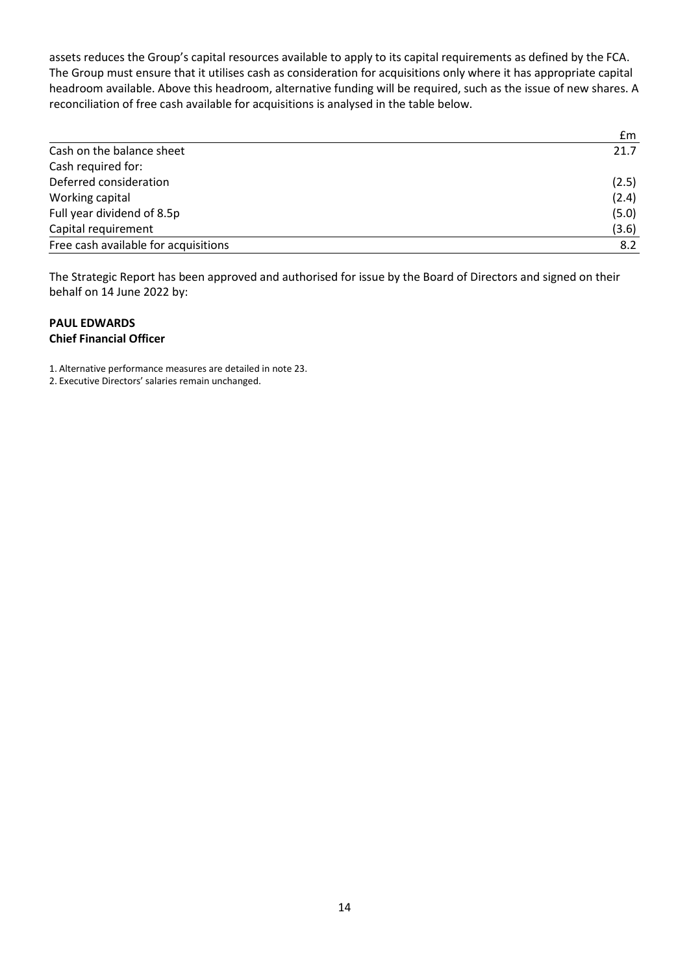assets reduces the Group's capital resources available to apply to its capital requirements as defined by the FCA. The Group must ensure that it utilises cash as consideration for acquisitions only where it has appropriate capital headroom available. Above this headroom, alternative funding will be required, such as the issue of new shares. A reconciliation of free cash available for acquisitions is analysed in the table below.

|                                      | £m    |
|--------------------------------------|-------|
| Cash on the balance sheet            | 21.7  |
| Cash required for:                   |       |
| Deferred consideration               | (2.5) |
| Working capital                      | (2.4) |
| Full year dividend of 8.5p           | (5.0) |
| Capital requirement                  | (3.6) |
| Free cash available for acquisitions | 8.2   |

The Strategic Report has been approved and authorised for issue by the Board of Directors and signed on their behalf on 14 June 2022 by:

## **PAUL EDWARDS Chief Financial Officer**

1. Alternative performance measures are detailed in note 23.

2. Executive Directors' salaries remain unchanged.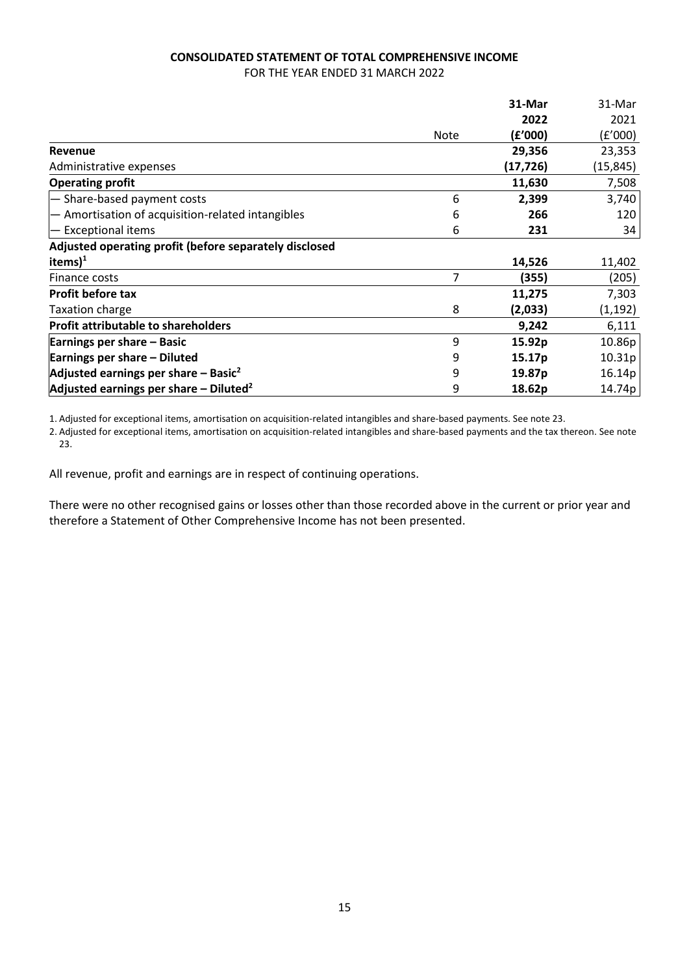## **CONSOLIDATED STATEMENT OF TOTAL COMPREHENSIVE INCOME** FOR THE YEAR ENDED 31 MARCH 2022

|                                                        |             | 31-Mar             | 31-Mar    |
|--------------------------------------------------------|-------------|--------------------|-----------|
|                                                        |             | 2022               | 2021      |
|                                                        | <b>Note</b> | (£'000)            | (f'000)   |
| <b>Revenue</b>                                         |             | 29,356             | 23,353    |
| Administrative expenses                                |             | (17, 726)          | (15, 845) |
| <b>Operating profit</b>                                |             | 11,630             | 7,508     |
| - Share-based payment costs                            | 6           | 2,399              | 3,740     |
| - Amortisation of acquisition-related intangibles      | 6           | 266                | 120       |
| - Exceptional items                                    | 6           | 231                | 34        |
| Adjusted operating profit (before separately disclosed |             |                    |           |
| items $)^1$                                            |             | 14,526             | 11,402    |
| Finance costs                                          | 7           | (355)              | (205)     |
| Profit before tax                                      |             | 11,275             | 7,303     |
| <b>Taxation charge</b>                                 | 8           | (2,033)            | (1, 192)  |
| <b>Profit attributable to shareholders</b>             |             | 9,242              | 6,111     |
| Earnings per share – Basic                             | 9           | 15.92p             | 10.86p    |
| Earnings per share - Diluted                           | 9           | 15.17p             | 10.31p    |
| Adjusted earnings per share $-$ Basic <sup>2</sup>     | 9           | 19.87 <sub>p</sub> | 16.14p    |
| Adjusted earnings per share $-$ Diluted <sup>2</sup>   | 9           | 18.62p             | 14.74p    |

1. Adjusted for exceptional items, amortisation on acquisition-related intangibles and share-based payments. See note 23.

2. Adjusted for exceptional items, amortisation on acquisition-related intangibles and share-based payments and the tax thereon. See note 23.

All revenue, profit and earnings are in respect of continuing operations.

There were no other recognised gains or losses other than those recorded above in the current or prior year and therefore a Statement of Other Comprehensive Income has not been presented.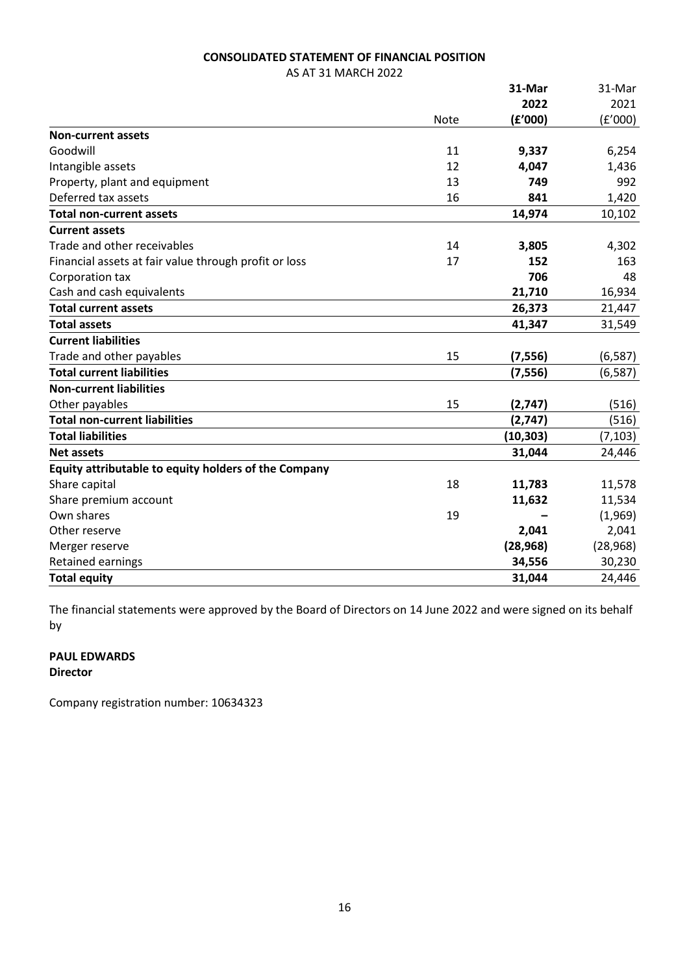## **CONSOLIDATED STATEMENT OF FINANCIAL POSITION**

AS AT 31 MARCH 2022

|                                                       |             | 31-Mar    | 31-Mar    |
|-------------------------------------------------------|-------------|-----------|-----------|
|                                                       |             | 2022      | 2021      |
|                                                       | <b>Note</b> | (f'000)   | (f'000)   |
| <b>Non-current assets</b>                             |             |           |           |
| Goodwill                                              | 11          | 9,337     | 6,254     |
| Intangible assets                                     | 12          | 4,047     | 1,436     |
| Property, plant and equipment                         | 13          | 749       | 992       |
| Deferred tax assets                                   | 16          | 841       | 1,420     |
| <b>Total non-current assets</b>                       |             | 14,974    | 10,102    |
| <b>Current assets</b>                                 |             |           |           |
| Trade and other receivables                           | 14          | 3,805     | 4,302     |
| Financial assets at fair value through profit or loss | 17          | 152       | 163       |
| Corporation tax                                       |             | 706       | 48        |
| Cash and cash equivalents                             |             | 21,710    | 16,934    |
| <b>Total current assets</b>                           |             | 26,373    | 21,447    |
| <b>Total assets</b>                                   |             | 41,347    | 31,549    |
| <b>Current liabilities</b>                            |             |           |           |
| Trade and other payables                              | 15          | (7, 556)  | (6, 587)  |
| <b>Total current liabilities</b>                      |             | (7, 556)  | (6, 587)  |
| <b>Non-current liabilities</b>                        |             |           |           |
| Other payables                                        | 15          | (2,747)   | (516)     |
| <b>Total non-current liabilities</b>                  |             | (2,747)   | (516)     |
| <b>Total liabilities</b>                              |             | (10, 303) | (7, 103)  |
| <b>Net assets</b>                                     |             | 31,044    | 24,446    |
| Equity attributable to equity holders of the Company  |             |           |           |
| Share capital                                         | 18          | 11,783    | 11,578    |
| Share premium account                                 |             | 11,632    | 11,534    |
| Own shares                                            | 19          |           | (1,969)   |
| Other reserve                                         |             | 2,041     | 2,041     |
| Merger reserve                                        |             | (28, 968) | (28, 968) |
| Retained earnings                                     |             | 34,556    | 30,230    |
| <b>Total equity</b>                                   |             | 31,044    | 24,446    |

The financial statements were approved by the Board of Directors on 14 June 2022 and were signed on its behalf by

# **PAUL EDWARDS**

# **Director**

Company registration number: 10634323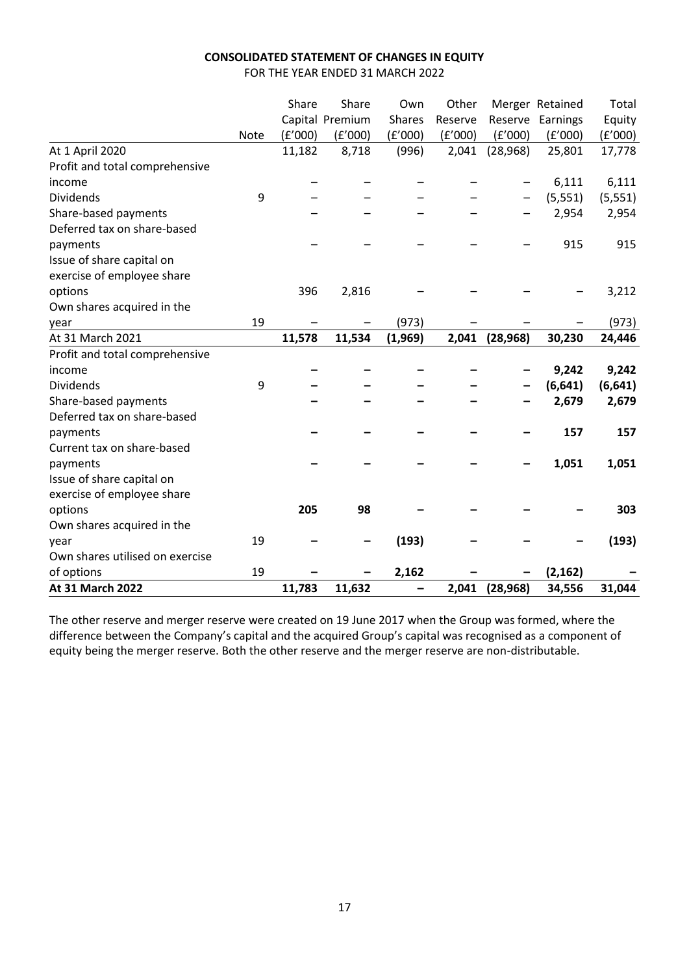# **CONSOLIDATED STATEMENT OF CHANGES IN EQUITY**

FOR THE YEAR ENDED 31 MARCH 2022

|                                 |             | Share   | Share           | Own           | Other   |           | Merger Retained | Total    |
|---------------------------------|-------------|---------|-----------------|---------------|---------|-----------|-----------------|----------|
|                                 |             |         | Capital Premium | <b>Shares</b> | Reserve | Reserve   | Earnings        | Equity   |
|                                 | <b>Note</b> | (f'000) | (E'000)         | (f'000)       | (f'000) | (f'000)   | (E'000)         | (f'000)  |
| At 1 April 2020                 |             | 11,182  | 8,718           | (996)         | 2,041   | (28, 968) | 25,801          | 17,778   |
| Profit and total comprehensive  |             |         |                 |               |         |           |                 |          |
| income                          |             |         |                 |               |         |           | 6,111           | 6,111    |
| <b>Dividends</b>                | 9           |         |                 |               |         |           | (5, 551)        | (5, 551) |
| Share-based payments            |             |         |                 |               |         |           | 2,954           | 2,954    |
| Deferred tax on share-based     |             |         |                 |               |         |           |                 |          |
| payments                        |             |         |                 |               |         |           | 915             | 915      |
| Issue of share capital on       |             |         |                 |               |         |           |                 |          |
| exercise of employee share      |             |         |                 |               |         |           |                 |          |
| options                         |             | 396     | 2,816           |               |         |           |                 | 3,212    |
| Own shares acquired in the      |             |         |                 |               |         |           |                 |          |
| year                            | 19          |         |                 | (973)         |         |           |                 | (973)    |
| At 31 March 2021                |             | 11,578  | 11,534          | (1,969)       | 2,041   | (28, 968) | 30,230          | 24,446   |
| Profit and total comprehensive  |             |         |                 |               |         |           |                 |          |
| income                          |             |         |                 |               |         |           | 9,242           | 9,242    |
| <b>Dividends</b>                | 9           |         |                 |               |         |           | (6, 641)        | (6, 641) |
| Share-based payments            |             |         |                 |               |         |           | 2,679           | 2,679    |
| Deferred tax on share-based     |             |         |                 |               |         |           |                 |          |
| payments                        |             |         |                 |               |         |           | 157             | 157      |
| Current tax on share-based      |             |         |                 |               |         |           |                 |          |
| payments                        |             |         |                 |               |         |           | 1,051           | 1,051    |
| Issue of share capital on       |             |         |                 |               |         |           |                 |          |
| exercise of employee share      |             |         |                 |               |         |           |                 |          |
| options                         |             | 205     | 98              |               |         |           |                 | 303      |
| Own shares acquired in the      |             |         |                 |               |         |           |                 |          |
| year                            | 19          |         |                 | (193)         |         |           |                 | (193)    |
| Own shares utilised on exercise |             |         |                 |               |         |           |                 |          |
| of options                      | 19          |         |                 | 2,162         |         |           | (2, 162)        |          |
| At 31 March 2022                |             | 11,783  | 11,632          |               | 2,041   | (28, 968) | 34,556          | 31,044   |

The other reserve and merger reserve were created on 19 June 2017 when the Group was formed, where the difference between the Company's capital and the acquired Group's capital was recognised as a component of equity being the merger reserve. Both the other reserve and the merger reserve are non-distributable.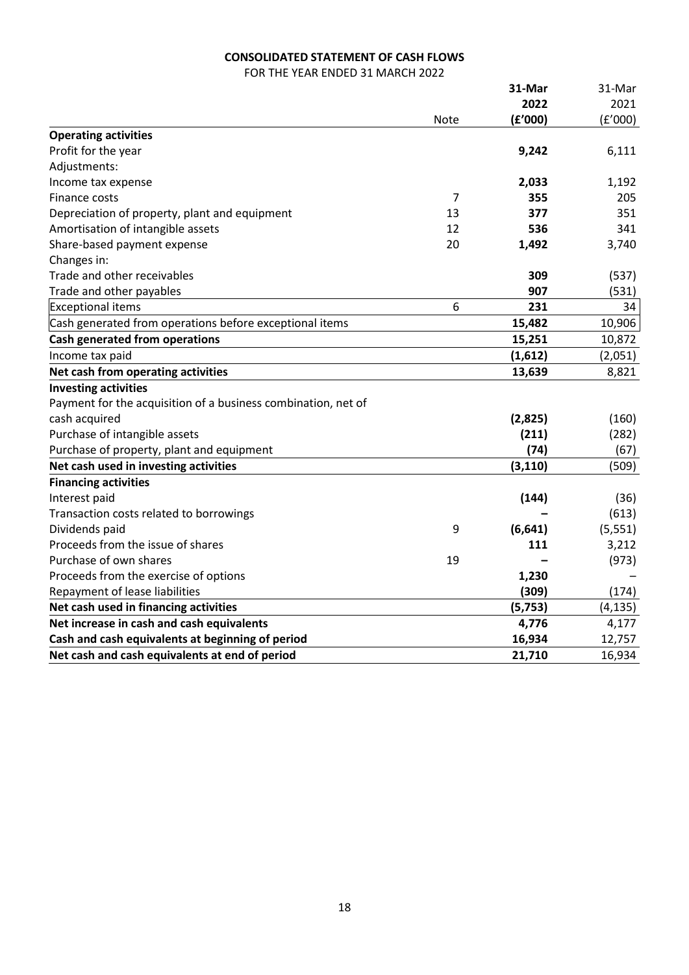## **CONSOLIDATED STATEMENT OF CASH FLOWS**

FOR THE YEAR ENDED 31 MARCH 2022

|                                                               |             | 31-Mar   | 31-Mar   |
|---------------------------------------------------------------|-------------|----------|----------|
|                                                               |             | 2022     | 2021     |
|                                                               | <b>Note</b> | (f'000)  | (f'000)  |
| <b>Operating activities</b>                                   |             |          |          |
| Profit for the year                                           |             | 9,242    | 6,111    |
| Adjustments:                                                  |             |          |          |
| Income tax expense                                            |             | 2,033    | 1,192    |
| Finance costs                                                 | 7           | 355      | 205      |
| Depreciation of property, plant and equipment                 | 13          | 377      | 351      |
| Amortisation of intangible assets                             | 12          | 536      | 341      |
| Share-based payment expense                                   | 20          | 1,492    | 3,740    |
| Changes in:                                                   |             |          |          |
| Trade and other receivables                                   |             | 309      | (537)    |
| Trade and other payables                                      |             | 907      | (531)    |
| <b>Exceptional items</b>                                      | 6           | 231      | 34       |
| Cash generated from operations before exceptional items       |             | 15,482   | 10,906   |
| <b>Cash generated from operations</b>                         |             | 15,251   | 10,872   |
| Income tax paid                                               |             | (1,612)  | (2,051)  |
| Net cash from operating activities                            |             | 13,639   | 8,821    |
| <b>Investing activities</b>                                   |             |          |          |
| Payment for the acquisition of a business combination, net of |             |          |          |
| cash acquired                                                 |             | (2,825)  | (160)    |
| Purchase of intangible assets                                 |             | (211)    | (282)    |
| Purchase of property, plant and equipment                     |             | (74)     | (67)     |
| Net cash used in investing activities                         |             | (3, 110) | (509)    |
| <b>Financing activities</b>                                   |             |          |          |
| Interest paid                                                 |             | (144)    | (36)     |
| Transaction costs related to borrowings                       |             |          | (613)    |
| Dividends paid                                                | 9           | (6, 641) | (5, 551) |
| Proceeds from the issue of shares                             |             | 111      | 3,212    |
| Purchase of own shares                                        | 19          |          | (973)    |
| Proceeds from the exercise of options                         |             | 1,230    |          |
| Repayment of lease liabilities                                |             | (309)    | (174)    |
| Net cash used in financing activities                         |             | (5, 753) | (4, 135) |
| Net increase in cash and cash equivalents                     |             | 4,776    | 4,177    |
| Cash and cash equivalents at beginning of period              |             | 16,934   | 12,757   |
| Net cash and cash equivalents at end of period                |             | 21,710   | 16,934   |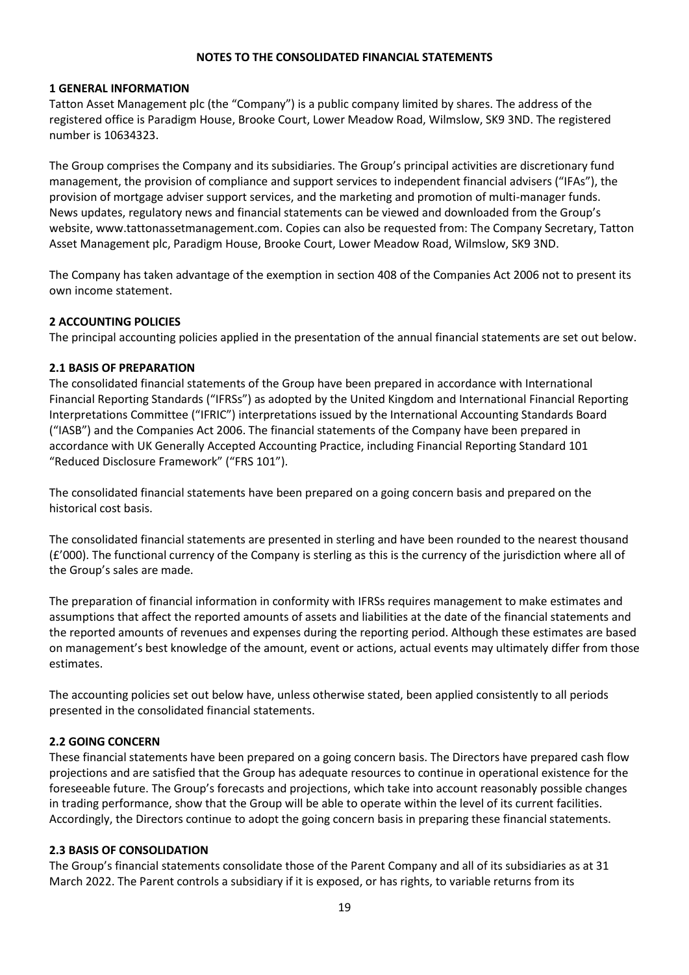#### **NOTES TO THE CONSOLIDATED FINANCIAL STATEMENTS**

#### **1 GENERAL INFORMATION**

Tatton Asset Management plc (the "Company") is a public company limited by shares. The address of the registered office is Paradigm House, Brooke Court, Lower Meadow Road, Wilmslow, SK9 3ND. The registered number is 10634323.

The Group comprises the Company and its subsidiaries. The Group's principal activities are discretionary fund management, the provision of compliance and support services to independent financial advisers ("IFAs"), the provision of mortgage adviser support services, and the marketing and promotion of multi-manager funds. News updates, regulatory news and financial statements can be viewed and downloaded from the Group's website, www.tattonassetmanagement.com. Copies can also be requested from: The Company Secretary, Tatton Asset Management plc, Paradigm House, Brooke Court, Lower Meadow Road, Wilmslow, SK9 3ND.

The Company has taken advantage of the exemption in section 408 of the Companies Act 2006 not to present its own income statement.

## **2 ACCOUNTING POLICIES**

The principal accounting policies applied in the presentation of the annual financial statements are set out below.

#### **2.1 BASIS OF PREPARATION**

The consolidated financial statements of the Group have been prepared in accordance with International Financial Reporting Standards ("IFRSs") as adopted by the United Kingdom and International Financial Reporting Interpretations Committee ("IFRIC") interpretations issued by the International Accounting Standards Board ("IASB") and the Companies Act 2006. The financial statements of the Company have been prepared in accordance with UK Generally Accepted Accounting Practice, including Financial Reporting Standard 101 "Reduced Disclosure Framework" ("FRS 101").

The consolidated financial statements have been prepared on a going concern basis and prepared on the historical cost basis.

The consolidated financial statements are presented in sterling and have been rounded to the nearest thousand (£'000). The functional currency of the Company is sterling as this is the currency of the jurisdiction where all of the Group's sales are made.

The preparation of financial information in conformity with IFRSs requires management to make estimates and assumptions that affect the reported amounts of assets and liabilities at the date of the financial statements and the reported amounts of revenues and expenses during the reporting period. Although these estimates are based on management's best knowledge of the amount, event or actions, actual events may ultimately differ from those estimates.

The accounting policies set out below have, unless otherwise stated, been applied consistently to all periods presented in the consolidated financial statements.

## **2.2 GOING CONCERN**

These financial statements have been prepared on a going concern basis. The Directors have prepared cash flow projections and are satisfied that the Group has adequate resources to continue in operational existence for the foreseeable future. The Group's forecasts and projections, which take into account reasonably possible changes in trading performance, show that the Group will be able to operate within the level of its current facilities. Accordingly, the Directors continue to adopt the going concern basis in preparing these financial statements.

#### **2.3 BASIS OF CONSOLIDATION**

The Group's financial statements consolidate those of the Parent Company and all of its subsidiaries as at 31 March 2022. The Parent controls a subsidiary if it is exposed, or has rights, to variable returns from its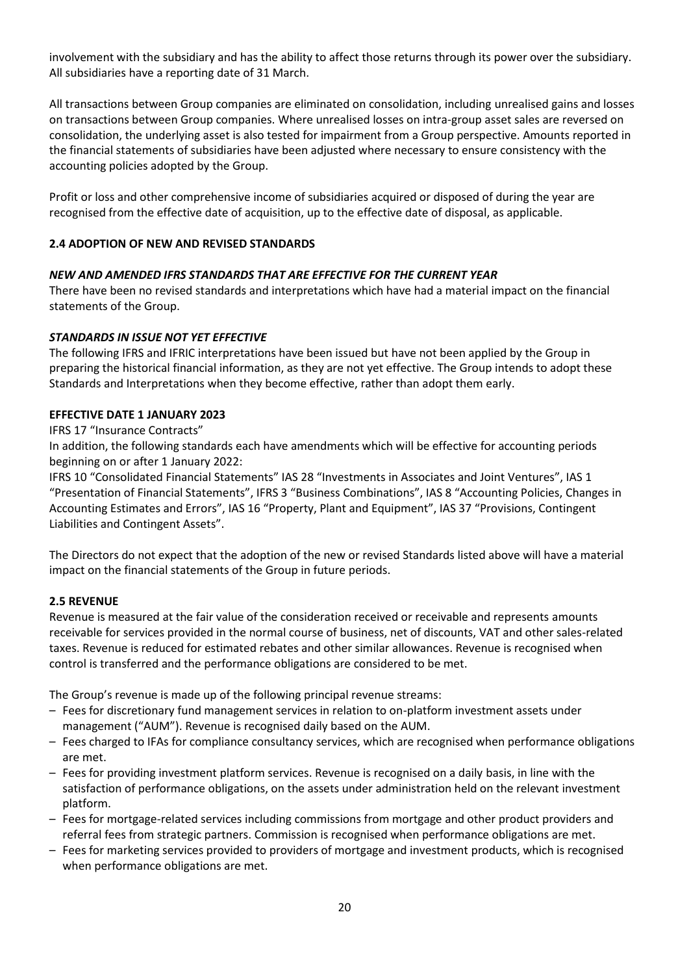involvement with the subsidiary and has the ability to affect those returns through its power over the subsidiary. All subsidiaries have a reporting date of 31 March.

All transactions between Group companies are eliminated on consolidation, including unrealised gains and losses on transactions between Group companies. Where unrealised losses on intra-group asset sales are reversed on consolidation, the underlying asset is also tested for impairment from a Group perspective. Amounts reported in the financial statements of subsidiaries have been adjusted where necessary to ensure consistency with the accounting policies adopted by the Group.

Profit or loss and other comprehensive income of subsidiaries acquired or disposed of during the year are recognised from the effective date of acquisition, up to the effective date of disposal, as applicable.

## **2.4 ADOPTION OF NEW AND REVISED STANDARDS**

## *NEW AND AMENDED IFRS STANDARDS THAT ARE EFFECTIVE FOR THE CURRENT YEAR*

There have been no revised standards and interpretations which have had a material impact on the financial statements of the Group.

## *STANDARDS IN ISSUE NOT YET EFFECTIVE*

The following IFRS and IFRIC interpretations have been issued but have not been applied by the Group in preparing the historical financial information, as they are not yet effective. The Group intends to adopt these Standards and Interpretations when they become effective, rather than adopt them early.

## **EFFECTIVE DATE 1 JANUARY 2023**

## IFRS 17 "Insurance Contracts"

In addition, the following standards each have amendments which will be effective for accounting periods beginning on or after 1 January 2022:

IFRS 10 "Consolidated Financial Statements" IAS 28 "Investments in Associates and Joint Ventures", IAS 1 "Presentation of Financial Statements", IFRS 3 "Business Combinations", IAS 8 "Accounting Policies, Changes in Accounting Estimates and Errors", IAS 16 "Property, Plant and Equipment", IAS 37 "Provisions, Contingent Liabilities and Contingent Assets".

The Directors do not expect that the adoption of the new or revised Standards listed above will have a material impact on the financial statements of the Group in future periods.

## **2.5 REVENUE**

Revenue is measured at the fair value of the consideration received or receivable and represents amounts receivable for services provided in the normal course of business, net of discounts, VAT and other sales-related taxes. Revenue is reduced for estimated rebates and other similar allowances. Revenue is recognised when control is transferred and the performance obligations are considered to be met.

The Group's revenue is made up of the following principal revenue streams:

- Fees for discretionary fund management services in relation to on-platform investment assets under management ("AUM"). Revenue is recognised daily based on the AUM.
- Fees charged to IFAs for compliance consultancy services, which are recognised when performance obligations are met.
- Fees for providing investment platform services. Revenue is recognised on a daily basis, in line with the satisfaction of performance obligations, on the assets under administration held on the relevant investment platform.
- Fees for mortgage-related services including commissions from mortgage and other product providers and referral fees from strategic partners. Commission is recognised when performance obligations are met.
- Fees for marketing services provided to providers of mortgage and investment products, which is recognised when performance obligations are met.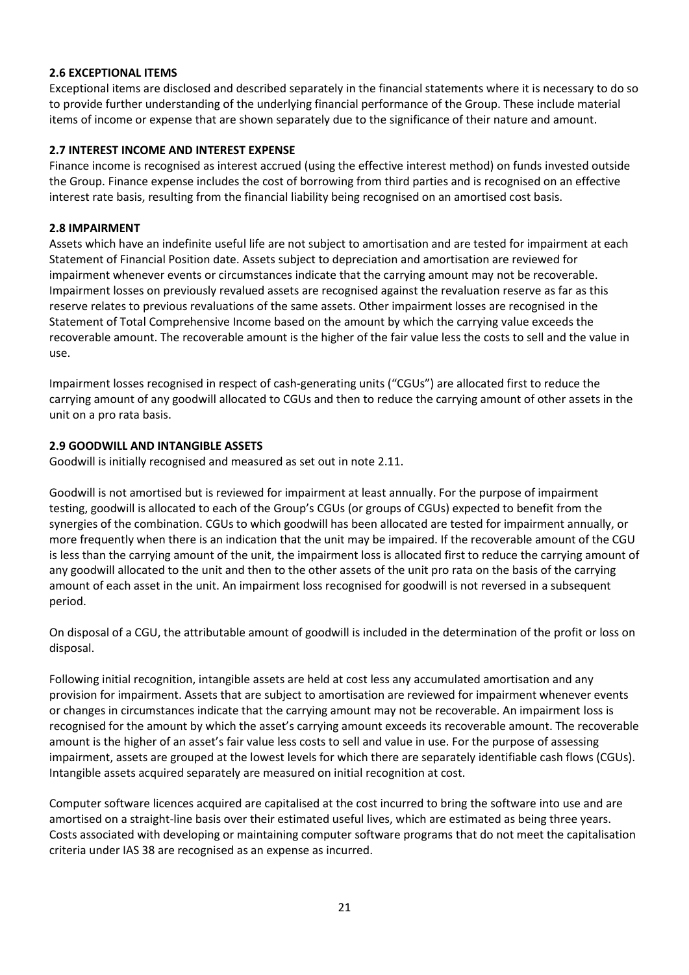## **2.6 EXCEPTIONAL ITEMS**

Exceptional items are disclosed and described separately in the financial statements where it is necessary to do so to provide further understanding of the underlying financial performance of the Group. These include material items of income or expense that are shown separately due to the significance of their nature and amount.

## **2.7 INTEREST INCOME AND INTEREST EXPENSE**

Finance income is recognised as interest accrued (using the effective interest method) on funds invested outside the Group. Finance expense includes the cost of borrowing from third parties and is recognised on an effective interest rate basis, resulting from the financial liability being recognised on an amortised cost basis.

## **2.8 IMPAIRMENT**

Assets which have an indefinite useful life are not subject to amortisation and are tested for impairment at each Statement of Financial Position date. Assets subject to depreciation and amortisation are reviewed for impairment whenever events or circumstances indicate that the carrying amount may not be recoverable. Impairment losses on previously revalued assets are recognised against the revaluation reserve as far as this reserve relates to previous revaluations of the same assets. Other impairment losses are recognised in the Statement of Total Comprehensive Income based on the amount by which the carrying value exceeds the recoverable amount. The recoverable amount is the higher of the fair value less the costs to sell and the value in use.

Impairment losses recognised in respect of cash-generating units ("CGUs") are allocated first to reduce the carrying amount of any goodwill allocated to CGUs and then to reduce the carrying amount of other assets in the unit on a pro rata basis.

## **2.9 GOODWILL AND INTANGIBLE ASSETS**

Goodwill is initially recognised and measured as set out in note 2.11.

Goodwill is not amortised but is reviewed for impairment at least annually. For the purpose of impairment testing, goodwill is allocated to each of the Group's CGUs (or groups of CGUs) expected to benefit from the synergies of the combination. CGUs to which goodwill has been allocated are tested for impairment annually, or more frequently when there is an indication that the unit may be impaired. If the recoverable amount of the CGU is less than the carrying amount of the unit, the impairment loss is allocated first to reduce the carrying amount of any goodwill allocated to the unit and then to the other assets of the unit pro rata on the basis of the carrying amount of each asset in the unit. An impairment loss recognised for goodwill is not reversed in a subsequent period.

On disposal of a CGU, the attributable amount of goodwill is included in the determination of the profit or loss on disposal.

Following initial recognition, intangible assets are held at cost less any accumulated amortisation and any provision for impairment. Assets that are subject to amortisation are reviewed for impairment whenever events or changes in circumstances indicate that the carrying amount may not be recoverable. An impairment loss is recognised for the amount by which the asset's carrying amount exceeds its recoverable amount. The recoverable amount is the higher of an asset's fair value less costs to sell and value in use. For the purpose of assessing impairment, assets are grouped at the lowest levels for which there are separately identifiable cash flows (CGUs). Intangible assets acquired separately are measured on initial recognition at cost.

Computer software licences acquired are capitalised at the cost incurred to bring the software into use and are amortised on a straight-line basis over their estimated useful lives, which are estimated as being three years. Costs associated with developing or maintaining computer software programs that do not meet the capitalisation criteria under IAS 38 are recognised as an expense as incurred.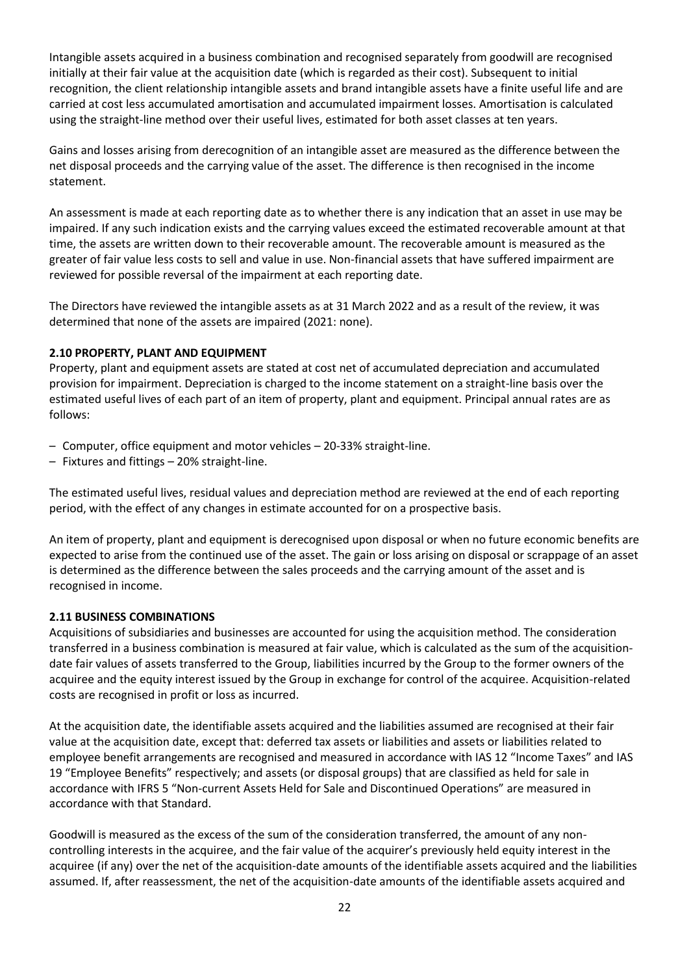Intangible assets acquired in a business combination and recognised separately from goodwill are recognised initially at their fair value at the acquisition date (which is regarded as their cost). Subsequent to initial recognition, the client relationship intangible assets and brand intangible assets have a finite useful life and are carried at cost less accumulated amortisation and accumulated impairment losses. Amortisation is calculated using the straight-line method over their useful lives, estimated for both asset classes at ten years.

Gains and losses arising from derecognition of an intangible asset are measured as the difference between the net disposal proceeds and the carrying value of the asset. The difference is then recognised in the income statement.

An assessment is made at each reporting date as to whether there is any indication that an asset in use may be impaired. If any such indication exists and the carrying values exceed the estimated recoverable amount at that time, the assets are written down to their recoverable amount. The recoverable amount is measured as the greater of fair value less costs to sell and value in use. Non-financial assets that have suffered impairment are reviewed for possible reversal of the impairment at each reporting date.

The Directors have reviewed the intangible assets as at 31 March 2022 and as a result of the review, it was determined that none of the assets are impaired (2021: none).

## **2.10 PROPERTY, PLANT AND EQUIPMENT**

Property, plant and equipment assets are stated at cost net of accumulated depreciation and accumulated provision for impairment. Depreciation is charged to the income statement on a straight-line basis over the estimated useful lives of each part of an item of property, plant and equipment. Principal annual rates are as follows:

- Computer, office equipment and motor vehicles 20-33% straight-line.
- Fixtures and fittings 20% straight-line.

The estimated useful lives, residual values and depreciation method are reviewed at the end of each reporting period, with the effect of any changes in estimate accounted for on a prospective basis.

An item of property, plant and equipment is derecognised upon disposal or when no future economic benefits are expected to arise from the continued use of the asset. The gain or loss arising on disposal or scrappage of an asset is determined as the difference between the sales proceeds and the carrying amount of the asset and is recognised in income.

## **2.11 BUSINESS COMBINATIONS**

Acquisitions of subsidiaries and businesses are accounted for using the acquisition method. The consideration transferred in a business combination is measured at fair value, which is calculated as the sum of the acquisitiondate fair values of assets transferred to the Group, liabilities incurred by the Group to the former owners of the acquiree and the equity interest issued by the Group in exchange for control of the acquiree. Acquisition-related costs are recognised in profit or loss as incurred.

At the acquisition date, the identifiable assets acquired and the liabilities assumed are recognised at their fair value at the acquisition date, except that: deferred tax assets or liabilities and assets or liabilities related to employee benefit arrangements are recognised and measured in accordance with IAS 12 "Income Taxes" and IAS 19 "Employee Benefits" respectively; and assets (or disposal groups) that are classified as held for sale in accordance with IFRS 5 "Non-current Assets Held for Sale and Discontinued Operations" are measured in accordance with that Standard.

Goodwill is measured as the excess of the sum of the consideration transferred, the amount of any noncontrolling interests in the acquiree, and the fair value of the acquirer's previously held equity interest in the acquiree (if any) over the net of the acquisition-date amounts of the identifiable assets acquired and the liabilities assumed. If, after reassessment, the net of the acquisition-date amounts of the identifiable assets acquired and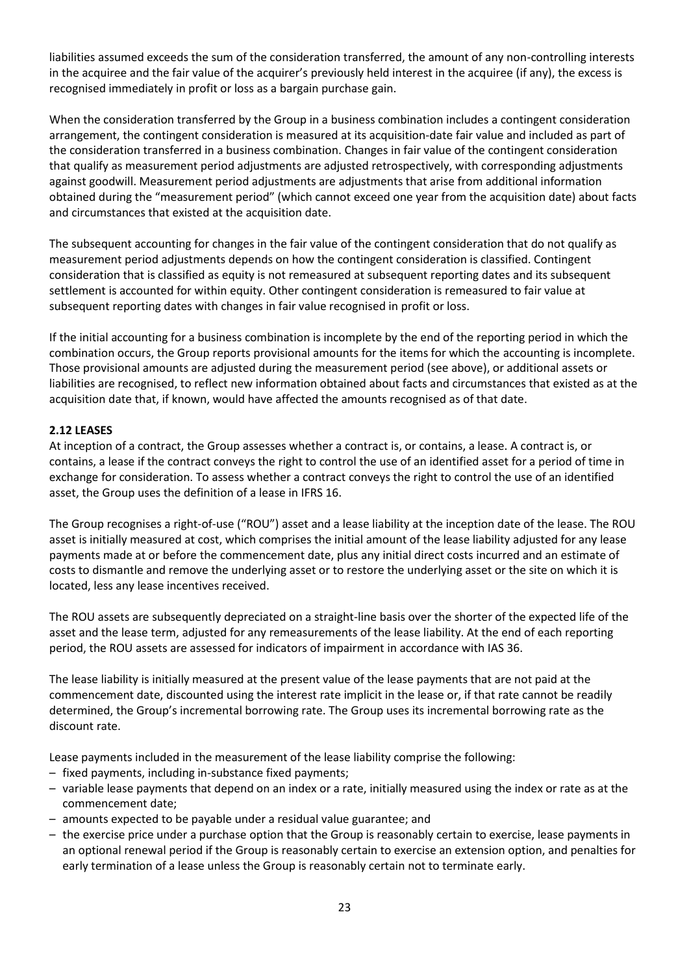liabilities assumed exceeds the sum of the consideration transferred, the amount of any non-controlling interests in the acquiree and the fair value of the acquirer's previously held interest in the acquiree (if any), the excess is recognised immediately in profit or loss as a bargain purchase gain.

When the consideration transferred by the Group in a business combination includes a contingent consideration arrangement, the contingent consideration is measured at its acquisition-date fair value and included as part of the consideration transferred in a business combination. Changes in fair value of the contingent consideration that qualify as measurement period adjustments are adjusted retrospectively, with corresponding adjustments against goodwill. Measurement period adjustments are adjustments that arise from additional information obtained during the "measurement period" (which cannot exceed one year from the acquisition date) about facts and circumstances that existed at the acquisition date.

The subsequent accounting for changes in the fair value of the contingent consideration that do not qualify as measurement period adjustments depends on how the contingent consideration is classified. Contingent consideration that is classified as equity is not remeasured at subsequent reporting dates and its subsequent settlement is accounted for within equity. Other contingent consideration is remeasured to fair value at subsequent reporting dates with changes in fair value recognised in profit or loss.

If the initial accounting for a business combination is incomplete by the end of the reporting period in which the combination occurs, the Group reports provisional amounts for the items for which the accounting is incomplete. Those provisional amounts are adjusted during the measurement period (see above), or additional assets or liabilities are recognised, to reflect new information obtained about facts and circumstances that existed as at the acquisition date that, if known, would have affected the amounts recognised as of that date.

## **2.12 LEASES**

At inception of a contract, the Group assesses whether a contract is, or contains, a lease. A contract is, or contains, a lease if the contract conveys the right to control the use of an identified asset for a period of time in exchange for consideration. To assess whether a contract conveys the right to control the use of an identified asset, the Group uses the definition of a lease in IFRS 16.

The Group recognises a right-of-use ("ROU") asset and a lease liability at the inception date of the lease. The ROU asset is initially measured at cost, which comprises the initial amount of the lease liability adjusted for any lease payments made at or before the commencement date, plus any initial direct costs incurred and an estimate of costs to dismantle and remove the underlying asset or to restore the underlying asset or the site on which it is located, less any lease incentives received.

The ROU assets are subsequently depreciated on a straight-line basis over the shorter of the expected life of the asset and the lease term, adjusted for any remeasurements of the lease liability. At the end of each reporting period, the ROU assets are assessed for indicators of impairment in accordance with IAS 36.

The lease liability is initially measured at the present value of the lease payments that are not paid at the commencement date, discounted using the interest rate implicit in the lease or, if that rate cannot be readily determined, the Group's incremental borrowing rate. The Group uses its incremental borrowing rate as the discount rate.

Lease payments included in the measurement of the lease liability comprise the following:

- fixed payments, including in-substance fixed payments;
- variable lease payments that depend on an index or a rate, initially measured using the index or rate as at the commencement date;
- amounts expected to be payable under a residual value guarantee; and
- the exercise price under a purchase option that the Group is reasonably certain to exercise, lease payments in an optional renewal period if the Group is reasonably certain to exercise an extension option, and penalties for early termination of a lease unless the Group is reasonably certain not to terminate early.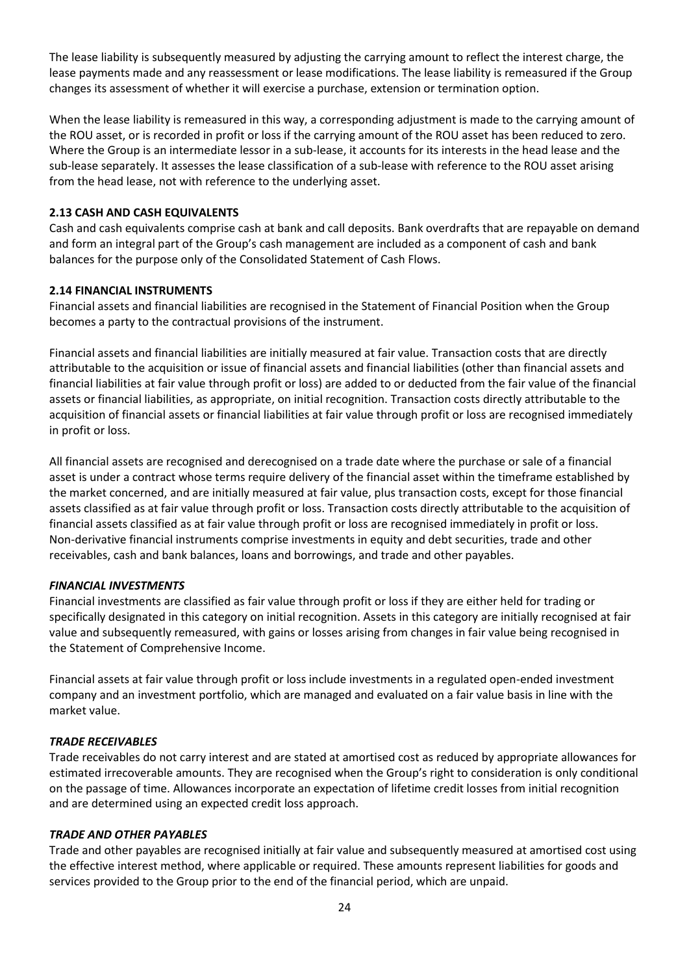The lease liability is subsequently measured by adjusting the carrying amount to reflect the interest charge, the lease payments made and any reassessment or lease modifications. The lease liability is remeasured if the Group changes its assessment of whether it will exercise a purchase, extension or termination option.

When the lease liability is remeasured in this way, a corresponding adjustment is made to the carrying amount of the ROU asset, or is recorded in profit or loss if the carrying amount of the ROU asset has been reduced to zero. Where the Group is an intermediate lessor in a sub-lease, it accounts for its interests in the head lease and the sub-lease separately. It assesses the lease classification of a sub-lease with reference to the ROU asset arising from the head lease, not with reference to the underlying asset.

## **2.13 CASH AND CASH EQUIVALENTS**

Cash and cash equivalents comprise cash at bank and call deposits. Bank overdrafts that are repayable on demand and form an integral part of the Group's cash management are included as a component of cash and bank balances for the purpose only of the Consolidated Statement of Cash Flows.

## **2.14 FINANCIAL INSTRUMENTS**

Financial assets and financial liabilities are recognised in the Statement of Financial Position when the Group becomes a party to the contractual provisions of the instrument.

Financial assets and financial liabilities are initially measured at fair value. Transaction costs that are directly attributable to the acquisition or issue of financial assets and financial liabilities (other than financial assets and financial liabilities at fair value through profit or loss) are added to or deducted from the fair value of the financial assets or financial liabilities, as appropriate, on initial recognition. Transaction costs directly attributable to the acquisition of financial assets or financial liabilities at fair value through profit or loss are recognised immediately in profit or loss.

All financial assets are recognised and derecognised on a trade date where the purchase or sale of a financial asset is under a contract whose terms require delivery of the financial asset within the timeframe established by the market concerned, and are initially measured at fair value, plus transaction costs, except for those financial assets classified as at fair value through profit or loss. Transaction costs directly attributable to the acquisition of financial assets classified as at fair value through profit or loss are recognised immediately in profit or loss. Non-derivative financial instruments comprise investments in equity and debt securities, trade and other receivables, cash and bank balances, loans and borrowings, and trade and other payables.

## *FINANCIAL INVESTMENTS*

Financial investments are classified as fair value through profit or loss if they are either held for trading or specifically designated in this category on initial recognition. Assets in this category are initially recognised at fair value and subsequently remeasured, with gains or losses arising from changes in fair value being recognised in the Statement of Comprehensive Income.

Financial assets at fair value through profit or loss include investments in a regulated open-ended investment company and an investment portfolio, which are managed and evaluated on a fair value basis in line with the market value.

## *TRADE RECEIVABLES*

Trade receivables do not carry interest and are stated at amortised cost as reduced by appropriate allowances for estimated irrecoverable amounts. They are recognised when the Group's right to consideration is only conditional on the passage of time. Allowances incorporate an expectation of lifetime credit losses from initial recognition and are determined using an expected credit loss approach.

## *TRADE AND OTHER PAYABLES*

Trade and other payables are recognised initially at fair value and subsequently measured at amortised cost using the effective interest method, where applicable or required. These amounts represent liabilities for goods and services provided to the Group prior to the end of the financial period, which are unpaid.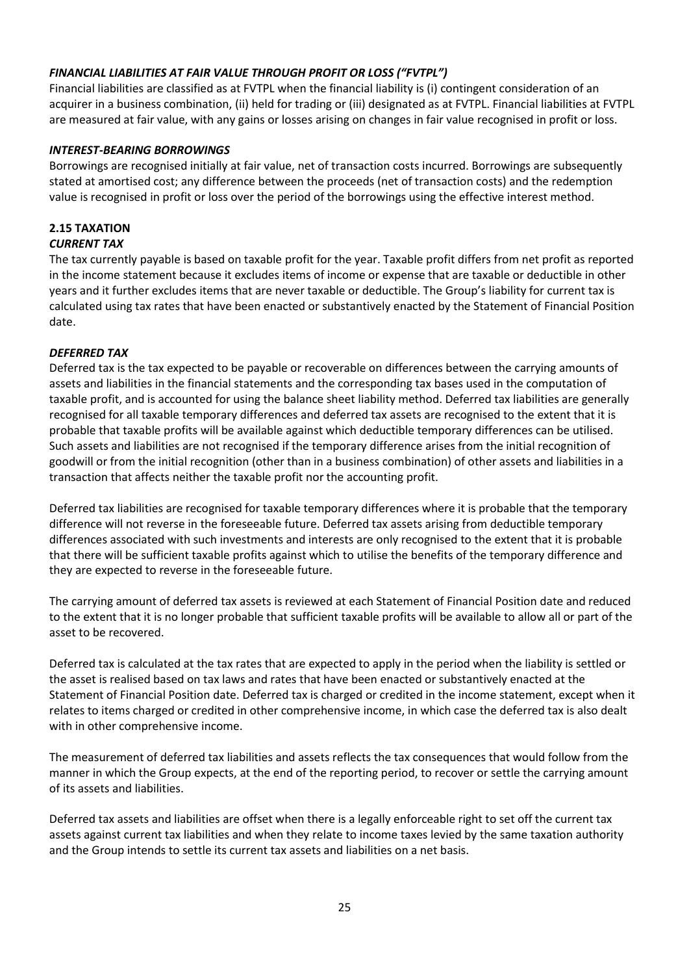## *FINANCIAL LIABILITIES AT FAIR VALUE THROUGH PROFIT OR LOSS ("FVTPL")*

Financial liabilities are classified as at FVTPL when the financial liability is (i) contingent consideration of an acquirer in a business combination, (ii) held for trading or (iii) designated as at FVTPL. Financial liabilities at FVTPL are measured at fair value, with any gains or losses arising on changes in fair value recognised in profit or loss.

## *INTEREST-BEARING BORROWINGS*

Borrowings are recognised initially at fair value, net of transaction costs incurred. Borrowings are subsequently stated at amortised cost; any difference between the proceeds (net of transaction costs) and the redemption value is recognised in profit or loss over the period of the borrowings using the effective interest method.

#### **2.15 TAXATION** *CURRENT TAX*

The tax currently payable is based on taxable profit for the year. Taxable profit differs from net profit as reported in the income statement because it excludes items of income or expense that are taxable or deductible in other years and it further excludes items that are never taxable or deductible. The Group's liability for current tax is calculated using tax rates that have been enacted or substantively enacted by the Statement of Financial Position date.

## *DEFERRED TAX*

Deferred tax is the tax expected to be payable or recoverable on differences between the carrying amounts of assets and liabilities in the financial statements and the corresponding tax bases used in the computation of taxable profit, and is accounted for using the balance sheet liability method. Deferred tax liabilities are generally recognised for all taxable temporary differences and deferred tax assets are recognised to the extent that it is probable that taxable profits will be available against which deductible temporary differences can be utilised. Such assets and liabilities are not recognised if the temporary difference arises from the initial recognition of goodwill or from the initial recognition (other than in a business combination) of other assets and liabilities in a transaction that affects neither the taxable profit nor the accounting profit.

Deferred tax liabilities are recognised for taxable temporary differences where it is probable that the temporary difference will not reverse in the foreseeable future. Deferred tax assets arising from deductible temporary differences associated with such investments and interests are only recognised to the extent that it is probable that there will be sufficient taxable profits against which to utilise the benefits of the temporary difference and they are expected to reverse in the foreseeable future.

The carrying amount of deferred tax assets is reviewed at each Statement of Financial Position date and reduced to the extent that it is no longer probable that sufficient taxable profits will be available to allow all or part of the asset to be recovered.

Deferred tax is calculated at the tax rates that are expected to apply in the period when the liability is settled or the asset is realised based on tax laws and rates that have been enacted or substantively enacted at the Statement of Financial Position date. Deferred tax is charged or credited in the income statement, except when it relates to items charged or credited in other comprehensive income, in which case the deferred tax is also dealt with in other comprehensive income.

The measurement of deferred tax liabilities and assets reflects the tax consequences that would follow from the manner in which the Group expects, at the end of the reporting period, to recover or settle the carrying amount of its assets and liabilities.

Deferred tax assets and liabilities are offset when there is a legally enforceable right to set off the current tax assets against current tax liabilities and when they relate to income taxes levied by the same taxation authority and the Group intends to settle its current tax assets and liabilities on a net basis.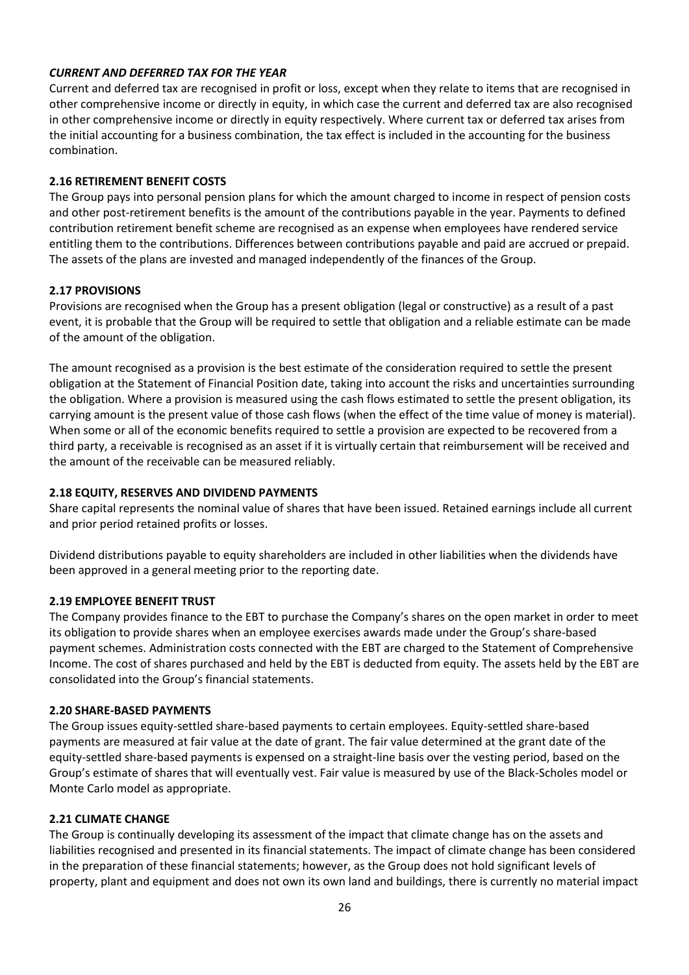## *CURRENT AND DEFERRED TAX FOR THE YEAR*

Current and deferred tax are recognised in profit or loss, except when they relate to items that are recognised in other comprehensive income or directly in equity, in which case the current and deferred tax are also recognised in other comprehensive income or directly in equity respectively. Where current tax or deferred tax arises from the initial accounting for a business combination, the tax effect is included in the accounting for the business combination.

## **2.16 RETIREMENT BENEFIT COSTS**

The Group pays into personal pension plans for which the amount charged to income in respect of pension costs and other post-retirement benefits is the amount of the contributions payable in the year. Payments to defined contribution retirement benefit scheme are recognised as an expense when employees have rendered service entitling them to the contributions. Differences between contributions payable and paid are accrued or prepaid. The assets of the plans are invested and managed independently of the finances of the Group.

## **2.17 PROVISIONS**

Provisions are recognised when the Group has a present obligation (legal or constructive) as a result of a past event, it is probable that the Group will be required to settle that obligation and a reliable estimate can be made of the amount of the obligation.

The amount recognised as a provision is the best estimate of the consideration required to settle the present obligation at the Statement of Financial Position date, taking into account the risks and uncertainties surrounding the obligation. Where a provision is measured using the cash flows estimated to settle the present obligation, its carrying amount is the present value of those cash flows (when the effect of the time value of money is material). When some or all of the economic benefits required to settle a provision are expected to be recovered from a third party, a receivable is recognised as an asset if it is virtually certain that reimbursement will be received and the amount of the receivable can be measured reliably.

## **2.18 EQUITY, RESERVES AND DIVIDEND PAYMENTS**

Share capital represents the nominal value of shares that have been issued. Retained earnings include all current and prior period retained profits or losses.

Dividend distributions payable to equity shareholders are included in other liabilities when the dividends have been approved in a general meeting prior to the reporting date.

## **2.19 EMPLOYEE BENEFIT TRUST**

The Company provides finance to the EBT to purchase the Company's shares on the open market in order to meet its obligation to provide shares when an employee exercises awards made under the Group's share-based payment schemes. Administration costs connected with the EBT are charged to the Statement of Comprehensive Income. The cost of shares purchased and held by the EBT is deducted from equity. The assets held by the EBT are consolidated into the Group's financial statements.

## **2.20 SHARE-BASED PAYMENTS**

The Group issues equity-settled share-based payments to certain employees. Equity-settled share-based payments are measured at fair value at the date of grant. The fair value determined at the grant date of the equity-settled share-based payments is expensed on a straight-line basis over the vesting period, based on the Group's estimate of shares that will eventually vest. Fair value is measured by use of the Black-Scholes model or Monte Carlo model as appropriate.

## **2.21 CLIMATE CHANGE**

The Group is continually developing its assessment of the impact that climate change has on the assets and liabilities recognised and presented in its financial statements. The impact of climate change has been considered in the preparation of these financial statements; however, as the Group does not hold significant levels of property, plant and equipment and does not own its own land and buildings, there is currently no material impact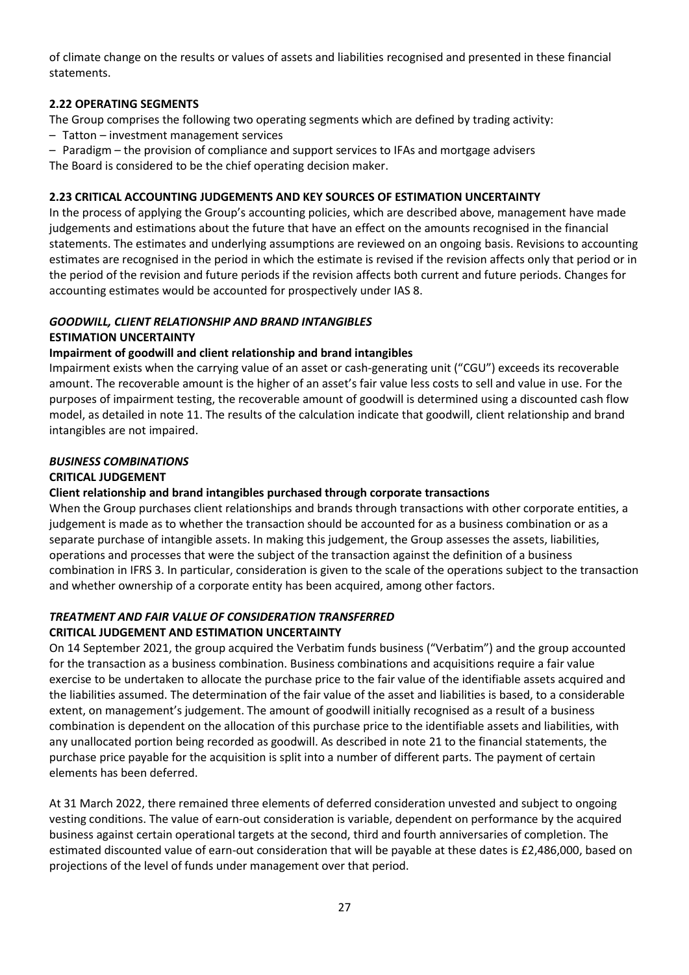of climate change on the results or values of assets and liabilities recognised and presented in these financial statements.

## **2.22 OPERATING SEGMENTS**

The Group comprises the following two operating segments which are defined by trading activity:

- Tatton investment management services
- Paradigm the provision of compliance and support services to IFAs and mortgage advisers The Board is considered to be the chief operating decision maker.

## **2.23 CRITICAL ACCOUNTING JUDGEMENTS AND KEY SOURCES OF ESTIMATION UNCERTAINTY**

In the process of applying the Group's accounting policies, which are described above, management have made judgements and estimations about the future that have an effect on the amounts recognised in the financial statements. The estimates and underlying assumptions are reviewed on an ongoing basis. Revisions to accounting estimates are recognised in the period in which the estimate is revised if the revision affects only that period or in the period of the revision and future periods if the revision affects both current and future periods. Changes for accounting estimates would be accounted for prospectively under IAS 8.

## *GOODWILL, CLIENT RELATIONSHIP AND BRAND INTANGIBLES*

## **ESTIMATION UNCERTAINTY**

## **Impairment of goodwill and client relationship and brand intangibles**

Impairment exists when the carrying value of an asset or cash-generating unit ("CGU") exceeds its recoverable amount. The recoverable amount is the higher of an asset's fair value less costs to sell and value in use. For the purposes of impairment testing, the recoverable amount of goodwill is determined using a discounted cash flow model, as detailed in note 11. The results of the calculation indicate that goodwill, client relationship and brand intangibles are not impaired.

## *BUSINESS COMBINATIONS*

## **CRITICAL JUDGEMENT**

## **Client relationship and brand intangibles purchased through corporate transactions**

When the Group purchases client relationships and brands through transactions with other corporate entities, a judgement is made as to whether the transaction should be accounted for as a business combination or as a separate purchase of intangible assets. In making this judgement, the Group assesses the assets, liabilities, operations and processes that were the subject of the transaction against the definition of a business combination in IFRS 3. In particular, consideration is given to the scale of the operations subject to the transaction and whether ownership of a corporate entity has been acquired, among other factors.

# *TREATMENT AND FAIR VALUE OF CONSIDERATION TRANSFERRED*

## **CRITICAL JUDGEMENT AND ESTIMATION UNCERTAINTY**

On 14 September 2021, the group acquired the Verbatim funds business ("Verbatim") and the group accounted for the transaction as a business combination. Business combinations and acquisitions require a fair value exercise to be undertaken to allocate the purchase price to the fair value of the identifiable assets acquired and the liabilities assumed. The determination of the fair value of the asset and liabilities is based, to a considerable extent, on management's judgement. The amount of goodwill initially recognised as a result of a business combination is dependent on the allocation of this purchase price to the identifiable assets and liabilities, with any unallocated portion being recorded as goodwill. As described in note 21 to the financial statements, the purchase price payable for the acquisition is split into a number of different parts. The payment of certain elements has been deferred.

At 31 March 2022, there remained three elements of deferred consideration unvested and subject to ongoing vesting conditions. The value of earn-out consideration is variable, dependent on performance by the acquired business against certain operational targets at the second, third and fourth anniversaries of completion. The estimated discounted value of earn-out consideration that will be payable at these dates is £2,486,000, based on projections of the level of funds under management over that period.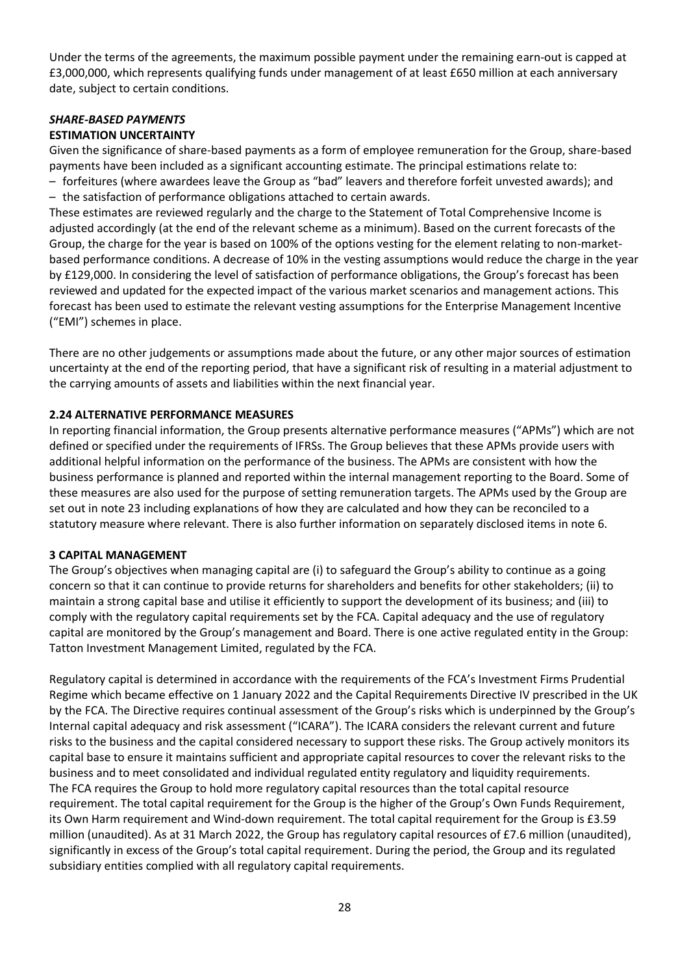Under the terms of the agreements, the maximum possible payment under the remaining earn-out is capped at £3,000,000, which represents qualifying funds under management of at least £650 million at each anniversary date, subject to certain conditions.

## *SHARE-BASED PAYMENTS* **ESTIMATION UNCERTAINTY**

Given the significance of share-based payments as a form of employee remuneration for the Group, share-based payments have been included as a significant accounting estimate. The principal estimations relate to:

– forfeitures (where awardees leave the Group as "bad" leavers and therefore forfeit unvested awards); and – the satisfaction of performance obligations attached to certain awards.

These estimates are reviewed regularly and the charge to the Statement of Total Comprehensive Income is adjusted accordingly (at the end of the relevant scheme as a minimum). Based on the current forecasts of the Group, the charge for the year is based on 100% of the options vesting for the element relating to non-marketbased performance conditions. A decrease of 10% in the vesting assumptions would reduce the charge in the year by £129,000. In considering the level of satisfaction of performance obligations, the Group's forecast has been reviewed and updated for the expected impact of the various market scenarios and management actions. This forecast has been used to estimate the relevant vesting assumptions for the Enterprise Management Incentive ("EMI") schemes in place.

There are no other judgements or assumptions made about the future, or any other major sources of estimation uncertainty at the end of the reporting period, that have a significant risk of resulting in a material adjustment to the carrying amounts of assets and liabilities within the next financial year.

## **2.24 ALTERNATIVE PERFORMANCE MEASURES**

In reporting financial information, the Group presents alternative performance measures ("APMs") which are not defined or specified under the requirements of IFRSs. The Group believes that these APMs provide users with additional helpful information on the performance of the business. The APMs are consistent with how the business performance is planned and reported within the internal management reporting to the Board. Some of these measures are also used for the purpose of setting remuneration targets. The APMs used by the Group are set out in note 23 including explanations of how they are calculated and how they can be reconciled to a statutory measure where relevant. There is also further information on separately disclosed items in note 6.

## **3 CAPITAL MANAGEMENT**

The Group's objectives when managing capital are (i) to safeguard the Group's ability to continue as a going concern so that it can continue to provide returns for shareholders and benefits for other stakeholders; (ii) to maintain a strong capital base and utilise it efficiently to support the development of its business; and (iii) to comply with the regulatory capital requirements set by the FCA. Capital adequacy and the use of regulatory capital are monitored by the Group's management and Board. There is one active regulated entity in the Group: Tatton Investment Management Limited, regulated by the FCA.

Regulatory capital is determined in accordance with the requirements of the FCA's Investment Firms Prudential Regime which became effective on 1 January 2022 and the Capital Requirements Directive IV prescribed in the UK by the FCA. The Directive requires continual assessment of the Group's risks which is underpinned by the Group's Internal capital adequacy and risk assessment ("ICARA"). The ICARA considers the relevant current and future risks to the business and the capital considered necessary to support these risks. The Group actively monitors its capital base to ensure it maintains sufficient and appropriate capital resources to cover the relevant risks to the business and to meet consolidated and individual regulated entity regulatory and liquidity requirements. The FCA requires the Group to hold more regulatory capital resources than the total capital resource requirement. The total capital requirement for the Group is the higher of the Group's Own Funds Requirement, its Own Harm requirement and Wind-down requirement. The total capital requirement for the Group is £3.59 million (unaudited). As at 31 March 2022, the Group has regulatory capital resources of £7.6 million (unaudited), significantly in excess of the Group's total capital requirement. During the period, the Group and its regulated subsidiary entities complied with all regulatory capital requirements.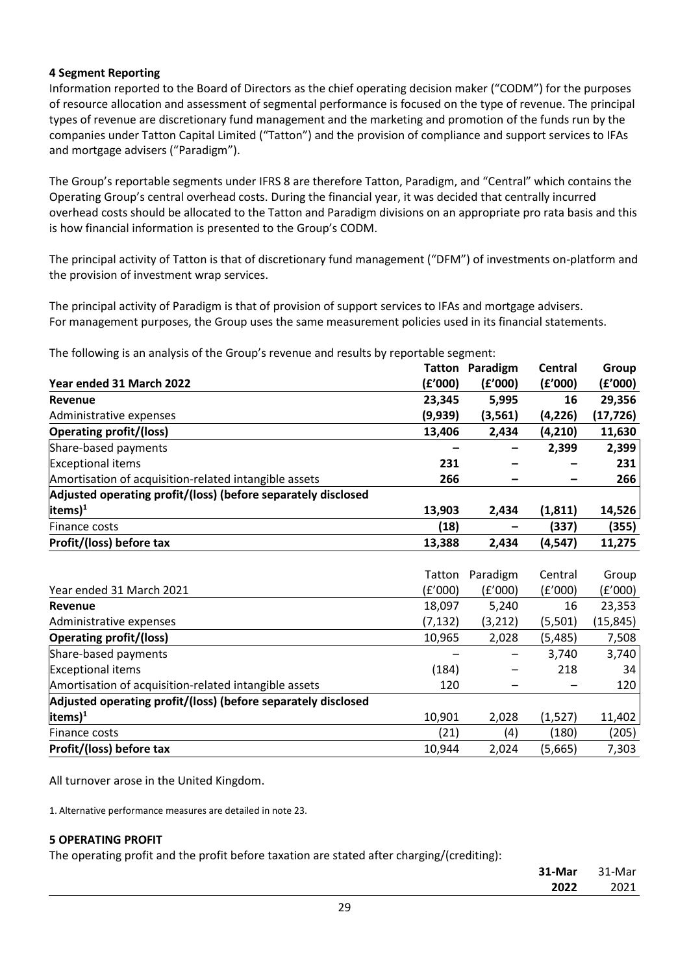## **4 Segment Reporting**

Information reported to the Board of Directors as the chief operating decision maker ("CODM") for the purposes of resource allocation and assessment of segmental performance is focused on the type of revenue. The principal types of revenue are discretionary fund management and the marketing and promotion of the funds run by the companies under Tatton Capital Limited ("Tatton") and the provision of compliance and support services to IFAs and mortgage advisers ("Paradigm").

The Group's reportable segments under IFRS 8 are therefore Tatton, Paradigm, and "Central" which contains the Operating Group's central overhead costs. During the financial year, it was decided that centrally incurred overhead costs should be allocated to the Tatton and Paradigm divisions on an appropriate pro rata basis and this is how financial information is presented to the Group's CODM.

The principal activity of Tatton is that of discretionary fund management ("DFM") of investments on-platform and the provision of investment wrap services.

The principal activity of Paradigm is that of provision of support services to IFAs and mortgage advisers. For management purposes, the Group uses the same measurement policies used in its financial statements.

The following is an analysis of the Group's revenue and results by reportable segment:

| <b>Tatton</b> | Paradigm | <b>Central</b> | Group     |
|---------------|----------|----------------|-----------|
| (£'000)       | (E'000)  | (f'000)        | (£'000)   |
| 23,345        | 5,995    | 16             | 29,356    |
| (9,939)       | (3, 561) | (4, 226)       | (17,726)  |
| 13,406        | 2,434    | (4, 210)       | 11,630    |
|               |          | 2,399          | 2,399     |
| 231           |          |                | 231       |
| 266           |          |                | 266       |
|               |          |                |           |
| 13,903        | 2,434    | (1, 811)       | 14,526    |
| (18)          |          | (337)          | (355)     |
| 13,388        | 2,434    | (4, 547)       | 11,275    |
|               |          |                |           |
| Tatton        | Paradigm | Central        | Group     |
| (f'000)       | (f'000)  | (E'000)        | (f'000)   |
| 18,097        | 5,240    | 16             | 23,353    |
| (7, 132)      | (3, 212) | (5,501)        | (15, 845) |
| 10,965        | 2,028    | (5, 485)       | 7,508     |
|               |          | 3,740          | 3,740     |
| (184)         |          | 218            | 34        |
| 120           |          |                | 120       |
|               |          |                |           |
| 10,901        | 2,028    | (1,527)        | 11,402    |
| (21)          | (4)      | (180)          | (205)     |
| 10,944        | 2,024    | (5,665)        | 7,303     |
|               |          |                |           |

All turnover arose in the United Kingdom.

1. Alternative performance measures are detailed in note 23.

## **5 OPERATING PROFIT**

The operating profit and the profit before taxation are stated after charging/(crediting):

| 31-Mar | 31-Mar |
|--------|--------|
| 2022   | 2021   |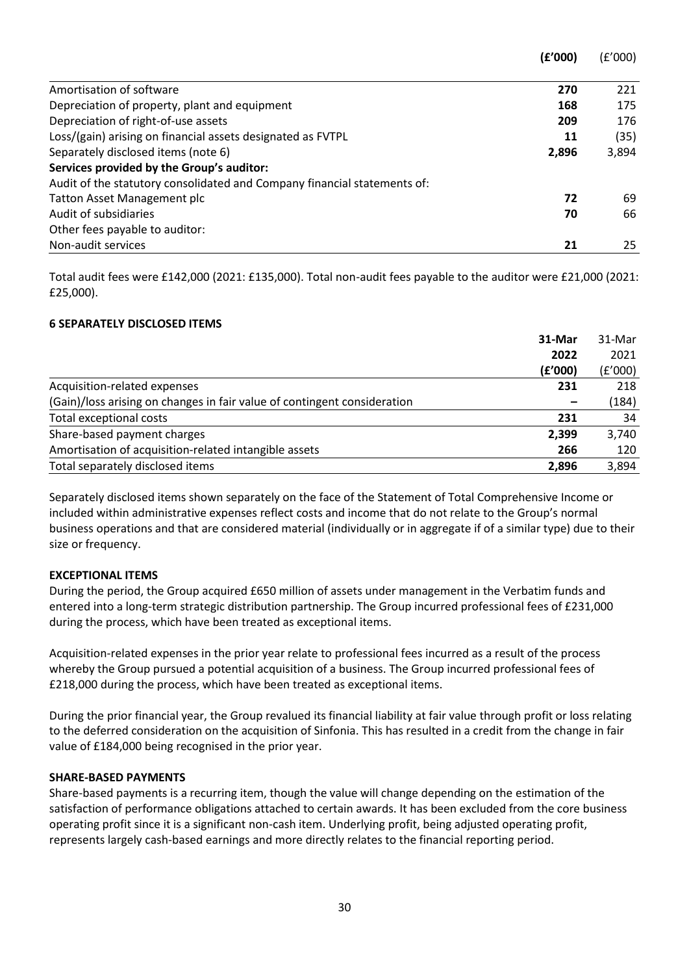|                                                                          | (£'000) | (£'000) |
|--------------------------------------------------------------------------|---------|---------|
| Amortisation of software                                                 | 270     | 221     |
| Depreciation of property, plant and equipment                            | 168     | 175     |
| Depreciation of right-of-use assets                                      | 209     | 176     |
| Loss/(gain) arising on financial assets designated as FVTPL              | 11      | (35)    |
| Separately disclosed items (note 6)                                      | 2,896   | 3,894   |
| Services provided by the Group's auditor:                                |         |         |
| Audit of the statutory consolidated and Company financial statements of: |         |         |
| <b>Tatton Asset Management plc</b>                                       | 72      | 69      |
| Audit of subsidiaries                                                    | 70      | 66      |
| Other fees payable to auditor:                                           |         |         |
| Non-audit services                                                       | 21      | 25      |

Total audit fees were £142,000 (2021: £135,000). Total non-audit fees payable to the auditor were £21,000 (2021: £25,000).

## **6 SEPARATELY DISCLOSED ITEMS**

|                                                                          | 31-Mar  | 31-Mar  |
|--------------------------------------------------------------------------|---------|---------|
|                                                                          | 2022    | 2021    |
|                                                                          | (£'000) | (f'000) |
| Acquisition-related expenses                                             | 231     | 218     |
| (Gain)/loss arising on changes in fair value of contingent consideration |         | (184)   |
| Total exceptional costs                                                  | 231     | 34      |
| Share-based payment charges                                              | 2,399   | 3,740   |
| Amortisation of acquisition-related intangible assets                    | 266     | 120     |
| Total separately disclosed items                                         | 2,896   | 3,894   |

Separately disclosed items shown separately on the face of the Statement of Total Comprehensive Income or included within administrative expenses reflect costs and income that do not relate to the Group's normal business operations and that are considered material (individually or in aggregate if of a similar type) due to their size or frequency.

## **EXCEPTIONAL ITEMS**

During the period, the Group acquired £650 million of assets under management in the Verbatim funds and entered into a long-term strategic distribution partnership. The Group incurred professional fees of £231,000 during the process, which have been treated as exceptional items.

Acquisition-related expenses in the prior year relate to professional fees incurred as a result of the process whereby the Group pursued a potential acquisition of a business. The Group incurred professional fees of £218,000 during the process, which have been treated as exceptional items.

During the prior financial year, the Group revalued its financial liability at fair value through profit or loss relating to the deferred consideration on the acquisition of Sinfonia. This has resulted in a credit from the change in fair value of £184,000 being recognised in the prior year.

#### **SHARE-BASED PAYMENTS**

Share-based payments is a recurring item, though the value will change depending on the estimation of the satisfaction of performance obligations attached to certain awards. It has been excluded from the core business operating profit since it is a significant non-cash item. Underlying profit, being adjusted operating profit, represents largely cash-based earnings and more directly relates to the financial reporting period.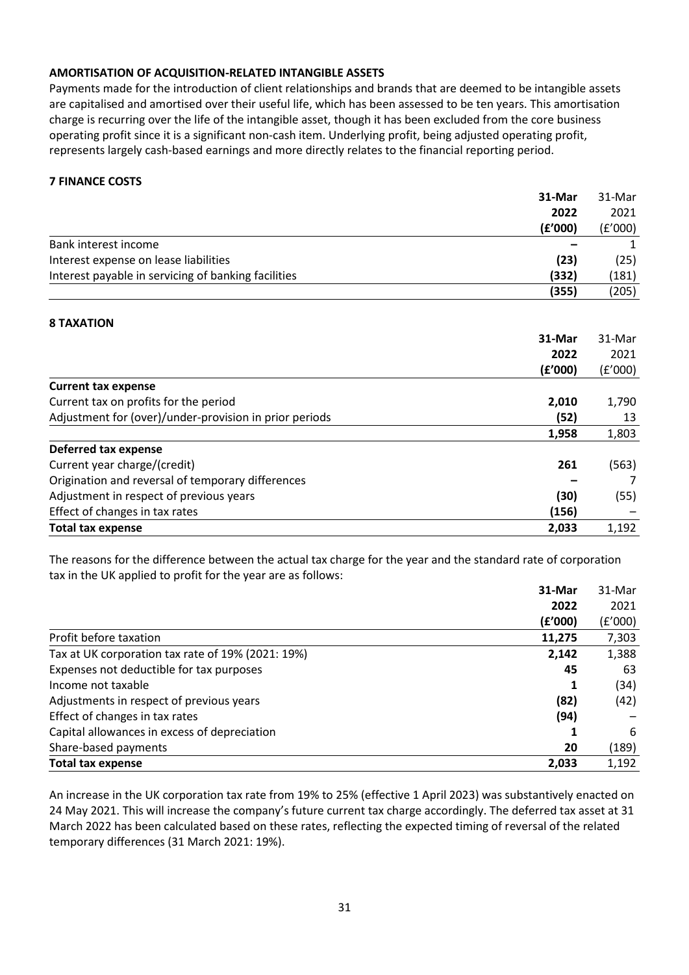## **AMORTISATION OF ACQUISITION-RELATED INTANGIBLE ASSETS**

Payments made for the introduction of client relationships and brands that are deemed to be intangible assets are capitalised and amortised over their useful life, which has been assessed to be ten years. This amortisation charge is recurring over the life of the intangible asset, though it has been excluded from the core business operating profit since it is a significant non-cash item. Underlying profit, being adjusted operating profit, represents largely cash-based earnings and more directly relates to the financial reporting period.

## **7 FINANCE COSTS**

|                                                        | 31-Mar  | 31-Mar  |
|--------------------------------------------------------|---------|---------|
|                                                        | 2022    | 2021    |
|                                                        | (f'000) | (E'000) |
| Bank interest income                                   |         | 1       |
| Interest expense on lease liabilities                  | (23)    | (25)    |
| Interest payable in servicing of banking facilities    | (332)   | (181)   |
|                                                        | (355)   | (205)   |
| <b>8 TAXATION</b>                                      |         |         |
|                                                        | 31-Mar  | 31-Mar  |
|                                                        | 2022    | 2021    |
|                                                        | (f'000) | (f'000) |
| <b>Current tax expense</b>                             |         |         |
| Current tax on profits for the period                  | 2,010   | 1,790   |
| Adjustment for (over)/under-provision in prior periods | (52)    | 13      |
|                                                        | 1,958   | 1,803   |
| <b>Deferred tax expense</b>                            |         |         |
| Current year charge/(credit)                           | 261     | (563)   |
| Origination and reversal of temporary differences      |         |         |
| Adjustment in respect of previous years                | (30)    | (55)    |
| Effect of changes in tax rates                         | (156)   |         |
| <b>Total tax expense</b>                               | 2,033   | 1,192   |

The reasons for the difference between the actual tax charge for the year and the standard rate of corporation tax in the UK applied to profit for the year are as follows:

|                                                   | 31-Mar  | 31-Mar  |
|---------------------------------------------------|---------|---------|
|                                                   | 2022    | 2021    |
|                                                   | (f'000) | (£'000) |
| Profit before taxation                            | 11,275  | 7,303   |
| Tax at UK corporation tax rate of 19% (2021: 19%) | 2,142   | 1,388   |
| Expenses not deductible for tax purposes          | 45      | 63      |
| Income not taxable                                | 1       | (34)    |
| Adjustments in respect of previous years          | (82)    | (42)    |
| Effect of changes in tax rates                    | (94)    |         |
| Capital allowances in excess of depreciation      |         | 6       |
| Share-based payments                              | 20      | (189)   |
| <b>Total tax expense</b>                          | 2,033   | 1,192   |

An increase in the UK corporation tax rate from 19% to 25% (effective 1 April 2023) was substantively enacted on 24 May 2021. This will increase the company's future current tax charge accordingly. The deferred tax asset at 31 March 2022 has been calculated based on these rates, reflecting the expected timing of reversal of the related temporary differences (31 March 2021: 19%).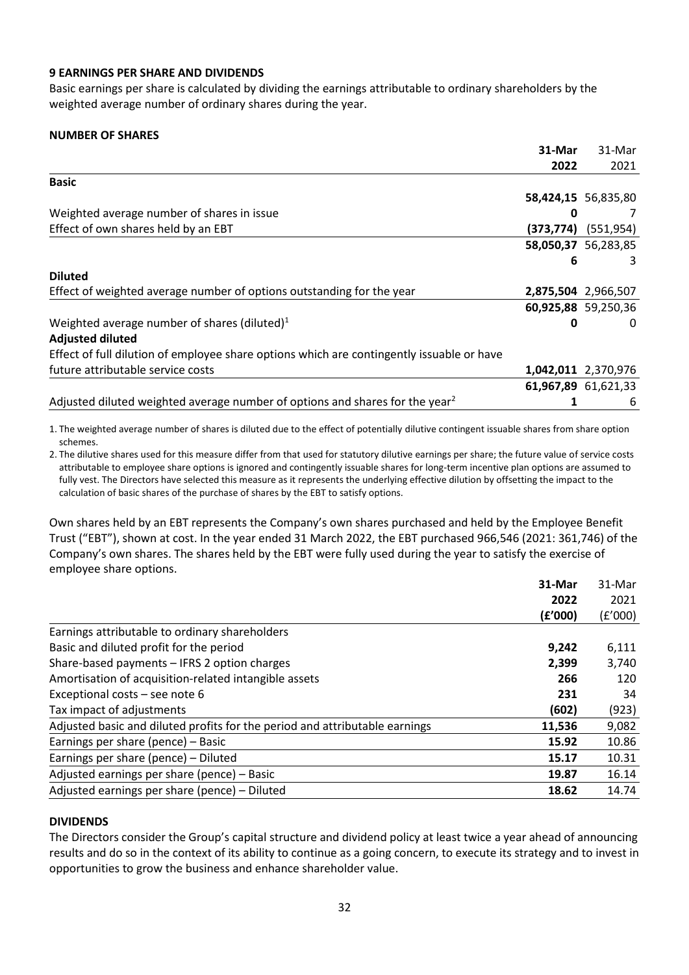## **9 EARNINGS PER SHARE AND DIVIDENDS**

Basic earnings per share is calculated by dividing the earnings attributable to ordinary shareholders by the weighted average number of ordinary shares during the year.

## **NUMBER OF SHARES**

|                                                                                           | 31-Mar | 31-Mar                  |
|-------------------------------------------------------------------------------------------|--------|-------------------------|
|                                                                                           | 2022   | 2021                    |
| <b>Basic</b>                                                                              |        |                         |
|                                                                                           |        | 58,424,15 56,835,80     |
| Weighted average number of shares in issue                                                | 0      | 7                       |
| Effect of own shares held by an EBT                                                       |        | $(373,774)$ $(551,954)$ |
|                                                                                           |        | 58,050,37 56,283,85     |
|                                                                                           | 6      | 3                       |
| <b>Diluted</b>                                                                            |        |                         |
| Effect of weighted average number of options outstanding for the year                     |        | 2,875,504 2,966,507     |
|                                                                                           |        | 60,925,88 59,250,36     |
| Weighted average number of shares (diluted) $1$                                           | 0      | $\Omega$                |
| <b>Adjusted diluted</b>                                                                   |        |                         |
| Effect of full dilution of employee share options which are contingently issuable or have |        |                         |
| future attributable service costs                                                         |        | 1,042,011 2,370,976     |
|                                                                                           |        | 61,967,89 61,621,33     |
| Adjusted diluted weighted average number of options and shares for the year <sup>2</sup>  | 1      | 6                       |

1. The weighted average number of shares is diluted due to the effect of potentially dilutive contingent issuable shares from share option schemes.

2. The dilutive shares used for this measure differ from that used for statutory dilutive earnings per share; the future value of service costs attributable to employee share options is ignored and contingently issuable shares for long-term incentive plan options are assumed to fully vest. The Directors have selected this measure as it represents the underlying effective dilution by offsetting the impact to the calculation of basic shares of the purchase of shares by the EBT to satisfy options.

Own shares held by an EBT represents the Company's own shares purchased and held by the Employee Benefit Trust ("EBT"), shown at cost. In the year ended 31 March 2022, the EBT purchased 966,546 (2021: 361,746) of the Company's own shares. The shares held by the EBT were fully used during the year to satisfy the exercise of employee share options.

| 31-Mar                                                                                | 31-Mar  |
|---------------------------------------------------------------------------------------|---------|
| 2022                                                                                  | 2021    |
| (f'000)                                                                               | (£'000) |
| Earnings attributable to ordinary shareholders                                        |         |
| Basic and diluted profit for the period<br>9,242                                      | 6,111   |
| Share-based payments - IFRS 2 option charges<br>2,399                                 | 3,740   |
| Amortisation of acquisition-related intangible assets<br>266                          | 120     |
| Exceptional costs - see note 6<br>231                                                 | 34      |
| Tax impact of adjustments<br>(602)                                                    | (923)   |
| Adjusted basic and diluted profits for the period and attributable earnings<br>11,536 | 9,082   |
| Earnings per share (pence) - Basic<br>15.92                                           | 10.86   |
| Earnings per share (pence) - Diluted<br>15.17                                         | 10.31   |
| Adjusted earnings per share (pence) - Basic<br>19.87                                  | 16.14   |
| Adjusted earnings per share (pence) - Diluted<br>18.62                                | 14.74   |

## **DIVIDENDS**

The Directors consider the Group's capital structure and dividend policy at least twice a year ahead of announcing results and do so in the context of its ability to continue as a going concern, to execute its strategy and to invest in opportunities to grow the business and enhance shareholder value.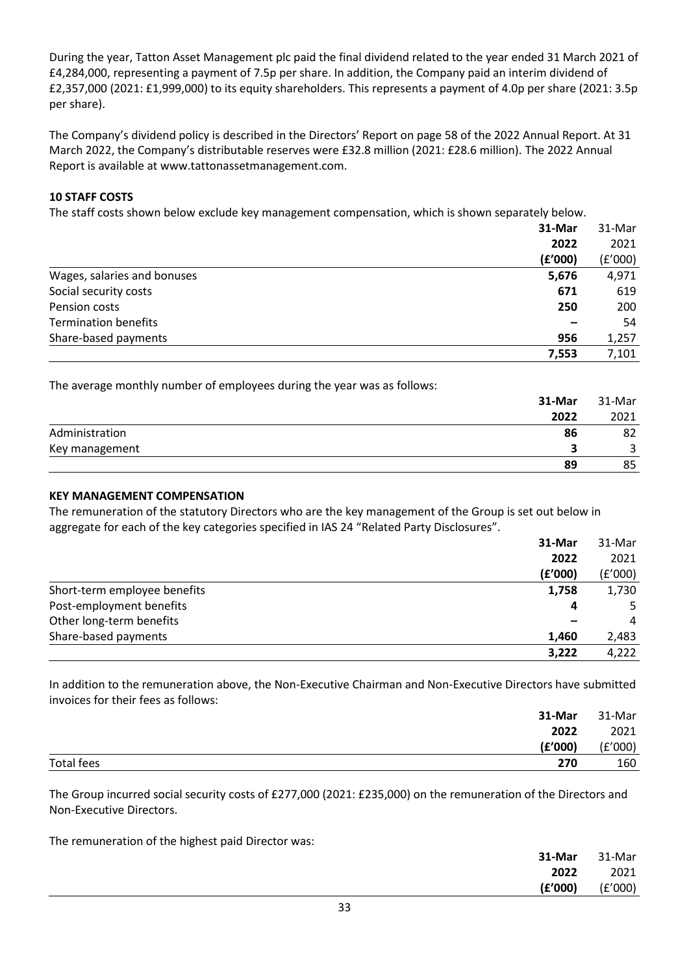During the year, Tatton Asset Management plc paid the final dividend related to the year ended 31 March 2021 of £4,284,000, representing a payment of 7.5p per share. In addition, the Company paid an interim dividend of £2,357,000 (2021: £1,999,000) to its equity shareholders. This represents a payment of 4.0p per share (2021: 3.5p per share).

The Company's dividend policy is described in the Directors' Report on page 58 of the 2022 Annual Report. At 31 March 2022, the Company's distributable reserves were £32.8 million (2021: £28.6 million). The 2022 Annual Report is available at www.tattonassetmanagement.com.

## **10 STAFF COSTS**

The staff costs shown below exclude key management compensation, which is shown separately below.

|                             | 31-Mar  | 31-Mar  |
|-----------------------------|---------|---------|
|                             | 2022    | 2021    |
|                             | (f'000) | (£'000) |
| Wages, salaries and bonuses | 5,676   | 4,971   |
| Social security costs       | 671     | 619     |
| Pension costs               | 250     | 200     |
| <b>Termination benefits</b> |         | 54      |
| Share-based payments        | 956     | 1,257   |
|                             | 7,553   | 7,101   |

The average monthly number of employees during the year was as follows:

|                | 31-Mar | 31-Mar |
|----------------|--------|--------|
|                | 2022   | 2021   |
| Administration | 86     | 82     |
| Key management |        |        |
|                | 89     | 85     |

## **KEY MANAGEMENT COMPENSATION**

The remuneration of the statutory Directors who are the key management of the Group is set out below in aggregate for each of the key categories specified in IAS 24 "Related Party Disclosures".

|                              | 31-Mar  | 31-Mar  |
|------------------------------|---------|---------|
|                              | 2022    | 2021    |
|                              | (f'000) | (f'000) |
| Short-term employee benefits | 1,758   | 1,730   |
| Post-employment benefits     | 4       |         |
| Other long-term benefits     |         | 4       |
| Share-based payments         | 1,460   | 2,483   |
|                              | 3,222   | 4,222   |

In addition to the remuneration above, the Non-Executive Chairman and Non-Executive Directors have submitted invoices for their fees as follows:

|            | 31-Mar  | 31-Mar  |
|------------|---------|---------|
|            | 2022    | 2021    |
|            | (f'000) | (E'000) |
| Total fees | 270     | 160     |

The Group incurred social security costs of £277,000 (2021: £235,000) on the remuneration of the Directors and Non-Executive Directors.

The remuneration of the highest paid Director was:

| 31-Mar  | 31-Mar  |
|---------|---------|
| 2022    | 2021    |
| (E'000) | (E'000) |
|         |         |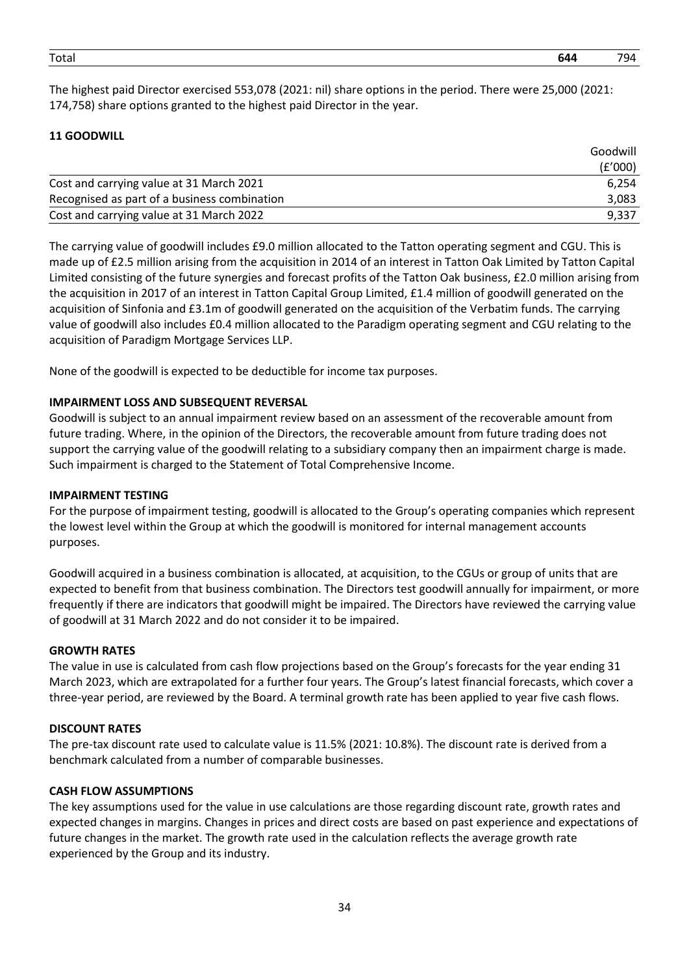The highest paid Director exercised 553,078 (2021: nil) share options in the period. There were 25,000 (2021: 174,758) share options granted to the highest paid Director in the year.

## **11 GOODWILL**

|                                              | Goodwill |  |
|----------------------------------------------|----------|--|
|                                              | (E'000)  |  |
| Cost and carrying value at 31 March 2021     | 6.254    |  |
| Recognised as part of a business combination | 3,083    |  |
| Cost and carrying value at 31 March 2022     | 9,337    |  |

The carrying value of goodwill includes £9.0 million allocated to the Tatton operating segment and CGU. This is made up of £2.5 million arising from the acquisition in 2014 of an interest in Tatton Oak Limited by Tatton Capital Limited consisting of the future synergies and forecast profits of the Tatton Oak business, £2.0 million arising from the acquisition in 2017 of an interest in Tatton Capital Group Limited, £1.4 million of goodwill generated on the acquisition of Sinfonia and £3.1m of goodwill generated on the acquisition of the Verbatim funds. The carrying value of goodwill also includes £0.4 million allocated to the Paradigm operating segment and CGU relating to the acquisition of Paradigm Mortgage Services LLP.

None of the goodwill is expected to be deductible for income tax purposes.

## **IMPAIRMENT LOSS AND SUBSEQUENT REVERSAL**

Goodwill is subject to an annual impairment review based on an assessment of the recoverable amount from future trading. Where, in the opinion of the Directors, the recoverable amount from future trading does not support the carrying value of the goodwill relating to a subsidiary company then an impairment charge is made. Such impairment is charged to the Statement of Total Comprehensive Income.

## **IMPAIRMENT TESTING**

For the purpose of impairment testing, goodwill is allocated to the Group's operating companies which represent the lowest level within the Group at which the goodwill is monitored for internal management accounts purposes.

Goodwill acquired in a business combination is allocated, at acquisition, to the CGUs or group of units that are expected to benefit from that business combination. The Directors test goodwill annually for impairment, or more frequently if there are indicators that goodwill might be impaired. The Directors have reviewed the carrying value of goodwill at 31 March 2022 and do not consider it to be impaired.

## **GROWTH RATES**

The value in use is calculated from cash flow projections based on the Group's forecasts for the year ending 31 March 2023, which are extrapolated for a further four years. The Group's latest financial forecasts, which cover a three-year period, are reviewed by the Board. A terminal growth rate has been applied to year five cash flows.

## **DISCOUNT RATES**

The pre-tax discount rate used to calculate value is 11.5% (2021: 10.8%). The discount rate is derived from a benchmark calculated from a number of comparable businesses.

## **CASH FLOW ASSUMPTIONS**

The key assumptions used for the value in use calculations are those regarding discount rate, growth rates and expected changes in margins. Changes in prices and direct costs are based on past experience and expectations of future changes in the market. The growth rate used in the calculation reflects the average growth rate experienced by the Group and its industry.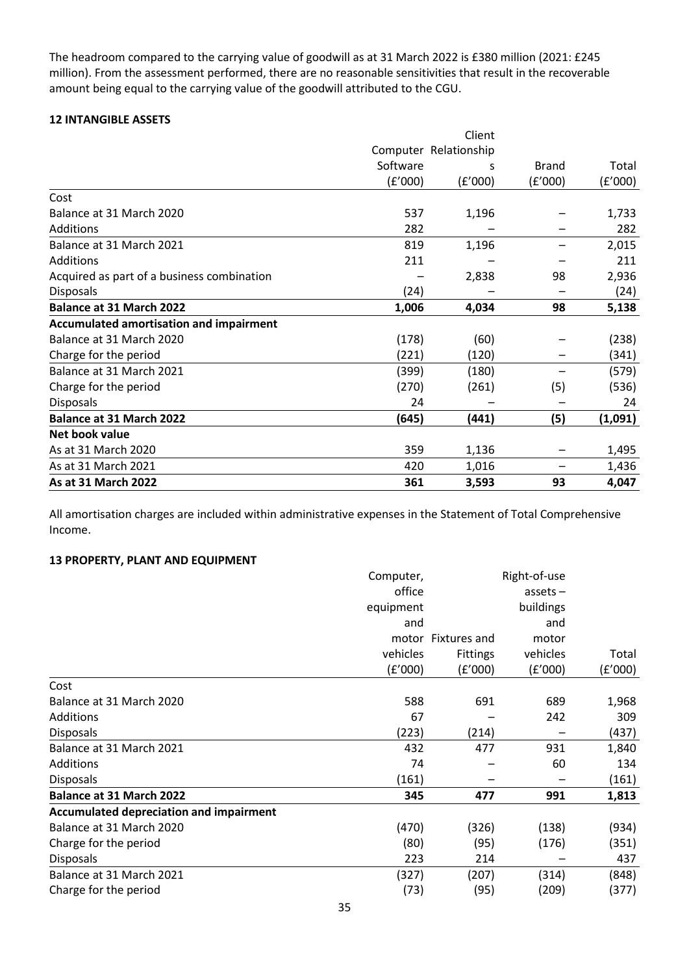The headroom compared to the carrying value of goodwill as at 31 March 2022 is £380 million (2021: £245 million). From the assessment performed, there are no reasonable sensitivities that result in the recoverable amount being equal to the carrying value of the goodwill attributed to the CGU.

## **12 INTANGIBLE ASSETS**

|                                            |          | Client                |              |         |
|--------------------------------------------|----------|-----------------------|--------------|---------|
|                                            |          | Computer Relationship |              |         |
|                                            | Software | s                     | <b>Brand</b> | Total   |
|                                            | (f'000)  | (f'000)               | (£'000)      | (f'000) |
| Cost                                       |          |                       |              |         |
| Balance at 31 March 2020                   | 537      | 1,196                 |              | 1,733   |
| Additions                                  | 282      |                       |              | 282     |
| Balance at 31 March 2021                   | 819      | 1,196                 |              | 2,015   |
| Additions                                  | 211      |                       |              | 211     |
| Acquired as part of a business combination |          | 2,838                 | 98           | 2,936   |
| <b>Disposals</b>                           | (24)     |                       |              | (24)    |
| <b>Balance at 31 March 2022</b>            | 1,006    | 4,034                 | 98           | 5,138   |
| Accumulated amortisation and impairment    |          |                       |              |         |
| Balance at 31 March 2020                   | (178)    | (60)                  |              | (238)   |
| Charge for the period                      | (221)    | (120)                 |              | (341)   |
| Balance at 31 March 2021                   | (399)    | (180)                 |              | (579)   |
| Charge for the period                      | (270)    | (261)                 | (5)          | (536)   |
| Disposals                                  | 24       |                       |              | 24      |
| <b>Balance at 31 March 2022</b>            | (645)    | (441)                 | (5)          | (1,091) |
| Net book value                             |          |                       |              |         |
| As at 31 March 2020                        | 359      | 1,136                 |              | 1,495   |
| As at 31 March 2021                        | 420      | 1,016                 |              | 1,436   |
| As at 31 March 2022                        | 361      | 3,593                 | 93           | 4,047   |

All amortisation charges are included within administrative expenses in the Statement of Total Comprehensive Income.

## **13 PROPERTY, PLANT AND EQUIPMENT**

|                                                | Computer, |                    | Right-of-use |         |
|------------------------------------------------|-----------|--------------------|--------------|---------|
|                                                | office    |                    | $asserts -$  |         |
|                                                | equipment |                    | buildings    |         |
|                                                | and       |                    | and          |         |
|                                                |           | motor Fixtures and | motor        |         |
|                                                | vehicles  | <b>Fittings</b>    | vehicles     | Total   |
|                                                | (E'000)   | (f'000)            | (f'000)      | (E'000) |
| Cost                                           |           |                    |              |         |
| Balance at 31 March 2020                       | 588       | 691                | 689          | 1,968   |
| Additions                                      | 67        |                    | 242          | 309     |
| <b>Disposals</b>                               | (223)     | (214)              |              | (437)   |
| Balance at 31 March 2021                       | 432       | 477                | 931          | 1,840   |
| <b>Additions</b>                               | 74        |                    | 60           | 134     |
| <b>Disposals</b>                               | (161)     |                    |              | (161)   |
| <b>Balance at 31 March 2022</b>                | 345       | 477                | 991          | 1,813   |
| <b>Accumulated depreciation and impairment</b> |           |                    |              |         |
| Balance at 31 March 2020                       | (470)     | (326)              | (138)        | (934)   |
| Charge for the period                          | (80)      | (95)               | (176)        | (351)   |
| <b>Disposals</b>                               | 223       | 214                |              | 437     |
| Balance at 31 March 2021                       | (327)     | (207)              | (314)        | (848)   |
| Charge for the period                          | (73)      | (95)               | (209)        | (377)   |
|                                                |           |                    |              |         |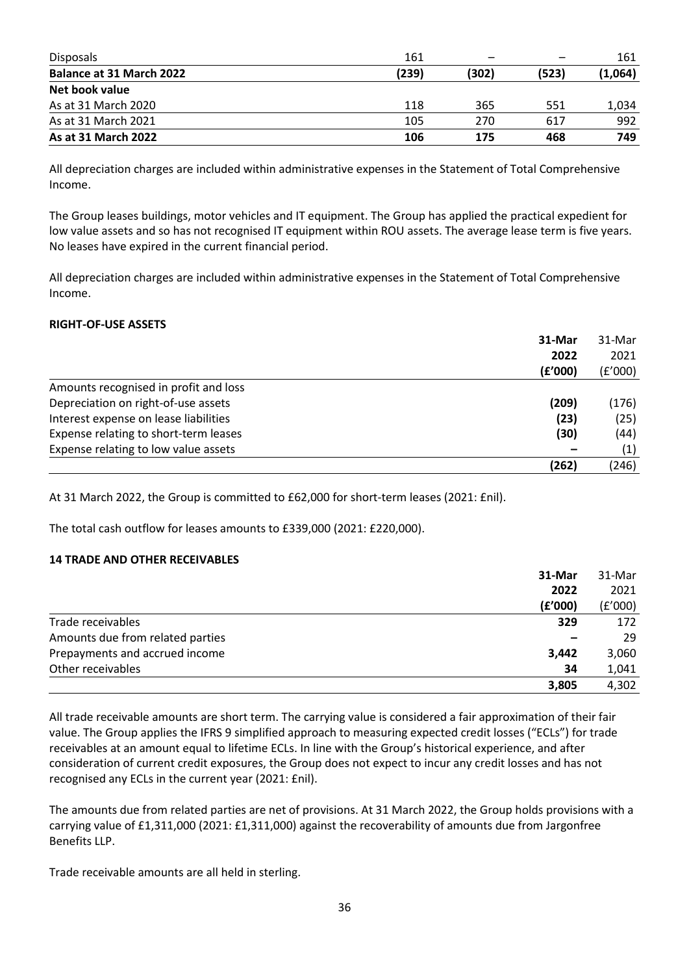| <b>Disposals</b>                | 161   |       |       | 161     |
|---------------------------------|-------|-------|-------|---------|
| <b>Balance at 31 March 2022</b> | (239) | (302) | (523) | (1,064) |
| Net book value                  |       |       |       |         |
| As at 31 March 2020             | 118   | 365   | 551   | 1.034   |
| As at 31 March 2021             | 105   | 270   | 617   | 992     |
| As at 31 March 2022             | 106   | 175   | 468   | 749     |

All depreciation charges are included within administrative expenses in the Statement of Total Comprehensive Income.

The Group leases buildings, motor vehicles and IT equipment. The Group has applied the practical expedient for low value assets and so has not recognised IT equipment within ROU assets. The average lease term is five years. No leases have expired in the current financial period.

All depreciation charges are included within administrative expenses in the Statement of Total Comprehensive Income.

#### **RIGHT-OF-USE ASSETS**

|                                       | 31-Mar  | 31-Mar  |
|---------------------------------------|---------|---------|
|                                       | 2022    | 2021    |
|                                       | (£'000) | (f'000) |
| Amounts recognised in profit and loss |         |         |
| Depreciation on right-of-use assets   | (209)   | (176)   |
| Interest expense on lease liabilities | (23)    | (25)    |
| Expense relating to short-term leases | (30)    | (44)    |
| Expense relating to low value assets  |         | (1)     |
|                                       | (262)   | (246)   |

At 31 March 2022, the Group is committed to £62,000 for short-term leases (2021: £nil).

The total cash outflow for leases amounts to £339,000 (2021: £220,000).

## **14 TRADE AND OTHER RECEIVABLES**

|                                  | 31-Mar  | 31-Mar  |
|----------------------------------|---------|---------|
|                                  | 2022    | 2021    |
|                                  | (f'000) | (f'000) |
| Trade receivables                | 329     | 172     |
| Amounts due from related parties |         | 29      |
| Prepayments and accrued income   | 3,442   | 3,060   |
| Other receivables                | 34      | 1,041   |
|                                  | 3,805   | 4,302   |

All trade receivable amounts are short term. The carrying value is considered a fair approximation of their fair value. The Group applies the IFRS 9 simplified approach to measuring expected credit losses ("ECLs") for trade receivables at an amount equal to lifetime ECLs. In line with the Group's historical experience, and after consideration of current credit exposures, the Group does not expect to incur any credit losses and has not recognised any ECLs in the current year (2021: £nil).

The amounts due from related parties are net of provisions. At 31 March 2022, the Group holds provisions with a carrying value of £1,311,000 (2021: £1,311,000) against the recoverability of amounts due from Jargonfree Benefits LLP.

Trade receivable amounts are all held in sterling.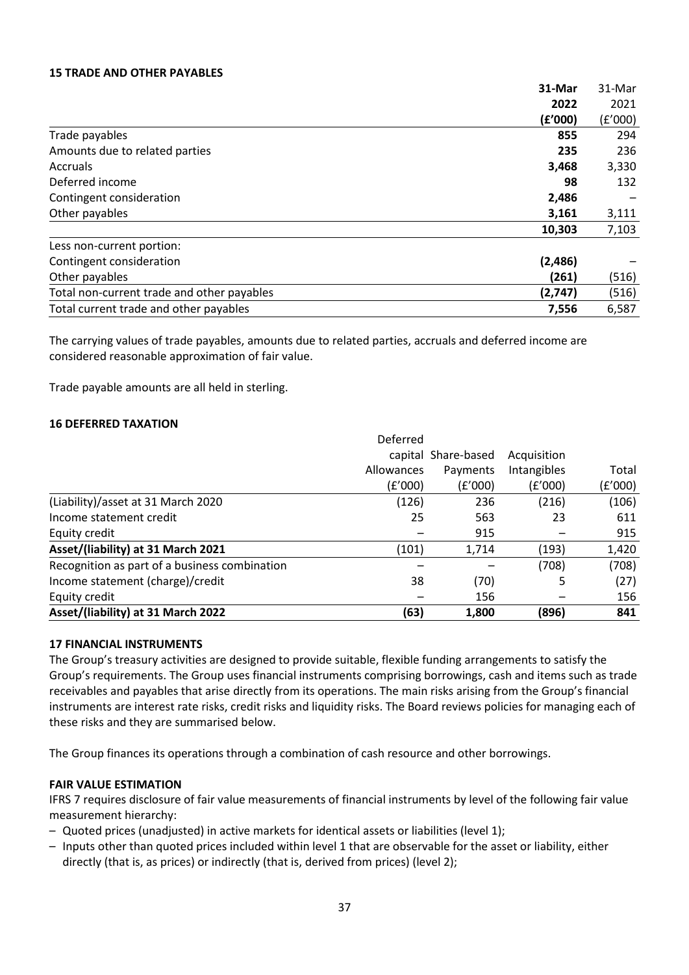## **15 TRADE AND OTHER PAYABLES**

|                                            | 31-Mar  | 31-Mar  |
|--------------------------------------------|---------|---------|
|                                            | 2022    | 2021    |
|                                            | (f'000) | (f'000) |
| Trade payables                             | 855     | 294     |
| Amounts due to related parties             | 235     | 236     |
| <b>Accruals</b>                            | 3,468   | 3,330   |
| Deferred income                            | 98      | 132     |
| Contingent consideration                   | 2,486   |         |
| Other payables                             | 3,161   | 3,111   |
|                                            | 10,303  | 7,103   |
| Less non-current portion:                  |         |         |
| Contingent consideration                   | (2,486) |         |
| Other payables                             | (261)   | (516)   |
| Total non-current trade and other payables | (2,747) | (516)   |
| Total current trade and other payables     | 7,556   | 6,587   |

The carrying values of trade payables, amounts due to related parties, accruals and deferred income are considered reasonable approximation of fair value.

Trade payable amounts are all held in sterling.

## **16 DEFERRED TAXATION**

| Asset/(liability) at 31 March 2022            | (63)       | 1,800               | (896)       | 841     |
|-----------------------------------------------|------------|---------------------|-------------|---------|
| Equity credit                                 |            | 156                 |             | 156     |
| Income statement (charge)/credit              | 38         | (70)                | 5           | (27)    |
| Recognition as part of a business combination |            |                     | (708)       | (708)   |
| Asset/(liability) at 31 March 2021            | (101)      | 1,714               | (193)       | 1,420   |
| Equity credit                                 |            | 915                 |             | 915     |
| Income statement credit                       | 25         | 563                 | 23          | 611     |
| (Liability)/asset at 31 March 2020            | (126)      | 236                 | (216)       | (106)   |
|                                               | (E'000)    | (£'000)             | (£'000)     | (£'000) |
|                                               | Allowances | Payments            | Intangibles | Total   |
|                                               |            | capital Share-based | Acquisition |         |
|                                               | Deferred   |                     |             |         |

## **17 FINANCIAL INSTRUMENTS**

The Group's treasury activities are designed to provide suitable, flexible funding arrangements to satisfy the Group's requirements. The Group uses financial instruments comprising borrowings, cash and items such as trade receivables and payables that arise directly from its operations. The main risks arising from the Group's financial instruments are interest rate risks, credit risks and liquidity risks. The Board reviews policies for managing each of these risks and they are summarised below.

The Group finances its operations through a combination of cash resource and other borrowings.

## **FAIR VALUE ESTIMATION**

IFRS 7 requires disclosure of fair value measurements of financial instruments by level of the following fair value measurement hierarchy:

- Quoted prices (unadjusted) in active markets for identical assets or liabilities (level 1);
- Inputs other than quoted prices included within level 1 that are observable for the asset or liability, either directly (that is, as prices) or indirectly (that is, derived from prices) (level 2);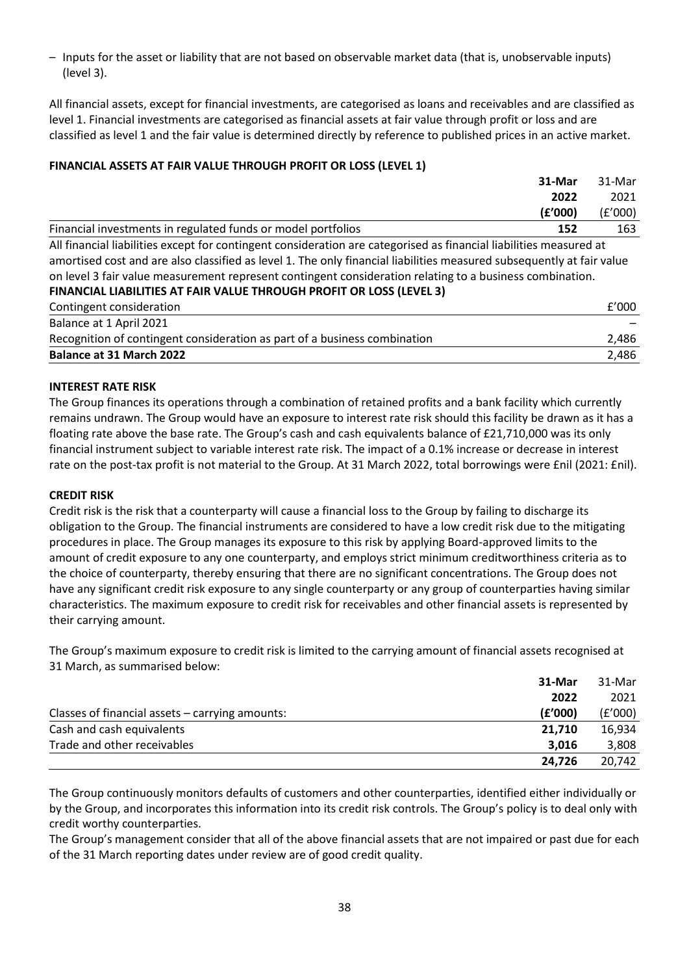– Inputs for the asset or liability that are not based on observable market data (that is, unobservable inputs) (level 3).

All financial assets, except for financial investments, are categorised as loans and receivables and are classified as level 1. Financial investments are categorised as financial assets at fair value through profit or loss and are classified as level 1 and the fair value is determined directly by reference to published prices in an active market.

## **FINANCIAL ASSETS AT FAIR VALUE THROUGH PROFIT OR LOSS (LEVEL 1)**

|                                                                                                                       | 31-Mar  | 31-Mar  |
|-----------------------------------------------------------------------------------------------------------------------|---------|---------|
|                                                                                                                       | 2022    | 2021    |
|                                                                                                                       | (f'000) | (E'000) |
| Financial investments in regulated funds or model portfolios                                                          | 152     | 163     |
| All financial liabilities except for contingent consideration are categorised as financial liabilities measured at    |         |         |
| amortised cost and are also classified as level 1. The only financial liabilities measured subsequently at fair value |         |         |
| on level 3 fair value measurement represent contingent consideration relating to a business combination.              |         |         |
| FINANCIAL LIABILITIES AT FAIR VALUE THROUGH PROFIT OR LOSS (LEVEL 3)                                                  |         |         |
| Contingent consideration                                                                                              |         | f'000   |
| Balance at 1 April 2021                                                                                               |         |         |
| Recognition of contingent consideration as part of a business combination                                             |         | 2,486   |
| <b>Balance at 31 March 2022</b>                                                                                       |         | 2,486   |

## **INTEREST RATE RISK**

The Group finances its operations through a combination of retained profits and a bank facility which currently remains undrawn. The Group would have an exposure to interest rate risk should this facility be drawn as it has a floating rate above the base rate. The Group's cash and cash equivalents balance of £21,710,000 was its only financial instrument subject to variable interest rate risk. The impact of a 0.1% increase or decrease in interest rate on the post-tax profit is not material to the Group. At 31 March 2022, total borrowings were £nil (2021: £nil).

## **CREDIT RISK**

Credit risk is the risk that a counterparty will cause a financial loss to the Group by failing to discharge its obligation to the Group. The financial instruments are considered to have a low credit risk due to the mitigating procedures in place. The Group manages its exposure to this risk by applying Board-approved limits to the amount of credit exposure to any one counterparty, and employs strict minimum creditworthiness criteria as to the choice of counterparty, thereby ensuring that there are no significant concentrations. The Group does not have any significant credit risk exposure to any single counterparty or any group of counterparties having similar characteristics. The maximum exposure to credit risk for receivables and other financial assets is represented by their carrying amount.

The Group's maximum exposure to credit risk is limited to the carrying amount of financial assets recognised at 31 March, as summarised below:

|                                                   | 31-Mar  | 31-Mar  |
|---------------------------------------------------|---------|---------|
|                                                   | 2022    | 2021    |
| Classes of financial assets $-$ carrying amounts: | (E'000) | (E'000) |
| Cash and cash equivalents                         | 21.710  | 16.934  |
| Trade and other receivables                       | 3.016   | 3,808   |
|                                                   | 24.726  | 20.742  |

The Group continuously monitors defaults of customers and other counterparties, identified either individually or by the Group, and incorporates this information into its credit risk controls. The Group's policy is to deal only with credit worthy counterparties.

The Group's management consider that all of the above financial assets that are not impaired or past due for each of the 31 March reporting dates under review are of good credit quality.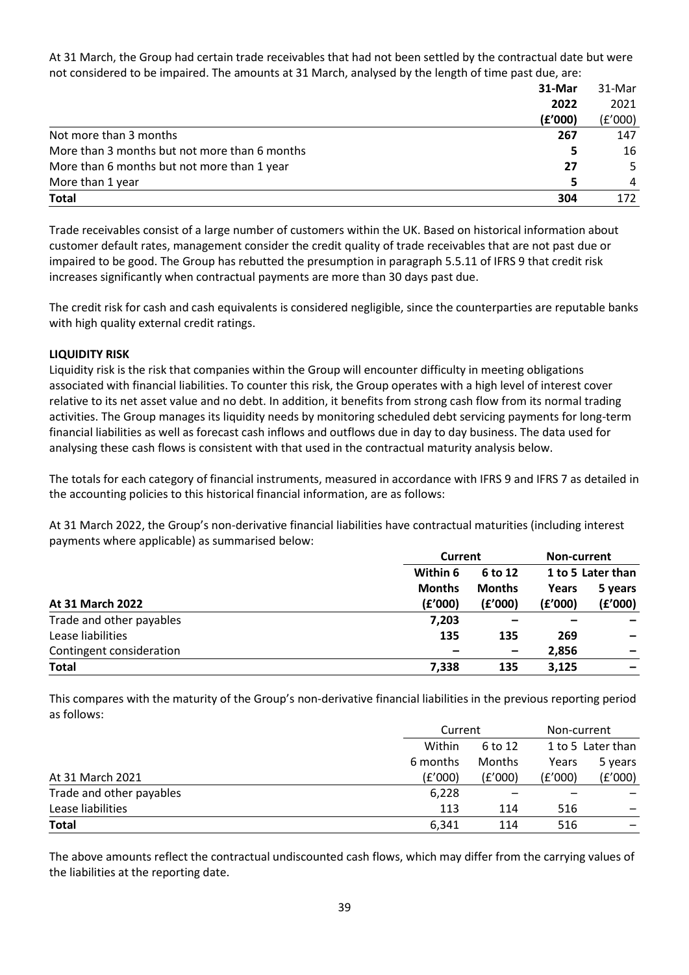At 31 March, the Group had certain trade receivables that had not been settled by the contractual date but were not considered to be impaired. The amounts at 31 March, analysed by the length of time past due, are:

|                                               | 31-Mar  | 31-Mar  |
|-----------------------------------------------|---------|---------|
|                                               | 2022    | 2021    |
|                                               | (f'000) | (f'000) |
| Not more than 3 months                        | 267     | 147     |
| More than 3 months but not more than 6 months | 5       | 16      |
| More than 6 months but not more than 1 year   | 27      | .5.     |
| More than 1 year                              | 5       | 4       |
| <b>Total</b>                                  | 304     | 172     |

Trade receivables consist of a large number of customers within the UK. Based on historical information about customer default rates, management consider the credit quality of trade receivables that are not past due or impaired to be good. The Group has rebutted the presumption in paragraph 5.5.11 of IFRS 9 that credit risk increases significantly when contractual payments are more than 30 days past due.

The credit risk for cash and cash equivalents is considered negligible, since the counterparties are reputable banks with high quality external credit ratings.

## **LIQUIDITY RISK**

Liquidity risk is the risk that companies within the Group will encounter difficulty in meeting obligations associated with financial liabilities. To counter this risk, the Group operates with a high level of interest cover relative to its net asset value and no debt. In addition, it benefits from strong cash flow from its normal trading activities. The Group manages its liquidity needs by monitoring scheduled debt servicing payments for long-term financial liabilities as well as forecast cash inflows and outflows due in day to day business. The data used for analysing these cash flows is consistent with that used in the contractual maturity analysis below.

The totals for each category of financial instruments, measured in accordance with IFRS 9 and IFRS 7 as detailed in the accounting policies to this historical financial information, are as follows:

At 31 March 2022, the Group's non-derivative financial liabilities have contractual maturities (including interest payments where applicable) as summarised below:

|                          | <b>Current</b> |               | Non-current       |                          |
|--------------------------|----------------|---------------|-------------------|--------------------------|
|                          | Within 6       | 6 to 12       | 1 to 5 Later than |                          |
|                          | <b>Months</b>  | <b>Months</b> | Years             | 5 years                  |
| At 31 March 2022         | (f'000)        | (f'000)       | (f'000)           | (f'000)                  |
| Trade and other payables | 7,203          |               |                   |                          |
| Lease liabilities        | 135            | 135           | 269               | $\overline{\phantom{m}}$ |
| Contingent consideration |                |               | 2,856             |                          |
| <b>Total</b>             | 7,338          | 135           | 3,125             | $\overline{\phantom{m}}$ |

This compares with the maturity of the Group's non-derivative financial liabilities in the previous reporting period as follows:

|                          |          | Current |         | Non-current       |  |
|--------------------------|----------|---------|---------|-------------------|--|
|                          | Within   | 6 to 12 |         | 1 to 5 Later than |  |
|                          | 6 months | Months  | Years   | 5 years           |  |
| At 31 March 2021         | (f'000)  | (E'000) | (E'000) | (E'000)           |  |
| Trade and other payables | 6,228    |         |         |                   |  |
| Lease liabilities        | 113      | 114     | 516     |                   |  |
| <b>Total</b>             | 6.341    | 114     | 516     |                   |  |

The above amounts reflect the contractual undiscounted cash flows, which may differ from the carrying values of the liabilities at the reporting date.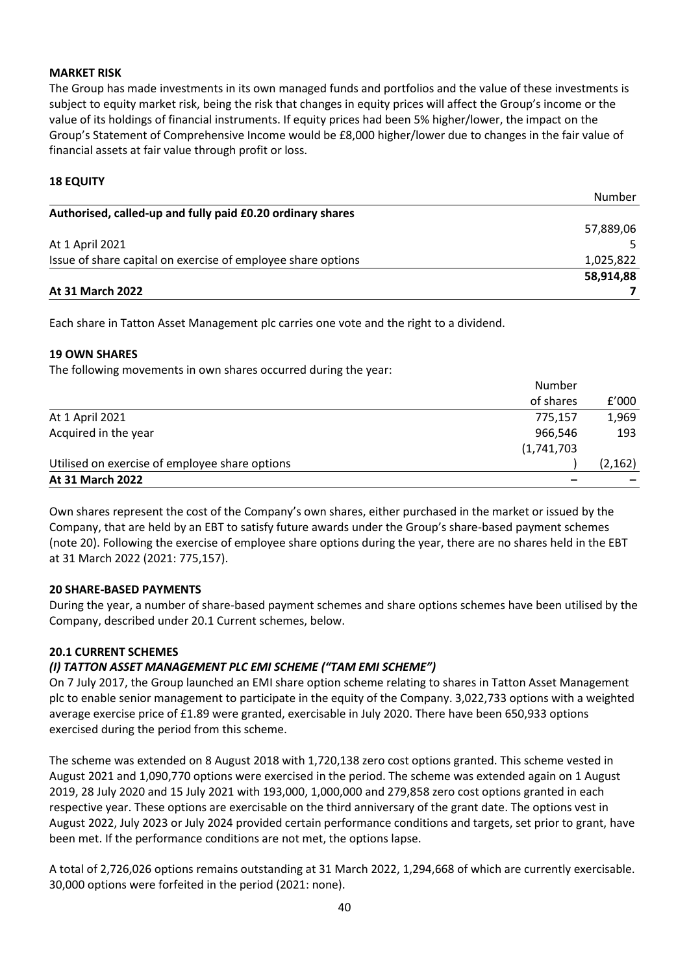## **MARKET RISK**

The Group has made investments in its own managed funds and portfolios and the value of these investments is subject to equity market risk, being the risk that changes in equity prices will affect the Group's income or the value of its holdings of financial instruments. If equity prices had been 5% higher/lower, the impact on the Group's Statement of Comprehensive Income would be £8,000 higher/lower due to changes in the fair value of financial assets at fair value through profit or loss.

## **18 EQUITY**

| At 31 March 2022                                             |           |
|--------------------------------------------------------------|-----------|
|                                                              | 58,914,88 |
| Issue of share capital on exercise of employee share options | 1,025,822 |
| At 1 April 2021                                              |           |
|                                                              | 57,889,06 |
| Authorised, called-up and fully paid £0.20 ordinary shares   |           |
|                                                              | Number    |

Each share in Tatton Asset Management plc carries one vote and the right to a dividend.

## **19 OWN SHARES**

The following movements in own shares occurred during the year:

| At 31 March 2022                               |             |          |
|------------------------------------------------|-------------|----------|
| Utilised on exercise of employee share options |             | (2, 162) |
|                                                | (1,741,703) |          |
| Acquired in the year                           | 966,546     | 193      |
| At 1 April 2021                                | 775,157     | 1,969    |
|                                                | of shares   | f'000    |
|                                                | Number      |          |

Own shares represent the cost of the Company's own shares, either purchased in the market or issued by the Company, that are held by an EBT to satisfy future awards under the Group's share-based payment schemes (note 20). Following the exercise of employee share options during the year, there are no shares held in the EBT at 31 March 2022 (2021: 775,157).

## **20 SHARE-BASED PAYMENTS**

During the year, a number of share-based payment schemes and share options schemes have been utilised by the Company, described under 20.1 Current schemes, below.

## **20.1 CURRENT SCHEMES**

## *(I) TATTON ASSET MANAGEMENT PLC EMI SCHEME ("TAM EMI SCHEME")*

On 7 July 2017, the Group launched an EMI share option scheme relating to shares in Tatton Asset Management plc to enable senior management to participate in the equity of the Company. 3,022,733 options with a weighted average exercise price of £1.89 were granted, exercisable in July 2020. There have been 650,933 options exercised during the period from this scheme.

The scheme was extended on 8 August 2018 with 1,720,138 zero cost options granted. This scheme vested in August 2021 and 1,090,770 options were exercised in the period. The scheme was extended again on 1 August 2019, 28 July 2020 and 15 July 2021 with 193,000, 1,000,000 and 279,858 zero cost options granted in each respective year. These options are exercisable on the third anniversary of the grant date. The options vest in August 2022, July 2023 or July 2024 provided certain performance conditions and targets, set prior to grant, have been met. If the performance conditions are not met, the options lapse.

A total of 2,726,026 options remains outstanding at 31 March 2022, 1,294,668 of which are currently exercisable. 30,000 options were forfeited in the period (2021: none).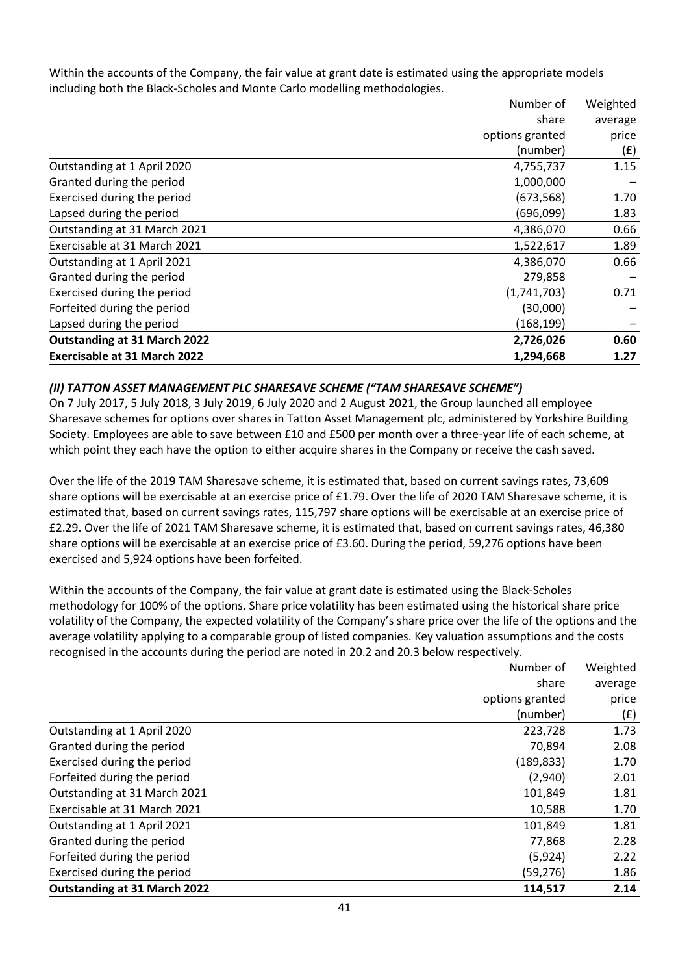Within the accounts of the Company, the fair value at grant date is estimated using the appropriate models including both the Black-Scholes and Monte Carlo modelling methodologies.

|                                     | Number of       | Weighted |  |
|-------------------------------------|-----------------|----------|--|
|                                     | share           | average  |  |
|                                     | options granted | price    |  |
|                                     | (number)        | (£)      |  |
| Outstanding at 1 April 2020         | 4,755,737       | 1.15     |  |
| Granted during the period           | 1,000,000       |          |  |
| Exercised during the period         | (673, 568)      | 1.70     |  |
| Lapsed during the period            | (696,099)       | 1.83     |  |
| Outstanding at 31 March 2021        | 4,386,070       | 0.66     |  |
| Exercisable at 31 March 2021        | 1,522,617       | 1.89     |  |
| Outstanding at 1 April 2021         | 4,386,070       | 0.66     |  |
| Granted during the period           | 279,858         |          |  |
| Exercised during the period         | (1,741,703)     | 0.71     |  |
| Forfeited during the period         | (30,000)        |          |  |
| Lapsed during the period            | (168,199)       |          |  |
| <b>Outstanding at 31 March 2022</b> | 2,726,026       | 0.60     |  |
| <b>Exercisable at 31 March 2022</b> | 1,294,668       | 1.27     |  |

## *(II) TATTON ASSET MANAGEMENT PLC SHARESAVE SCHEME ("TAM SHARESAVE SCHEME")*

On 7 July 2017, 5 July 2018, 3 July 2019, 6 July 2020 and 2 August 2021, the Group launched all employee Sharesave schemes for options over shares in Tatton Asset Management plc, administered by Yorkshire Building Society. Employees are able to save between £10 and £500 per month over a three-year life of each scheme, at which point they each have the option to either acquire shares in the Company or receive the cash saved.

Over the life of the 2019 TAM Sharesave scheme, it is estimated that, based on current savings rates, 73,609 share options will be exercisable at an exercise price of £1.79. Over the life of 2020 TAM Sharesave scheme, it is estimated that, based on current savings rates, 115,797 share options will be exercisable at an exercise price of £2.29. Over the life of 2021 TAM Sharesave scheme, it is estimated that, based on current savings rates, 46,380 share options will be exercisable at an exercise price of £3.60. During the period, 59,276 options have been exercised and 5,924 options have been forfeited.

Within the accounts of the Company, the fair value at grant date is estimated using the Black-Scholes methodology for 100% of the options. Share price volatility has been estimated using the historical share price volatility of the Company, the expected volatility of the Company's share price over the life of the options and the average volatility applying to a comparable group of listed companies. Key valuation assumptions and the costs recognised in the accounts during the period are noted in 20.2 and 20.3 below respectively.

|                                     | Number of       | Weighted |
|-------------------------------------|-----------------|----------|
|                                     | share           | average  |
|                                     | options granted | price    |
|                                     | (number)        | (f)      |
| Outstanding at 1 April 2020         | 223,728         | 1.73     |
| Granted during the period           | 70,894          | 2.08     |
| Exercised during the period         | (189, 833)      | 1.70     |
| Forfeited during the period         | (2,940)         | 2.01     |
| Outstanding at 31 March 2021        | 101,849         | 1.81     |
| Exercisable at 31 March 2021        | 10,588          | 1.70     |
| Outstanding at 1 April 2021         | 101,849         | 1.81     |
| Granted during the period           | 77,868          | 2.28     |
| Forfeited during the period         | (5,924)         | 2.22     |
| Exercised during the period         | (59, 276)       | 1.86     |
| <b>Outstanding at 31 March 2022</b> | 114,517         | 2.14     |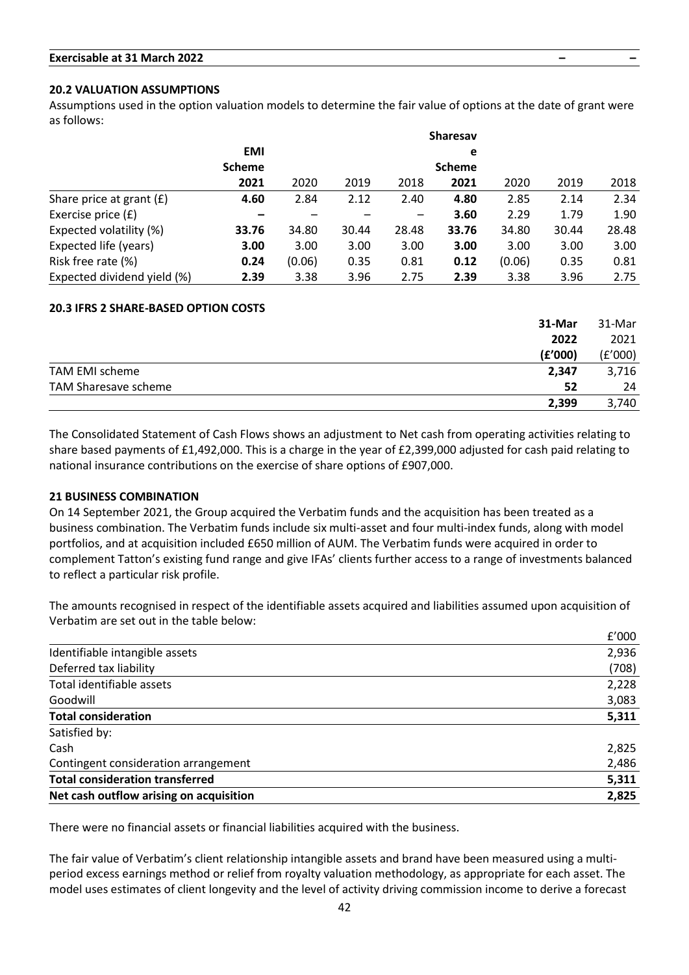## **20.2 VALUATION ASSUMPTIONS**

Assumptions used in the option valuation models to determine the fair value of options at the date of grant were as follows:

|                             |               |        |       |       | <b>Sharesav</b> |        |       |       |
|-----------------------------|---------------|--------|-------|-------|-----------------|--------|-------|-------|
|                             | <b>EMI</b>    |        |       |       | e               |        |       |       |
|                             | <b>Scheme</b> |        |       |       | <b>Scheme</b>   |        |       |       |
|                             | 2021          | 2020   | 2019  | 2018  | 2021            | 2020   | 2019  | 2018  |
| Share price at grant $(E)$  | 4.60          | 2.84   | 2.12  | 2.40  | 4.80            | 2.85   | 2.14  | 2.34  |
| Exercise price (£)          |               |        |       |       | 3.60            | 2.29   | 1.79  | 1.90  |
| Expected volatility (%)     | 33.76         | 34.80  | 30.44 | 28.48 | 33.76           | 34.80  | 30.44 | 28.48 |
| Expected life (years)       | 3.00          | 3.00   | 3.00  | 3.00  | 3.00            | 3.00   | 3.00  | 3.00  |
| Risk free rate (%)          | 0.24          | (0.06) | 0.35  | 0.81  | 0.12            | (0.06) | 0.35  | 0.81  |
| Expected dividend yield (%) | 2.39          | 3.38   | 3.96  | 2.75  | 2.39            | 3.38   | 3.96  | 2.75  |

## **20.3 IFRS 2 SHARE-BASED OPTION COSTS**

|                      | 31-Mar  | 31-Mar  |
|----------------------|---------|---------|
|                      | 2022    | 2021    |
|                      | (f'000) | (£'000) |
| TAM EMI scheme       | 2,347   | 3,716   |
| TAM Sharesave scheme | 52      | 24      |
|                      | 2,399   | 3.740   |

The Consolidated Statement of Cash Flows shows an adjustment to Net cash from operating activities relating to share based payments of £1,492,000. This is a charge in the year of £2,399,000 adjusted for cash paid relating to national insurance contributions on the exercise of share options of £907,000.

## **21 BUSINESS COMBINATION**

On 14 September 2021, the Group acquired the Verbatim funds and the acquisition has been treated as a business combination. The Verbatim funds include six multi-asset and four multi-index funds, along with model portfolios, and at acquisition included £650 million of AUM. The Verbatim funds were acquired in order to complement Tatton's existing fund range and give IFAs' clients further access to a range of investments balanced to reflect a particular risk profile.

The amounts recognised in respect of the identifiable assets acquired and liabilities assumed upon acquisition of Verbatim are set out in the table below:

 $\overline{\phantom{a}}$ 

|                                         | <b>L</b> UUU |
|-----------------------------------------|--------------|
| Identifiable intangible assets          | 2,936        |
| Deferred tax liability                  | (708)        |
| Total identifiable assets               | 2,228        |
| Goodwill                                | 3,083        |
| <b>Total consideration</b>              | 5,311        |
| Satisfied by:                           |              |
| Cash                                    | 2,825        |
| Contingent consideration arrangement    | 2,486        |
| <b>Total consideration transferred</b>  | 5,311        |
| Net cash outflow arising on acquisition | 2,825        |

There were no financial assets or financial liabilities acquired with the business.

The fair value of Verbatim's client relationship intangible assets and brand have been measured using a multiperiod excess earnings method or relief from royalty valuation methodology, as appropriate for each asset. The model uses estimates of client longevity and the level of activity driving commission income to derive a forecast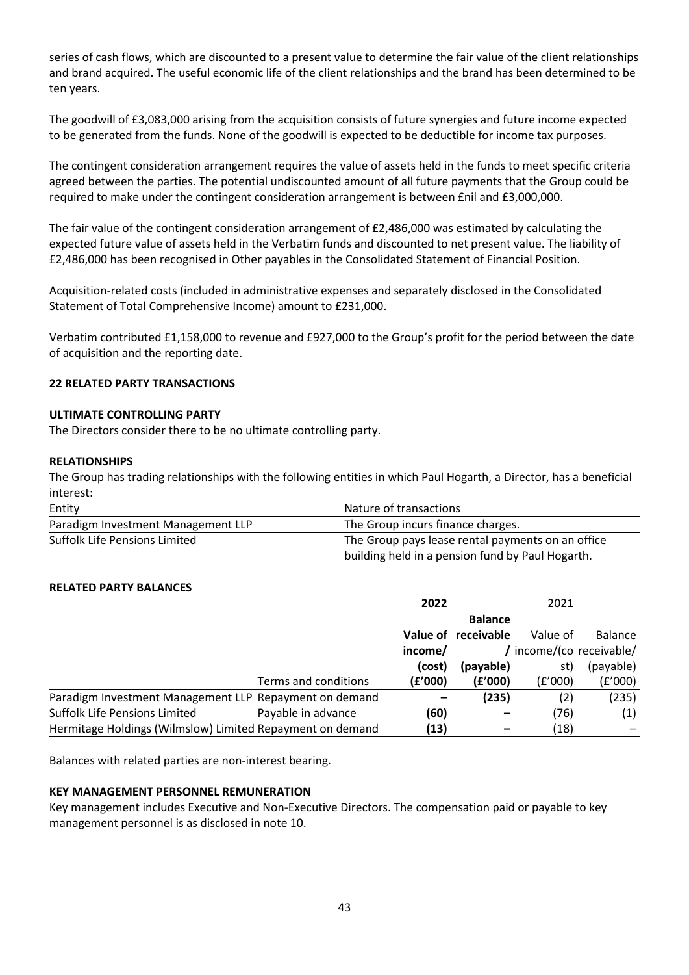series of cash flows, which are discounted to a present value to determine the fair value of the client relationships and brand acquired. The useful economic life of the client relationships and the brand has been determined to be ten years.

The goodwill of £3,083,000 arising from the acquisition consists of future synergies and future income expected to be generated from the funds. None of the goodwill is expected to be deductible for income tax purposes.

The contingent consideration arrangement requires the value of assets held in the funds to meet specific criteria agreed between the parties. The potential undiscounted amount of all future payments that the Group could be required to make under the contingent consideration arrangement is between £nil and £3,000,000.

The fair value of the contingent consideration arrangement of £2,486,000 was estimated by calculating the expected future value of assets held in the Verbatim funds and discounted to net present value. The liability of £2,486,000 has been recognised in Other payables in the Consolidated Statement of Financial Position.

Acquisition-related costs (included in administrative expenses and separately disclosed in the Consolidated Statement of Total Comprehensive Income) amount to £231,000.

Verbatim contributed £1,158,000 to revenue and £927,000 to the Group's profit for the period between the date of acquisition and the reporting date.

## **22 RELATED PARTY TRANSACTIONS**

## **ULTIMATE CONTROLLING PARTY**

The Directors consider there to be no ultimate controlling party.

## **RELATIONSHIPS**

The Group has trading relationships with the following entities in which Paul Hogarth, a Director, has a beneficial interest:

| Entity                             | Nature of transactions                            |  |
|------------------------------------|---------------------------------------------------|--|
| Paradigm Investment Management LLP | The Group incurs finance charges.                 |  |
| Suffolk Life Pensions Limited      | The Group pays lease rental payments on an office |  |
|                                    | building held in a pension fund by Paul Hogarth.  |  |

## **RELATED PARTY BALANCES**

|                                                           |                      | 2022<br>2021 |                     |                          |                |
|-----------------------------------------------------------|----------------------|--------------|---------------------|--------------------------|----------------|
|                                                           |                      |              | <b>Balance</b>      |                          |                |
|                                                           |                      |              | Value of receivable | Value of                 | <b>Balance</b> |
|                                                           |                      | income/      |                     | / income/(co receivable/ |                |
|                                                           |                      | (cost)       | (payable)           | st)                      | (payable)      |
|                                                           | Terms and conditions | (E'000)      | (f'000)             | (E'000)                  | (£'000)        |
| Paradigm Investment Management LLP Repayment on demand    |                      |              | (235)               | (2)                      | (235)          |
| Suffolk Life Pensions Limited                             | Payable in advance   | (60)         |                     | (76)                     | (1)            |
| Hermitage Holdings (Wilmslow) Limited Repayment on demand |                      | (13)         |                     | (18)                     |                |

Balances with related parties are non-interest bearing.

## **KEY MANAGEMENT PERSONNEL REMUNERATION**

Key management includes Executive and Non-Executive Directors. The compensation paid or payable to key management personnel is as disclosed in note 10.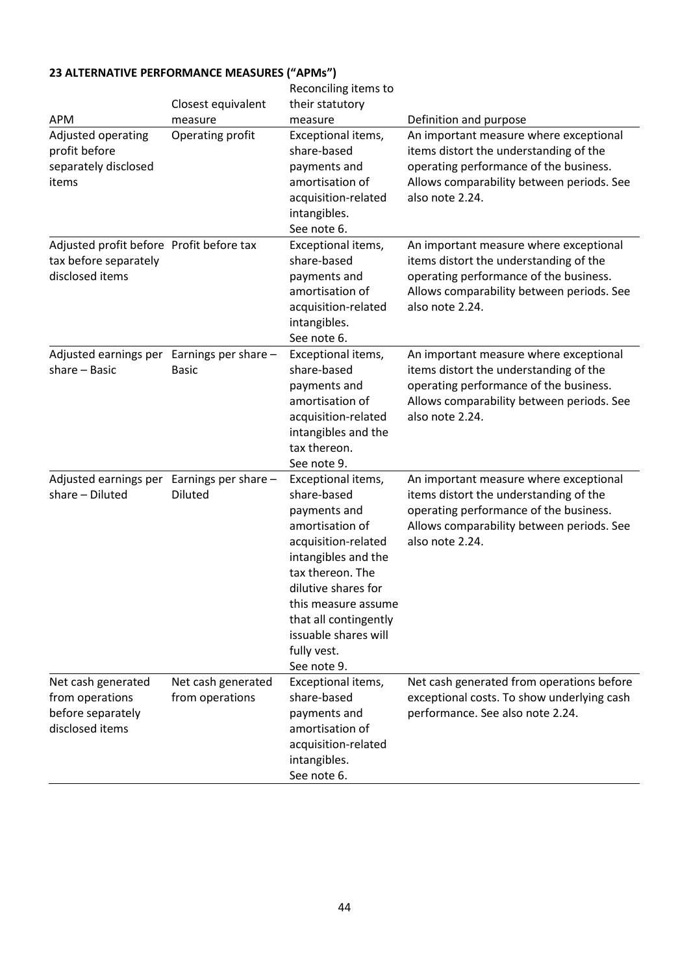|                                                                                      | Closest equivalent                    | Reconciling items to<br>their statutory                                                                                                                                                                                                                             |                                                                                                                                                                                            |
|--------------------------------------------------------------------------------------|---------------------------------------|---------------------------------------------------------------------------------------------------------------------------------------------------------------------------------------------------------------------------------------------------------------------|--------------------------------------------------------------------------------------------------------------------------------------------------------------------------------------------|
| <b>APM</b>                                                                           | measure                               | measure                                                                                                                                                                                                                                                             | Definition and purpose                                                                                                                                                                     |
| Adjusted operating<br>profit before<br>separately disclosed<br>items                 | Operating profit                      | Exceptional items,<br>share-based<br>payments and<br>amortisation of<br>acquisition-related<br>intangibles.<br>See note 6.                                                                                                                                          | An important measure where exceptional<br>items distort the understanding of the<br>operating performance of the business.<br>Allows comparability between periods. See<br>also note 2.24. |
| Adjusted profit before Profit before tax<br>tax before separately<br>disclosed items |                                       | Exceptional items,<br>share-based<br>payments and<br>amortisation of<br>acquisition-related<br>intangibles.<br>See note 6.                                                                                                                                          | An important measure where exceptional<br>items distort the understanding of the<br>operating performance of the business.<br>Allows comparability between periods. See<br>also note 2.24. |
| Adjusted earnings per Earnings per share -<br>share - Basic                          | <b>Basic</b>                          | Exceptional items,<br>share-based<br>payments and<br>amortisation of<br>acquisition-related<br>intangibles and the<br>tax thereon.<br>See note 9.                                                                                                                   | An important measure where exceptional<br>items distort the understanding of the<br>operating performance of the business.<br>Allows comparability between periods. See<br>also note 2.24. |
| Adjusted earnings per<br>share - Diluted                                             | Earnings per share -<br>Diluted       | Exceptional items,<br>share-based<br>payments and<br>amortisation of<br>acquisition-related<br>intangibles and the<br>tax thereon. The<br>dilutive shares for<br>this measure assume<br>that all contingently<br>issuable shares will<br>fully vest.<br>See note 9. | An important measure where exceptional<br>items distort the understanding of the<br>operating performance of the business.<br>Allows comparability between periods. See<br>also note 2.24. |
| Net cash generated<br>from operations<br>before separately<br>disclosed items        | Net cash generated<br>from operations | Exceptional items,<br>share-based<br>payments and<br>amortisation of<br>acquisition-related<br>intangibles.<br>See note 6.                                                                                                                                          | Net cash generated from operations before<br>exceptional costs. To show underlying cash<br>performance. See also note 2.24.                                                                |

# **23 ALTERNATIVE PERFORMANCE MEASURES ("APMs")**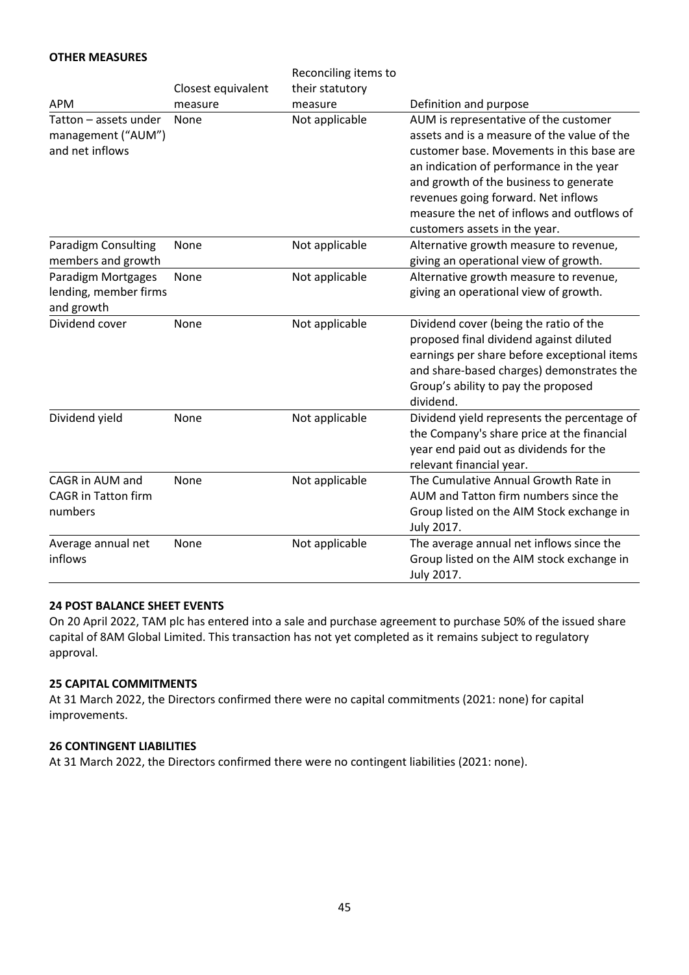## **OTHER MEASURES**

|                                                                |                    | Reconciling items to |                                                                                                                                                                                                                                                                                                                                               |
|----------------------------------------------------------------|--------------------|----------------------|-----------------------------------------------------------------------------------------------------------------------------------------------------------------------------------------------------------------------------------------------------------------------------------------------------------------------------------------------|
|                                                                | Closest equivalent | their statutory      |                                                                                                                                                                                                                                                                                                                                               |
| <b>APM</b>                                                     | measure            | measure              | Definition and purpose                                                                                                                                                                                                                                                                                                                        |
| Tatton - assets under<br>management ("AUM")<br>and net inflows | None               | Not applicable       | AUM is representative of the customer<br>assets and is a measure of the value of the<br>customer base. Movements in this base are<br>an indication of performance in the year<br>and growth of the business to generate<br>revenues going forward. Net inflows<br>measure the net of inflows and outflows of<br>customers assets in the year. |
| Paradigm Consulting<br>members and growth                      | None               | Not applicable       | Alternative growth measure to revenue,<br>giving an operational view of growth.                                                                                                                                                                                                                                                               |
| Paradigm Mortgages<br>lending, member firms<br>and growth      | None               | Not applicable       | Alternative growth measure to revenue,<br>giving an operational view of growth.                                                                                                                                                                                                                                                               |
| Dividend cover                                                 | None               | Not applicable       | Dividend cover (being the ratio of the<br>proposed final dividend against diluted<br>earnings per share before exceptional items<br>and share-based charges) demonstrates the<br>Group's ability to pay the proposed<br>dividend.                                                                                                             |
| Dividend yield                                                 | None               | Not applicable       | Dividend yield represents the percentage of<br>the Company's share price at the financial<br>year end paid out as dividends for the<br>relevant financial year.                                                                                                                                                                               |
| CAGR in AUM and<br><b>CAGR</b> in Tatton firm<br>numbers       | None               | Not applicable       | The Cumulative Annual Growth Rate in<br>AUM and Tatton firm numbers since the<br>Group listed on the AIM Stock exchange in<br>July 2017.                                                                                                                                                                                                      |
| Average annual net<br>inflows                                  | None               | Not applicable       | The average annual net inflows since the<br>Group listed on the AIM stock exchange in<br>July 2017.                                                                                                                                                                                                                                           |

## **24 POST BALANCE SHEET EVENTS**

On 20 April 2022, TAM plc has entered into a sale and purchase agreement to purchase 50% of the issued share capital of 8AM Global Limited. This transaction has not yet completed as it remains subject to regulatory approval.

## **25 CAPITAL COMMITMENTS**

At 31 March 2022, the Directors confirmed there were no capital commitments (2021: none) for capital improvements.

## **26 CONTINGENT LIABILITIES**

At 31 March 2022, the Directors confirmed there were no contingent liabilities (2021: none).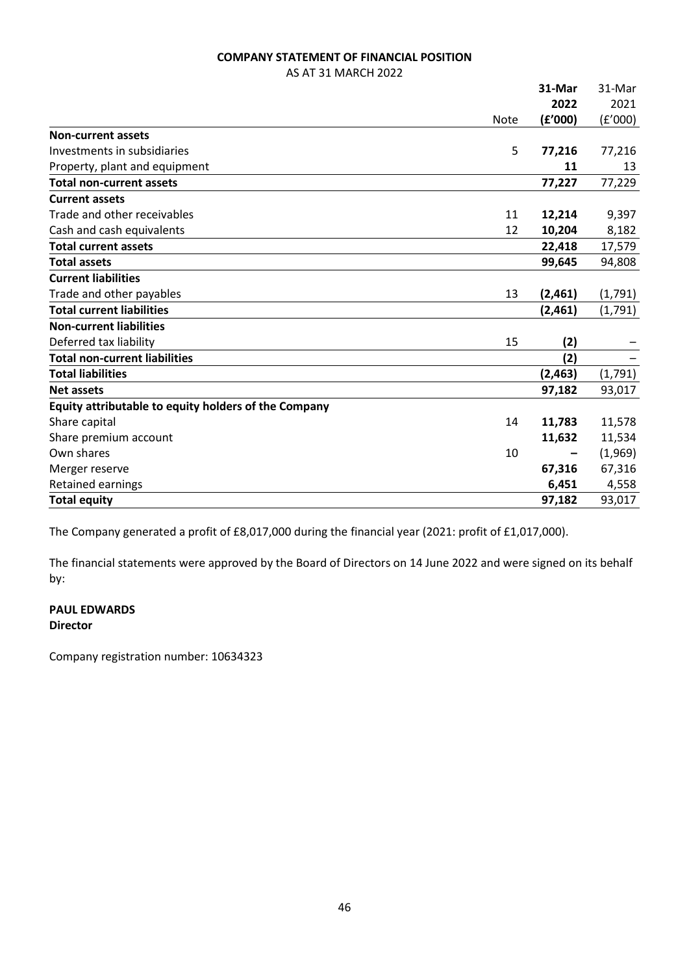## **COMPANY STATEMENT OF FINANCIAL POSITION**

AS AT 31 MARCH 2022

|                                                      |             | 31-Mar  | 31-Mar  |
|------------------------------------------------------|-------------|---------|---------|
|                                                      |             | 2022    | 2021    |
|                                                      | <b>Note</b> | (f'000) | (f'000) |
| <b>Non-current assets</b>                            |             |         |         |
| Investments in subsidiaries                          | 5           | 77,216  | 77,216  |
| Property, plant and equipment                        |             | 11      | 13      |
| <b>Total non-current assets</b>                      |             | 77,227  | 77,229  |
| <b>Current assets</b>                                |             |         |         |
| Trade and other receivables                          | 11          | 12,214  | 9,397   |
| Cash and cash equivalents                            | 12          | 10,204  | 8,182   |
| <b>Total current assets</b>                          |             | 22,418  | 17,579  |
| <b>Total assets</b>                                  |             | 99,645  | 94,808  |
| <b>Current liabilities</b>                           |             |         |         |
| Trade and other payables                             | 13          | (2,461) | (1,791) |
| <b>Total current liabilities</b>                     |             | (2,461) | (1,791) |
| <b>Non-current liabilities</b>                       |             |         |         |
| Deferred tax liability                               | 15          | (2)     |         |
| <b>Total non-current liabilities</b>                 |             | (2)     |         |
| <b>Total liabilities</b>                             |             | (2,463) | (1,791) |
| <b>Net assets</b>                                    |             | 97,182  | 93,017  |
| Equity attributable to equity holders of the Company |             |         |         |
| Share capital                                        | 14          | 11,783  | 11,578  |
| Share premium account                                |             | 11,632  | 11,534  |
| Own shares                                           | 10          |         | (1,969) |
| Merger reserve                                       |             | 67,316  | 67,316  |
| Retained earnings                                    |             | 6,451   | 4,558   |
| <b>Total equity</b>                                  |             | 97,182  | 93,017  |

The Company generated a profit of £8,017,000 during the financial year (2021: profit of £1,017,000).

The financial statements were approved by the Board of Directors on 14 June 2022 and were signed on its behalf by:

## **PAUL EDWARDS Director**

Company registration number: 10634323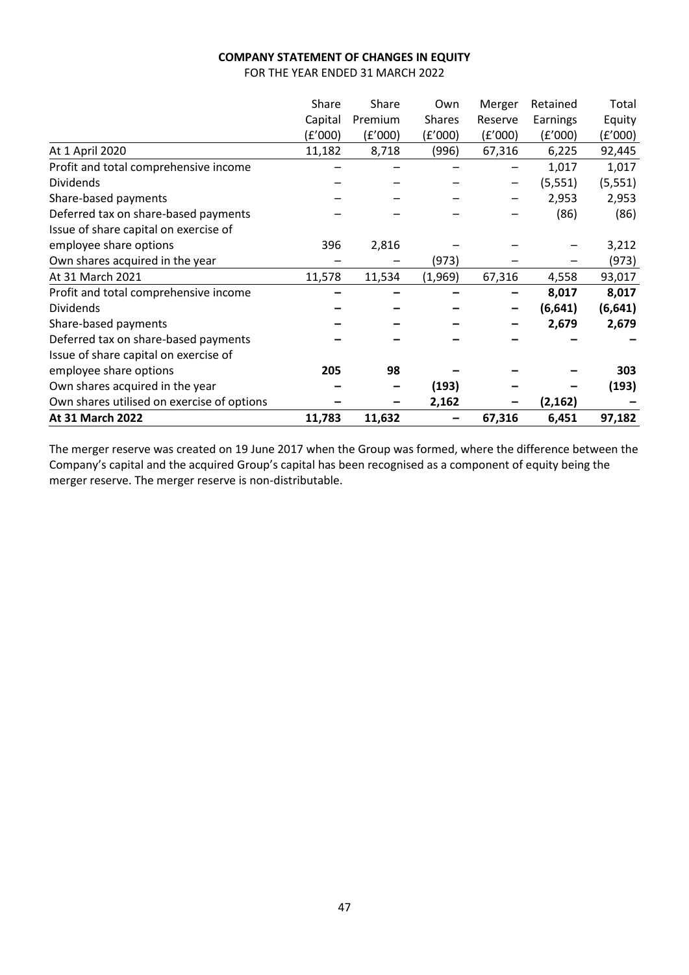## **COMPANY STATEMENT OF CHANGES IN EQUITY**

FOR THE YEAR ENDED 31 MARCH 2022

|                                            | Share   | Share   | Own           | Merger  | Retained | Total    |
|--------------------------------------------|---------|---------|---------------|---------|----------|----------|
|                                            | Capital | Premium | <b>Shares</b> | Reserve | Earnings | Equity   |
|                                            | (£'000) | (f'000) | (f'000)       | (E'000) | (£'000)  | (£'000)  |
| At 1 April 2020                            | 11,182  | 8,718   | (996)         | 67,316  | 6,225    | 92,445   |
| Profit and total comprehensive income      |         |         |               |         | 1,017    | 1,017    |
| <b>Dividends</b>                           |         |         |               |         | (5, 551) | (5, 551) |
| Share-based payments                       |         |         |               |         | 2,953    | 2,953    |
| Deferred tax on share-based payments       |         |         |               |         | (86)     | (86)     |
| Issue of share capital on exercise of      |         |         |               |         |          |          |
| employee share options                     | 396     | 2,816   |               |         |          | 3,212    |
| Own shares acquired in the year            |         |         | (973)         |         |          | (973)    |
| At 31 March 2021                           | 11,578  | 11,534  | (1,969)       | 67,316  | 4,558    | 93,017   |
| Profit and total comprehensive income      |         |         |               |         | 8,017    | 8,017    |
| <b>Dividends</b>                           |         |         |               |         | (6, 641) | (6,641)  |
| Share-based payments                       |         |         |               |         | 2,679    | 2,679    |
| Deferred tax on share-based payments       |         |         |               |         |          |          |
| Issue of share capital on exercise of      |         |         |               |         |          |          |
| employee share options                     | 205     | 98      |               |         |          | 303      |
| Own shares acquired in the year            |         |         | (193)         |         |          | (193)    |
| Own shares utilised on exercise of options |         |         | 2,162         |         | (2, 162) |          |
| At 31 March 2022                           | 11,783  | 11,632  |               | 67,316  | 6,451    | 97,182   |

The merger reserve was created on 19 June 2017 when the Group was formed, where the difference between the Company's capital and the acquired Group's capital has been recognised as a component of equity being the merger reserve. The merger reserve is non-distributable.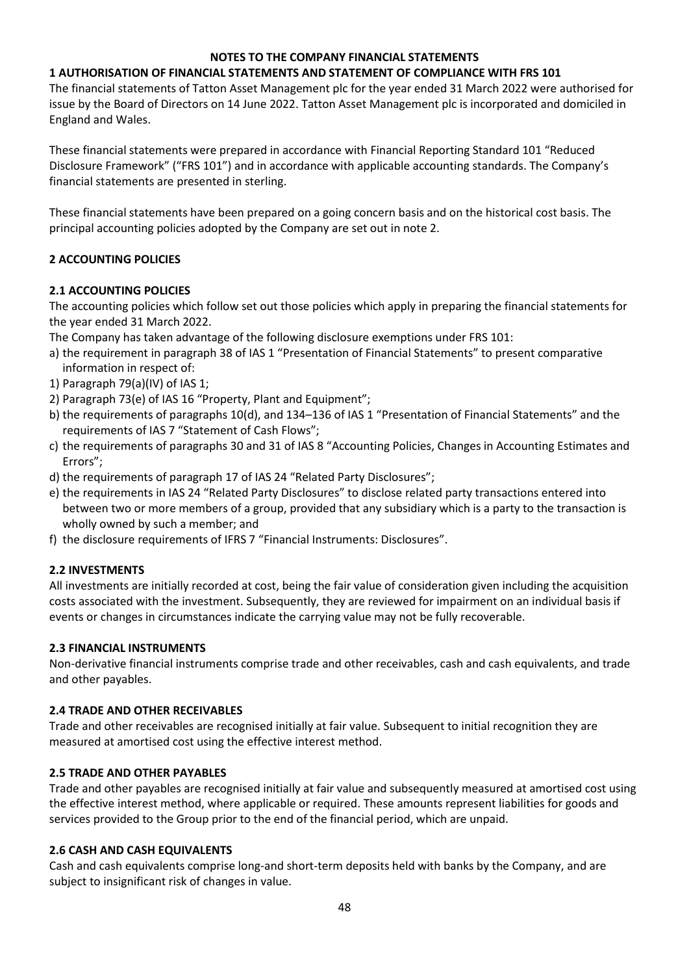## **NOTES TO THE COMPANY FINANCIAL STATEMENTS**

## **1 AUTHORISATION OF FINANCIAL STATEMENTS AND STATEMENT OF COMPLIANCE WITH FRS 101**

The financial statements of Tatton Asset Management plc for the year ended 31 March 2022 were authorised for issue by the Board of Directors on 14 June 2022. Tatton Asset Management plc is incorporated and domiciled in England and Wales.

These financial statements were prepared in accordance with Financial Reporting Standard 101 "Reduced Disclosure Framework" ("FRS 101") and in accordance with applicable accounting standards. The Company's financial statements are presented in sterling.

These financial statements have been prepared on a going concern basis and on the historical cost basis. The principal accounting policies adopted by the Company are set out in note 2.

## **2 ACCOUNTING POLICIES**

## **2.1 ACCOUNTING POLICIES**

The accounting policies which follow set out those policies which apply in preparing the financial statements for the year ended 31 March 2022.

The Company has taken advantage of the following disclosure exemptions under FRS 101:

- a) the requirement in paragraph 38 of IAS 1 "Presentation of Financial Statements" to present comparative information in respect of:
- 1) Paragraph 79(a)(IV) of IAS 1;
- 2) Paragraph 73(e) of IAS 16 "Property, Plant and Equipment";
- b) the requirements of paragraphs 10(d), and 134–136 of IAS 1 "Presentation of Financial Statements" and the requirements of IAS 7 "Statement of Cash Flows";
- c) the requirements of paragraphs 30 and 31 of IAS 8 "Accounting Policies, Changes in Accounting Estimates and Errors";
- d) the requirements of paragraph 17 of IAS 24 "Related Party Disclosures";
- e) the requirements in IAS 24 "Related Party Disclosures" to disclose related party transactions entered into between two or more members of a group, provided that any subsidiary which is a party to the transaction is wholly owned by such a member; and
- f) the disclosure requirements of IFRS 7 "Financial Instruments: Disclosures".

## **2.2 INVESTMENTS**

All investments are initially recorded at cost, being the fair value of consideration given including the acquisition costs associated with the investment. Subsequently, they are reviewed for impairment on an individual basis if events or changes in circumstances indicate the carrying value may not be fully recoverable.

## **2.3 FINANCIAL INSTRUMENTS**

Non-derivative financial instruments comprise trade and other receivables, cash and cash equivalents, and trade and other payables.

## **2.4 TRADE AND OTHER RECEIVABLES**

Trade and other receivables are recognised initially at fair value. Subsequent to initial recognition they are measured at amortised cost using the effective interest method.

## **2.5 TRADE AND OTHER PAYABLES**

Trade and other payables are recognised initially at fair value and subsequently measured at amortised cost using the effective interest method, where applicable or required. These amounts represent liabilities for goods and services provided to the Group prior to the end of the financial period, which are unpaid.

## **2.6 CASH AND CASH EQUIVALENTS**

Cash and cash equivalents comprise long-and short-term deposits held with banks by the Company, and are subject to insignificant risk of changes in value.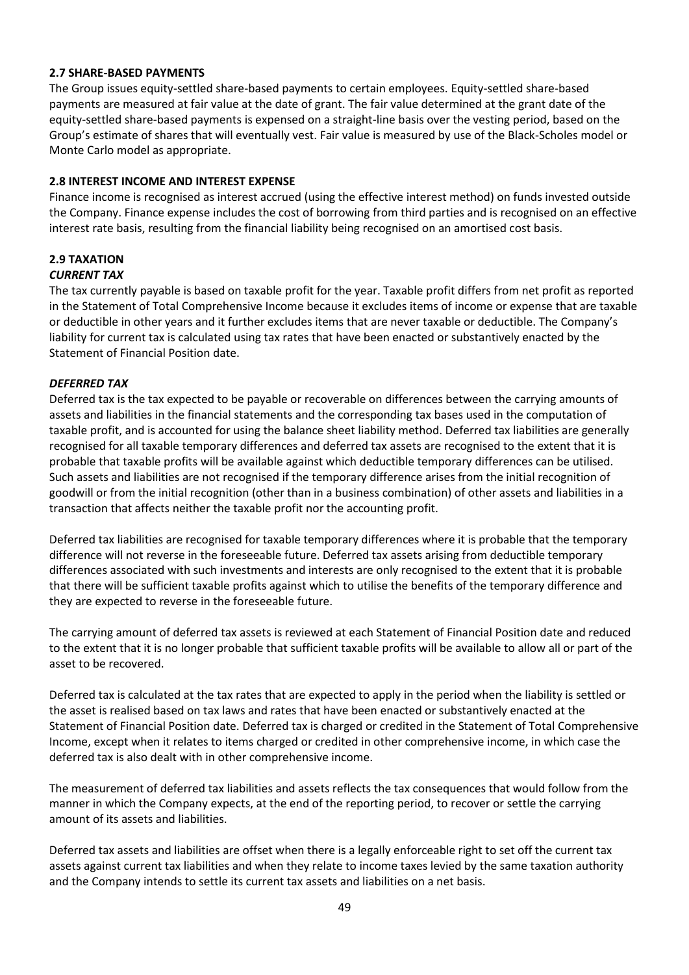## **2.7 SHARE-BASED PAYMENTS**

The Group issues equity-settled share-based payments to certain employees. Equity-settled share-based payments are measured at fair value at the date of grant. The fair value determined at the grant date of the equity-settled share-based payments is expensed on a straight-line basis over the vesting period, based on the Group's estimate of shares that will eventually vest. Fair value is measured by use of the Black-Scholes model or Monte Carlo model as appropriate.

## **2.8 INTEREST INCOME AND INTEREST EXPENSE**

Finance income is recognised as interest accrued (using the effective interest method) on funds invested outside the Company. Finance expense includes the cost of borrowing from third parties and is recognised on an effective interest rate basis, resulting from the financial liability being recognised on an amortised cost basis.

## **2.9 TAXATION** *CURRENT TAX*

The tax currently payable is based on taxable profit for the year. Taxable profit differs from net profit as reported in the Statement of Total Comprehensive Income because it excludes items of income or expense that are taxable or deductible in other years and it further excludes items that are never taxable or deductible. The Company's liability for current tax is calculated using tax rates that have been enacted or substantively enacted by the Statement of Financial Position date.

## *DEFERRED TAX*

Deferred tax is the tax expected to be payable or recoverable on differences between the carrying amounts of assets and liabilities in the financial statements and the corresponding tax bases used in the computation of taxable profit, and is accounted for using the balance sheet liability method. Deferred tax liabilities are generally recognised for all taxable temporary differences and deferred tax assets are recognised to the extent that it is probable that taxable profits will be available against which deductible temporary differences can be utilised. Such assets and liabilities are not recognised if the temporary difference arises from the initial recognition of goodwill or from the initial recognition (other than in a business combination) of other assets and liabilities in a transaction that affects neither the taxable profit nor the accounting profit.

Deferred tax liabilities are recognised for taxable temporary differences where it is probable that the temporary difference will not reverse in the foreseeable future. Deferred tax assets arising from deductible temporary differences associated with such investments and interests are only recognised to the extent that it is probable that there will be sufficient taxable profits against which to utilise the benefits of the temporary difference and they are expected to reverse in the foreseeable future.

The carrying amount of deferred tax assets is reviewed at each Statement of Financial Position date and reduced to the extent that it is no longer probable that sufficient taxable profits will be available to allow all or part of the asset to be recovered.

Deferred tax is calculated at the tax rates that are expected to apply in the period when the liability is settled or the asset is realised based on tax laws and rates that have been enacted or substantively enacted at the Statement of Financial Position date. Deferred tax is charged or credited in the Statement of Total Comprehensive Income, except when it relates to items charged or credited in other comprehensive income, in which case the deferred tax is also dealt with in other comprehensive income.

The measurement of deferred tax liabilities and assets reflects the tax consequences that would follow from the manner in which the Company expects, at the end of the reporting period, to recover or settle the carrying amount of its assets and liabilities.

Deferred tax assets and liabilities are offset when there is a legally enforceable right to set off the current tax assets against current tax liabilities and when they relate to income taxes levied by the same taxation authority and the Company intends to settle its current tax assets and liabilities on a net basis.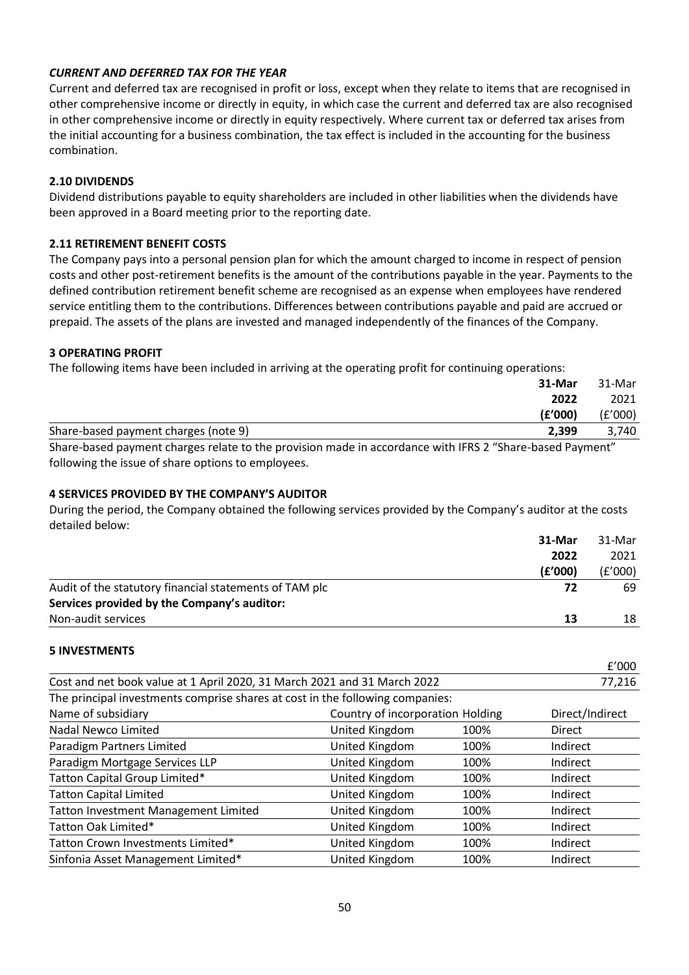## *CURRENT AND DEFERRED TAX FOR THE YEAR*

Current and deferred tax are recognised in profit or loss, except when they relate to items that are recognised in other comprehensive income or directly in equity, in which case the current and deferred tax are also recognised in other comprehensive income or directly in equity respectively. Where current tax or deferred tax arises from the initial accounting for a business combination, the tax effect is included in the accounting for the business combination.

## **2.10 DIVIDENDS**

Dividend distributions payable to equity shareholders are included in other liabilities when the dividends have been approved in a Board meeting prior to the reporting date.

## **2.11 RETIREMENT BENEFIT COSTS**

The Company pays into a personal pension plan for which the amount charged to income in respect of pension costs and other post-retirement benefits is the amount of the contributions payable in the year. Payments to the defined contribution retirement benefit scheme are recognised as an expense when employees have rendered service entitling them to the contributions. Differences between contributions payable and paid are accrued or prepaid. The assets of the plans are invested and managed independently of the finances of the Company.

## **3 OPERATING PROFIT**

The following items have been included in arriving at the operating profit for continuing operations:

|                                                                | 31-Mar  | 31-Mar  |
|----------------------------------------------------------------|---------|---------|
|                                                                | 2022    | 2021    |
|                                                                | (£'000) | (£'000) |
| Share-based payment charges (note 9)                           | 2.399   | 3.740   |
| $\sim$ $\sim$ $\sim$ $\sim$ $\sim$<br>$$ $$ $$ $$ $$ $$<br>. . | $\sim$  | .       |

Share-based payment charges relate to the provision made in accordance with IFRS 2 "Share-based Payment" following the issue of share options to employees.

## **4 SERVICES PROVIDED BY THE COMPANY'S AUDITOR**

During the period, the Company obtained the following services provided by the Company's auditor at the costs detailed below:

|                                                        | 31-Mar<br>2022 | 31-Mar<br>2021 |
|--------------------------------------------------------|----------------|----------------|
|                                                        |                |                |
|                                                        | (£'000)        | (£'000)        |
| Audit of the statutory financial statements of TAM plc | 72             | 69             |
| Services provided by the Company's auditor:            |                |                |
| Non-audit services                                     | 13             | 18             |

. . . . .

## **5 INVESTMENTS**

|                                                                               |                                  |      | £'000           |
|-------------------------------------------------------------------------------|----------------------------------|------|-----------------|
| Cost and net book value at 1 April 2020, 31 March 2021 and 31 March 2022      |                                  |      | 77,216          |
| The principal investments comprise shares at cost in the following companies: |                                  |      |                 |
| Name of subsidiary                                                            | Country of incorporation Holding |      | Direct/Indirect |
| Nadal Newco Limited                                                           | United Kingdom                   | 100% | Direct          |
| Paradigm Partners Limited                                                     | United Kingdom                   | 100% | Indirect        |
| Paradigm Mortgage Services LLP                                                | United Kingdom                   | 100% | Indirect        |
| Tatton Capital Group Limited*                                                 | United Kingdom                   | 100% | Indirect        |
| <b>Tatton Capital Limited</b>                                                 | United Kingdom                   | 100% | Indirect        |
| <b>Tatton Investment Management Limited</b>                                   | United Kingdom                   | 100% | Indirect        |
| Tatton Oak Limited*                                                           | United Kingdom                   | 100% | Indirect        |
| Tatton Crown Investments Limited*                                             | United Kingdom                   | 100% | Indirect        |
| Sinfonia Asset Management Limited*                                            | United Kingdom                   | 100% | Indirect        |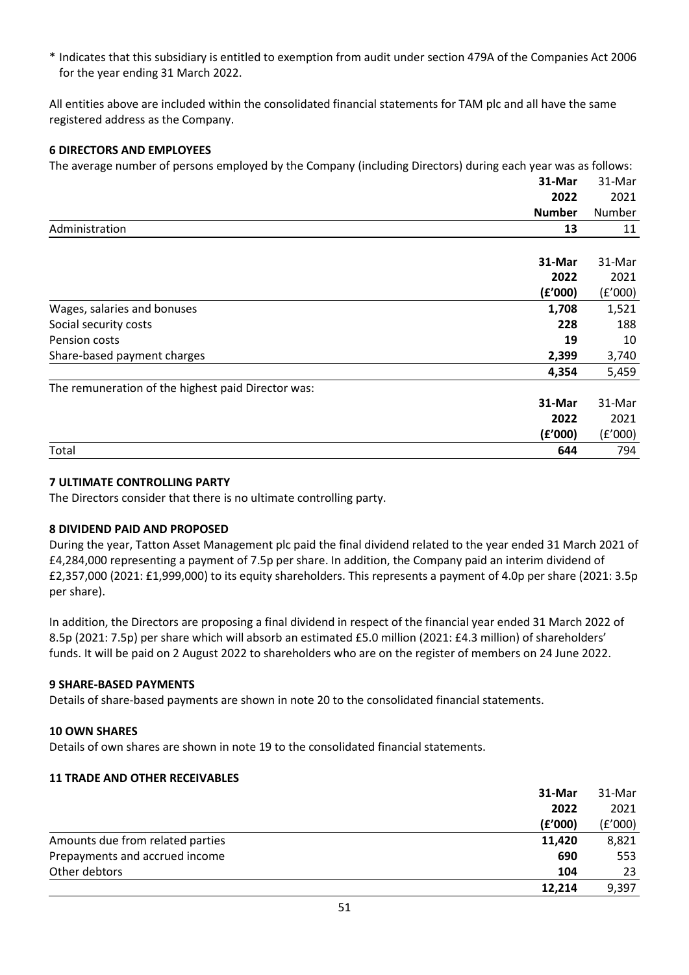\* Indicates that this subsidiary is entitled to exemption from audit under section 479A of the Companies Act 2006 for the year ending 31 March 2022.

All entities above are included within the consolidated financial statements for TAM plc and all have the same registered address as the Company.

## **6 DIRECTORS AND EMPLOYEES**

The average number of persons employed by the Company (including Directors) during each year was as follows:

|                                                    | 31-Mar        | 31-Mar  |
|----------------------------------------------------|---------------|---------|
|                                                    | 2022          | 2021    |
|                                                    | <b>Number</b> | Number  |
| Administration                                     | 13            | 11      |
|                                                    |               |         |
|                                                    | 31-Mar        | 31-Mar  |
|                                                    | 2022          | 2021    |
|                                                    | (f'000)       | (f'000) |
| Wages, salaries and bonuses                        | 1,708         | 1,521   |
| Social security costs                              | 228           | 188     |
| Pension costs                                      | 19            | 10      |
| Share-based payment charges                        | 2,399         | 3,740   |
|                                                    | 4,354         | 5,459   |
| The remuneration of the highest paid Director was: |               |         |
|                                                    | 31-Mar        | 31-Mar  |
|                                                    | 2022          | 2021    |
|                                                    | (f'000)       | (f'000) |
| Total                                              | 644           | 794     |

## **7 ULTIMATE CONTROLLING PARTY**

The Directors consider that there is no ultimate controlling party.

## **8 DIVIDEND PAID AND PROPOSED**

During the year, Tatton Asset Management plc paid the final dividend related to the year ended 31 March 2021 of £4,284,000 representing a payment of 7.5p per share. In addition, the Company paid an interim dividend of £2,357,000 (2021: £1,999,000) to its equity shareholders. This represents a payment of 4.0p per share (2021: 3.5p per share).

In addition, the Directors are proposing a final dividend in respect of the financial year ended 31 March 2022 of 8.5p (2021: 7.5p) per share which will absorb an estimated £5.0 million (2021: £4.3 million) of shareholders' funds. It will be paid on 2 August 2022 to shareholders who are on the register of members on 24 June 2022.

## **9 SHARE-BASED PAYMENTS**

Details of share-based payments are shown in note 20 to the consolidated financial statements.

## **10 OWN SHARES**

Details of own shares are shown in note 19 to the consolidated financial statements.

## **11 TRADE AND OTHER RECEIVABLES**

|                                  | 31-Mar  | 31-Mar  |
|----------------------------------|---------|---------|
|                                  | 2022    | 2021    |
|                                  | (f'000) | (f'000) |
| Amounts due from related parties | 11,420  | 8,821   |
| Prepayments and accrued income   | 690     | 553     |
| Other debtors                    | 104     | 23      |
|                                  | 12,214  | 9,397   |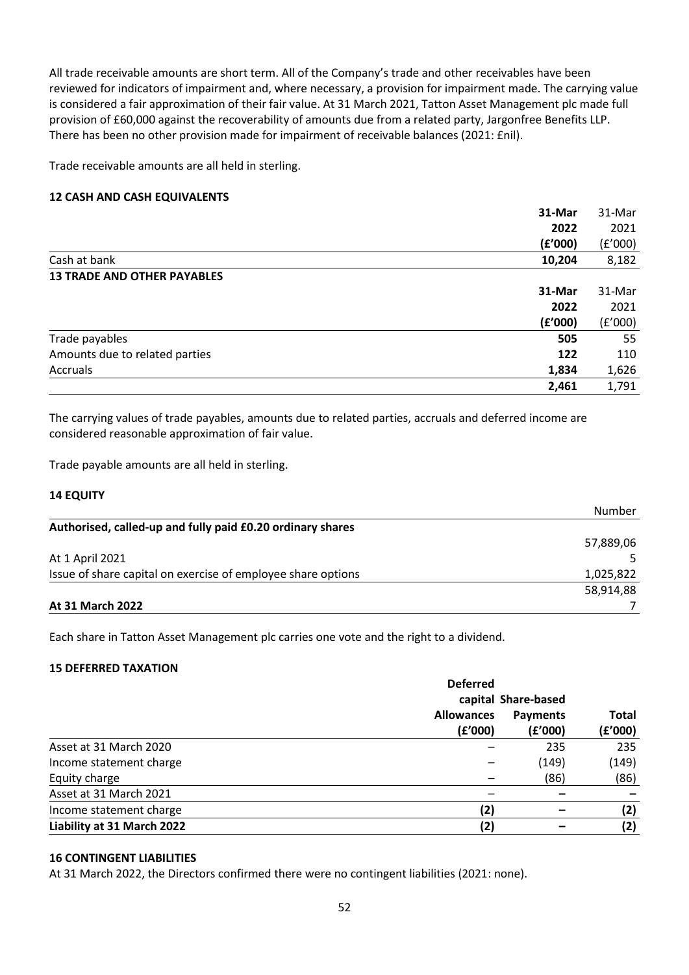All trade receivable amounts are short term. All of the Company's trade and other receivables have been reviewed for indicators of impairment and, where necessary, a provision for impairment made. The carrying value is considered a fair approximation of their fair value. At 31 March 2021, Tatton Asset Management plc made full provision of £60,000 against the recoverability of amounts due from a related party, Jargonfree Benefits LLP. There has been no other provision made for impairment of receivable balances (2021: £nil).

Trade receivable amounts are all held in sterling.

## **12 CASH AND CASH EQUIVALENTS**

|                                    | 31-Mar  | 31-Mar  |
|------------------------------------|---------|---------|
|                                    | 2022    | 2021    |
|                                    | (E'000) | (f'000) |
| Cash at bank                       | 10,204  | 8,182   |
| <b>13 TRADE AND OTHER PAYABLES</b> |         |         |
|                                    | 31-Mar  | 31-Mar  |
|                                    | 2022    | 2021    |
|                                    | (f'000) | (f'000) |
| Trade payables                     | 505     | 55      |
| Amounts due to related parties     | 122     | 110     |
| Accruals                           | 1,834   | 1,626   |
|                                    | 2,461   | 1,791   |

The carrying values of trade payables, amounts due to related parties, accruals and deferred income are considered reasonable approximation of fair value.

Trade payable amounts are all held in sterling.

## **14 EQUITY**

|                                                              | Number    |
|--------------------------------------------------------------|-----------|
| Authorised, called-up and fully paid £0.20 ordinary shares   |           |
|                                                              | 57,889,06 |
| At 1 April 2021                                              |           |
| Issue of share capital on exercise of employee share options | 1,025,822 |
|                                                              | 58,914,88 |
| At 31 March 2022                                             |           |

Each share in Tatton Asset Management plc carries one vote and the right to a dividend.

## **15 DEFERRED TAXATION**

|                            | <b>Deferred</b>              |                            |                         |
|----------------------------|------------------------------|----------------------------|-------------------------|
|                            | capital Share-based          |                            |                         |
|                            | <b>Allowances</b><br>(f'000) | <b>Payments</b><br>(f'000) | <b>Total</b><br>(£'000) |
| Asset at 31 March 2020     |                              | 235                        | 235                     |
| Income statement charge    |                              | (149)                      | (149)                   |
| Equity charge              |                              | (86)                       | (86)                    |
| Asset at 31 March 2021     |                              |                            |                         |
| Income statement charge    | (2)                          |                            | (2)                     |
| Liability at 31 March 2022 | (2)                          |                            | (2)                     |

## **16 CONTINGENT LIABILITIES**

At 31 March 2022, the Directors confirmed there were no contingent liabilities (2021: none).